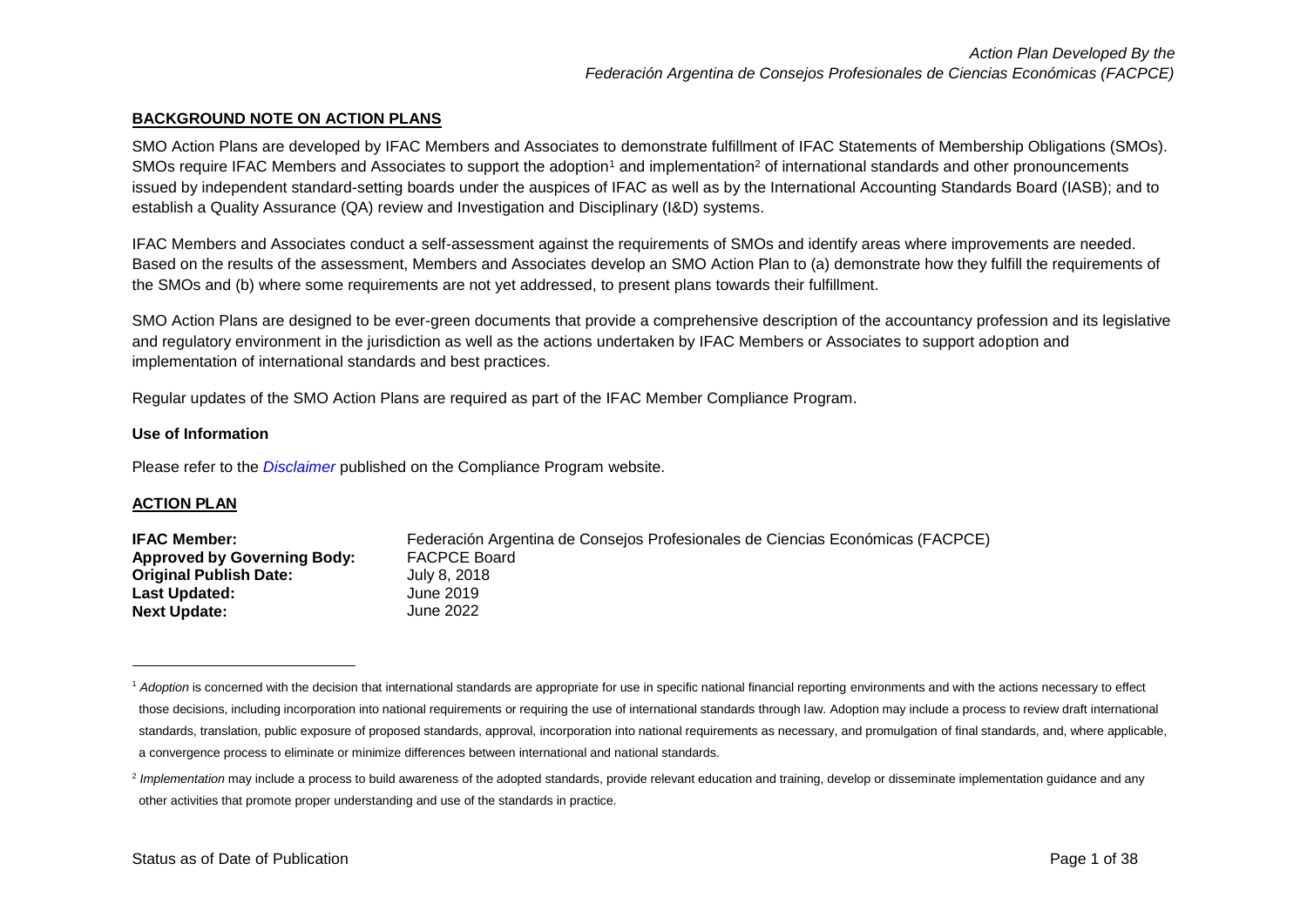#### **BACKGROUND NOTE ON ACTION PLANS**

SMO Action Plans are developed by IFAC Members and Associates to demonstrate fulfillment of IFAC Statements of Membership Obligations (SMOs). SMOs require IFAC Members and Associates to support the adoption<sup>1</sup> and implementation<sup>2</sup> of international standards and other pronouncements issued by independent standard-setting boards under the auspices of IFAC as well as by the International Accounting Standards Board (IASB); and to establish a Quality Assurance (QA) review and Investigation and Disciplinary (I&D) systems.

IFAC Members and Associates conduct a self-assessment against the requirements of SMOs and identify areas where improvements are needed. Based on the results of the assessment, Members and Associates develop an SMO Action Plan to (a) demonstrate how they fulfill the requirements of the SMOs and (b) where some requirements are not yet addressed, to present plans towards their fulfillment.

SMO Action Plans are designed to be ever-green documents that provide a comprehensive description of the accountancy profession and its legislative and regulatory environment in the jurisdiction as well as the actions undertaken by IFAC Members or Associates to support adoption and implementation of international standards and best practices.

Regular updates of the SMO Action Plans are required as part of the IFAC Member Compliance Program.

#### **Use of Information**

Please refer to the *[Disclaimer](http://www.ifac.org/about-ifac/membership/members/disclaimer)* published on the Compliance Program website.

#### **ACTION PLAN**

 $\overline{\phantom{a}}$ 

| <b>IFAC Member:</b>                | Federación Argentina de Consejos Profesionales de Ciencias Económicas (FACPCE) |
|------------------------------------|--------------------------------------------------------------------------------|
| <b>Approved by Governing Body:</b> | <b>FACPCE Board</b>                                                            |
| <b>Original Publish Date:</b>      | July 8, 2018                                                                   |
| <b>Last Updated:</b>               | June 2019                                                                      |
| <b>Next Update:</b>                | June 2022 .                                                                    |

<sup>&</sup>lt;sup>1</sup> Adoption is concerned with the decision that international standards are appropriate for use in specific national financial reporting environments and with the actions necessary to effect those decisions, including incorporation into national requirements or requiring the use of international standards through law. Adoption may include a process to review draft international standards, translation, public exposure of proposed standards, approval, incorporation into national requirements as necessary, and promulgation of final standards, and, where applicable, a convergence process to eliminate or minimize differences between international and national standards.

<sup>&</sup>lt;sup>2</sup> Implementation may include a process to build awareness of the adopted standards, provide relevant education and training, develop or disseminate implementation guidance and any other activities that promote proper understanding and use of the standards in practice.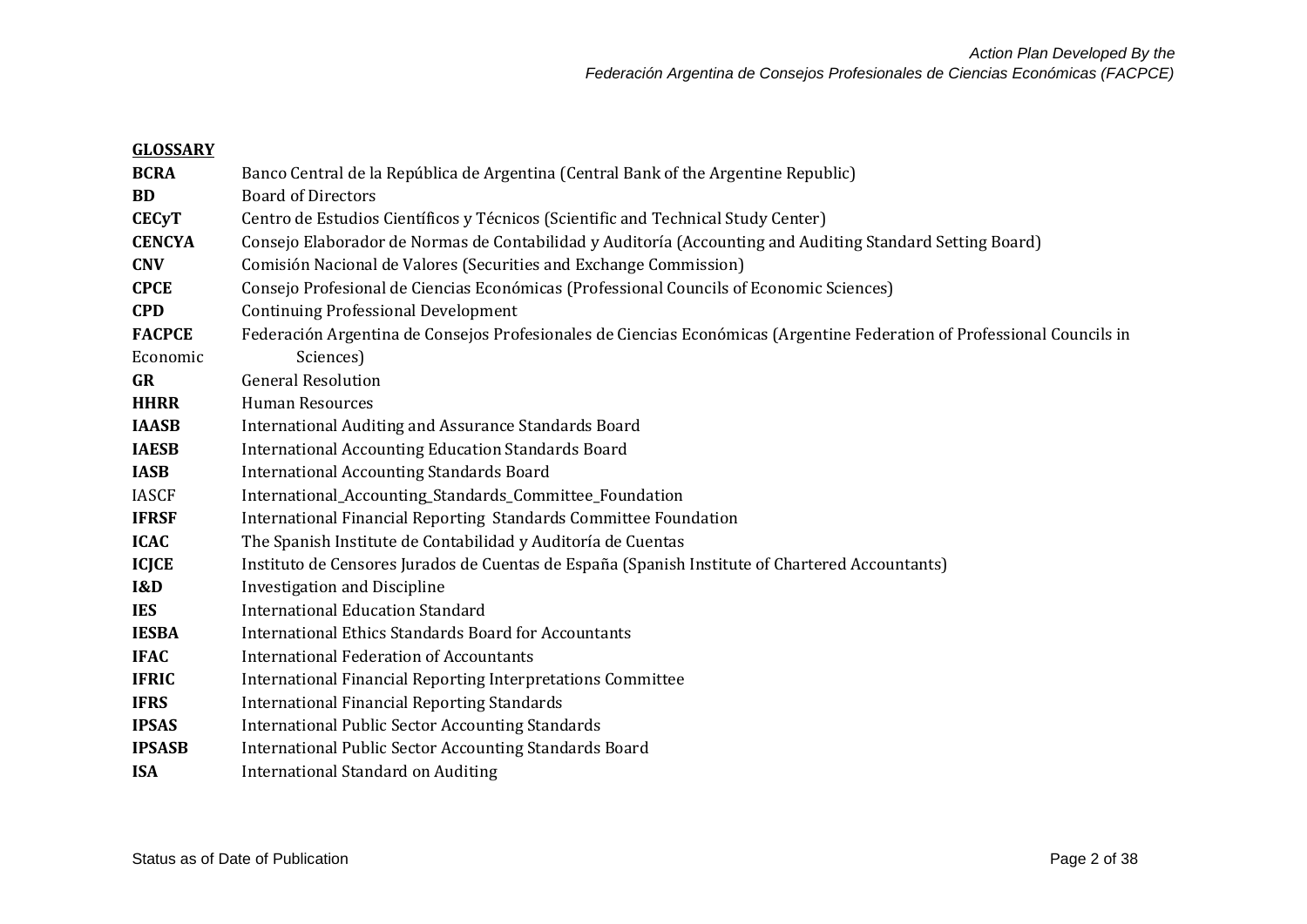| <b>GLOSSARY</b> |                                                                                                                         |
|-----------------|-------------------------------------------------------------------------------------------------------------------------|
| <b>BCRA</b>     | Banco Central de la República de Argentina (Central Bank of the Argentine Republic)                                     |
| <b>BD</b>       | <b>Board of Directors</b>                                                                                               |
| <b>CECyT</b>    | Centro de Estudios Científicos y Técnicos (Scientific and Technical Study Center)                                       |
| <b>CENCYA</b>   | Consejo Elaborador de Normas de Contabilidad y Auditoría (Accounting and Auditing Standard Setting Board)               |
| <b>CNV</b>      | Comisión Nacional de Valores (Securities and Exchange Commission)                                                       |
| <b>CPCE</b>     | Consejo Profesional de Ciencias Económicas (Professional Councils of Economic Sciences)                                 |
| <b>CPD</b>      | <b>Continuing Professional Development</b>                                                                              |
| <b>FACPCE</b>   | Federación Argentina de Consejos Profesionales de Ciencias Económicas (Argentine Federation of Professional Councils in |
| Economic        | Sciences)                                                                                                               |
| <b>GR</b>       | <b>General Resolution</b>                                                                                               |
| <b>HHRR</b>     | <b>Human Resources</b>                                                                                                  |
| <b>IAASB</b>    | International Auditing and Assurance Standards Board                                                                    |
| <b>IAESB</b>    | <b>International Accounting Education Standards Board</b>                                                               |
| <b>IASB</b>     | <b>International Accounting Standards Board</b>                                                                         |
| <b>IASCF</b>    | International_Accounting_Standards_Committee_Foundation                                                                 |
| <b>IFRSF</b>    | International Financial Reporting Standards Committee Foundation                                                        |
| <b>ICAC</b>     | The Spanish Institute de Contabilidad y Auditoría de Cuentas                                                            |
| <b>ICJCE</b>    | Instituto de Censores Jurados de Cuentas de España (Spanish Institute of Chartered Accountants)                         |
| <b>I&amp;D</b>  | <b>Investigation and Discipline</b>                                                                                     |
| <b>IES</b>      | <b>International Education Standard</b>                                                                                 |
| <b>IESBA</b>    | <b>International Ethics Standards Board for Accountants</b>                                                             |
| <b>IFAC</b>     | <b>International Federation of Accountants</b>                                                                          |
| <b>IFRIC</b>    | International Financial Reporting Interpretations Committee                                                             |
| <b>IFRS</b>     | <b>International Financial Reporting Standards</b>                                                                      |
| <b>IPSAS</b>    | <b>International Public Sector Accounting Standards</b>                                                                 |
| <b>IPSASB</b>   | <b>International Public Sector Accounting Standards Board</b>                                                           |
| <b>ISA</b>      | <b>International Standard on Auditing</b>                                                                               |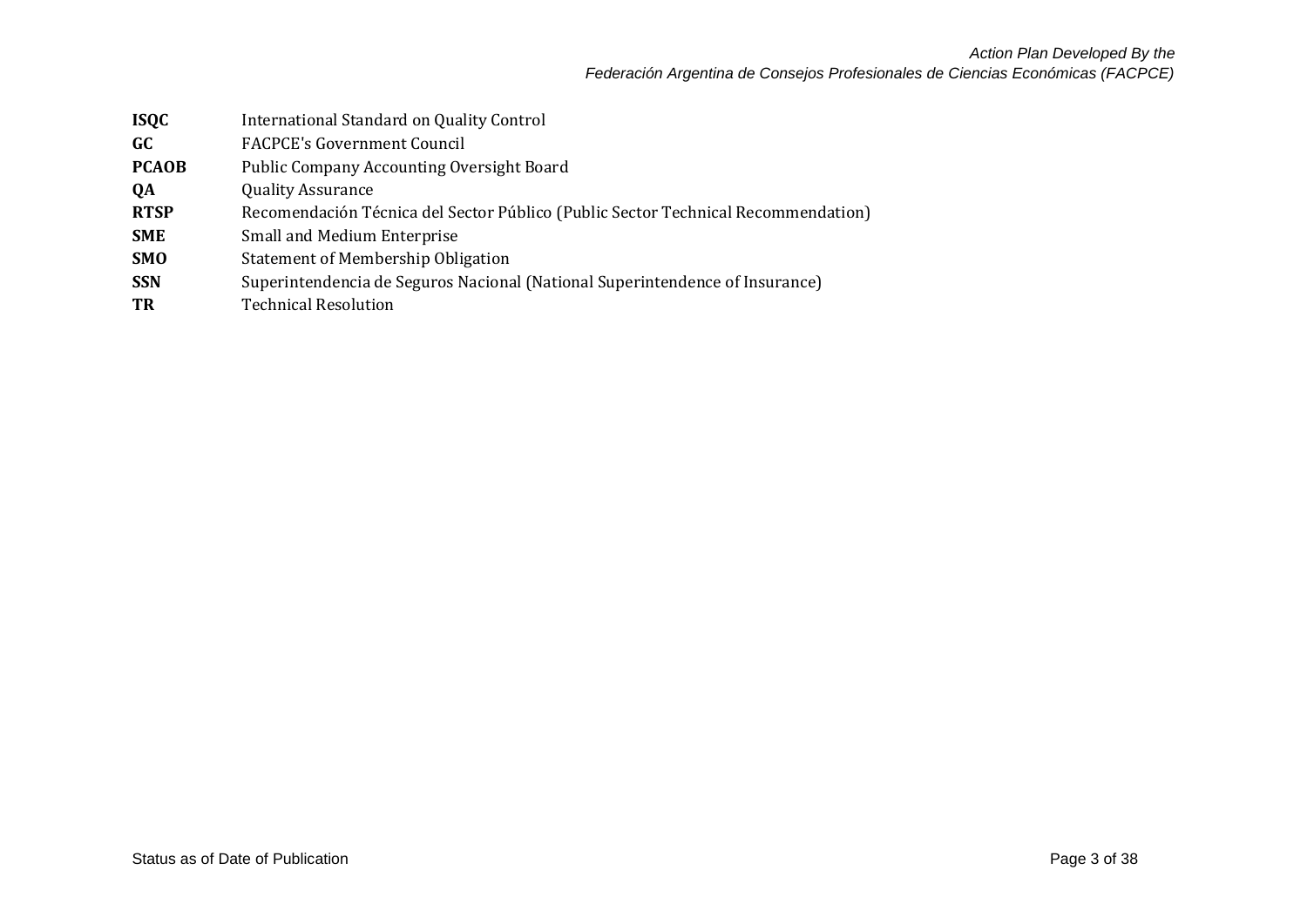| <b>ISQC</b>  | International Standard on Quality Control                                         |
|--------------|-----------------------------------------------------------------------------------|
| GC           | <b>FACPCE's Government Council</b>                                                |
| <b>PCAOB</b> | <b>Public Company Accounting Oversight Board</b>                                  |
| QA           | <b>Quality Assurance</b>                                                          |
| <b>RTSP</b>  | Recomendación Técnica del Sector Público (Public Sector Technical Recommendation) |
| <b>SME</b>   | Small and Medium Enterprise                                                       |
| <b>SMO</b>   | <b>Statement of Membership Obligation</b>                                         |
| <b>SSN</b>   | Superintendencia de Seguros Nacional (National Superintendence of Insurance)      |
| TR           | <b>Technical Resolution</b>                                                       |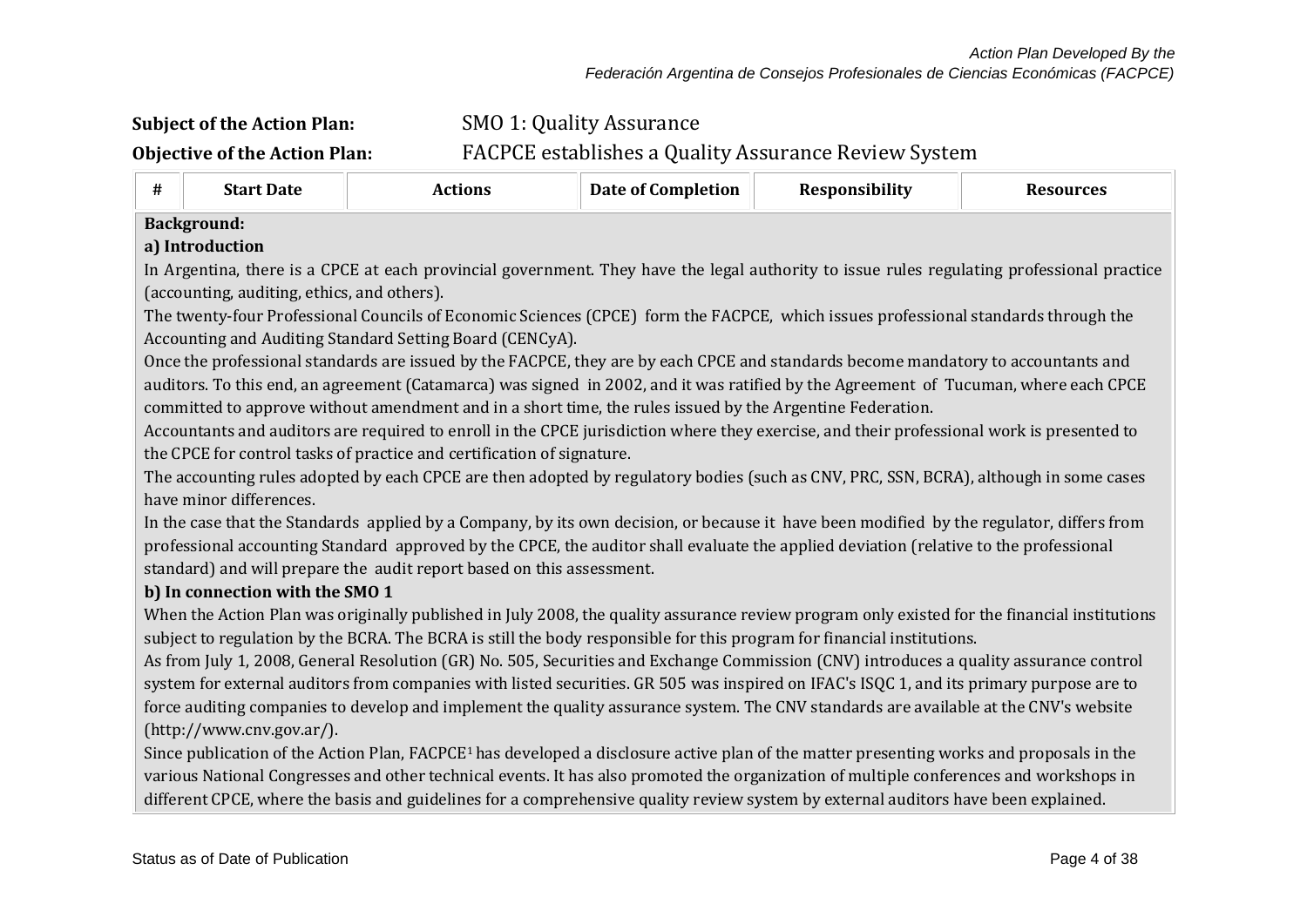# **Subject of the Action Plan:** SMO 1: Quality Assurance **Objective of the Action Plan:** FACPCE establishes a Quality Assurance Review System

## **# Start Date Actions Date of Completion Responsibility Resources Background: a) Introduction** In Argentina, there is a CPCE at each provincial government. They have the legal authority to issue rules regulating professional practice (accounting, auditing, ethics, and others). The twenty-four Professional Councils of Economic Sciences (CPCE) form the FACPCE, which issues professional standards through the Accounting and Auditing Standard Setting Board (CENCyA). Once the professional standards are issued by the FACPCE, they are by each CPCE and standards become mandatory to accountants and auditors. To this end, an agreement (Catamarca) was signed in 2002, and it was ratified by the Agreement of Tucuman, where each CPCE committed to approve without amendment and in a short time, the rules issued by the Argentine Federation. Accountants and auditors are required to enroll in the CPCE jurisdiction where they exercise, and their professional work is presented to the CPCE for control tasks of practice and certification of signature. The accounting rules adopted by each CPCE are then adopted by regulatory bodies (such as CNV, PRC, SSN, BCRA), although in some cases have minor differences. In the case that the Standards applied by a Company, by its own decision, or because it have been modified by the regulator, differs from professional accounting Standard approved by the CPCE, the auditor shall evaluate the applied deviation (relative to the professional standard) and will prepare the audit report based on this assessment. **b) In connection with the SMO 1** When the Action Plan was originally published in July 2008, the quality assurance review program only existed for the financial institutions subject to regulation by the BCRA. The BCRA is still the body responsible for this program for financial institutions. As from July 1, 2008, General Resolution (GR) No. 505, Securities and Exchange Commission (CNV) introduces a quality assurance control system for external auditors from companies with listed securities. GR 505 was inspired on IFAC's ISQC 1, and its primary purpose are to force auditing companies to develop and implement the quality assurance system. The CNV standards are available at the CNV's website

[\(http://www.cnv.gov.ar/\)](http://www.cnv.gov.ar/).

Since publication of the Action Plan, FACPCE1 has developed a disclosure active plan of the matter presenting works and proposals in the various National Congresses and other technical events. It has also promoted the organization of multiple conferences and workshops in different CPCE, where the basis and guidelines for a comprehensive quality review system by external auditors have been explained.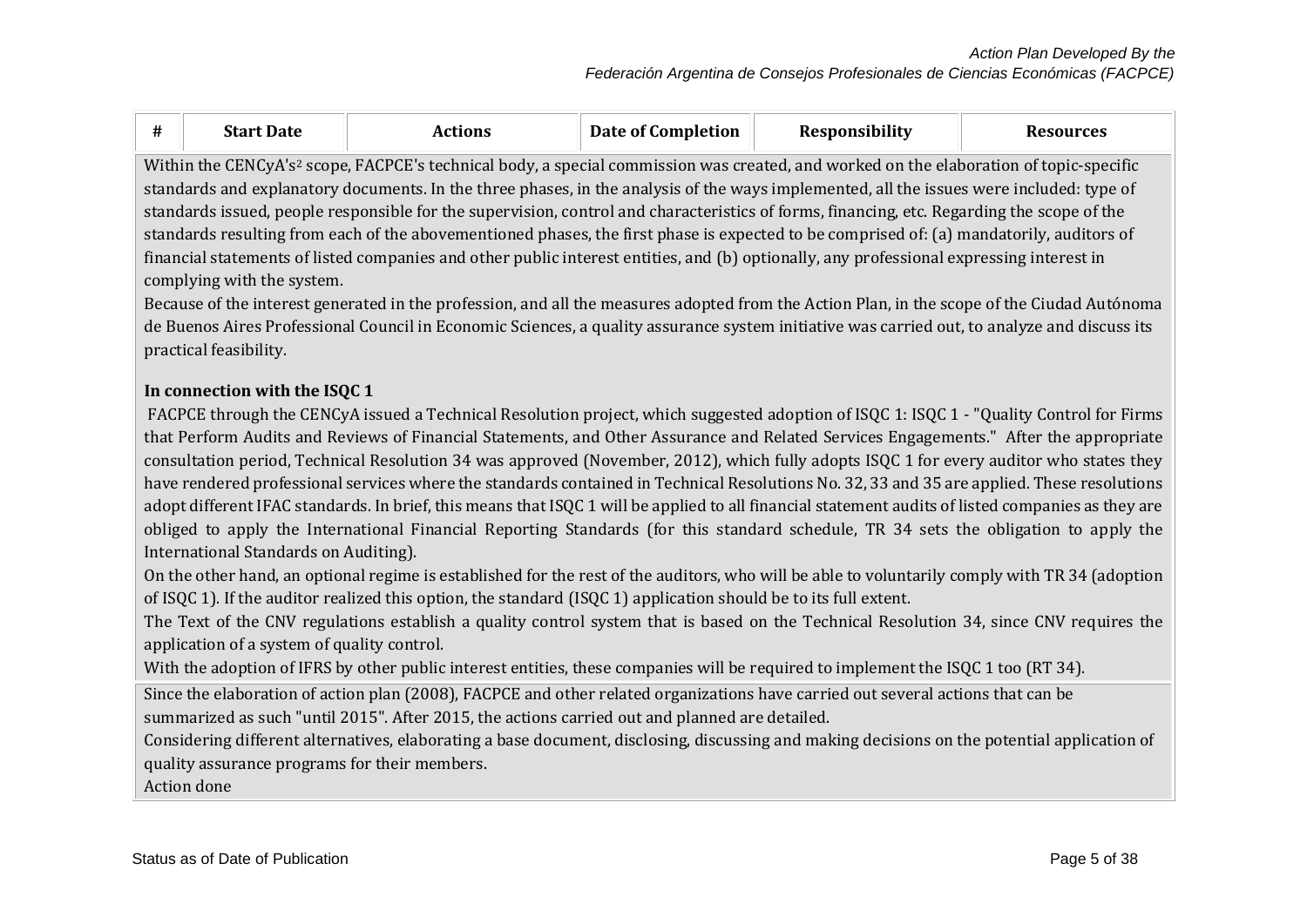|                                                                                                                                            | <b>Start Date</b>                                                                                                                                  | Actions | Date of Completion | Responsibility | <b>Resources</b> |  |  |
|--------------------------------------------------------------------------------------------------------------------------------------------|----------------------------------------------------------------------------------------------------------------------------------------------------|---------|--------------------|----------------|------------------|--|--|
|                                                                                                                                            | Within the CENCyA's <sup>2</sup> scope, FACPCE's technical body, a special commission was created, and worked on the elaboration of topic-specific |         |                    |                |                  |  |  |
| standards and explanatory documents. In the three phases, in the analysis of the ways implemented, all the issues were included: type of   |                                                                                                                                                    |         |                    |                |                  |  |  |
| standards issued, people responsible for the supervision, control and characteristics of forms, financing, etc. Regarding the scope of the |                                                                                                                                                    |         |                    |                |                  |  |  |

standards resulting from each of the abovementioned phases, the first phase is expected to be comprised of: (a) mandatorily, auditors of financial statements of listed companies and other public interest entities, and (b) optionally, any professional expressing interest in complying with the system.

Because of the interest generated in the profession, and all the measures adopted from the Action Plan, in the scope of the Ciudad Autónoma de Buenos Aires Professional Council in Economic Sciences, a quality assurance system initiative was carried out, to analyze and discuss its practical feasibility.

### **In connection with the ISQC 1**

FACPCE through the CENCyA issued a Technical Resolution project, which suggested adoption of ISQC 1: ISQC 1 - "Quality Control for Firms that Perform Audits and Reviews of Financial Statements, and Other Assurance and Related Services Engagements." After the appropriate consultation period, Technical Resolution 34 was approved (November, 2012), which fully adopts ISQC 1 for every auditor who states they have rendered professional services where the standards contained in Technical Resolutions No. 32, 33 and 35 are applied. These resolutions adopt different IFAC standards. In brief, this means that ISQC 1 will be applied to all financial statement audits of listed companies as they are obliged to apply the International Financial Reporting Standards (for this standard schedule, TR 34 sets the obligation to apply the International Standards on Auditing).

On the other hand, an optional regime is established for the rest of the auditors, who will be able to voluntarily comply with TR 34 (adoption of ISQC 1). If the auditor realized this option, the standard (ISQC 1) application should be to its full extent.

The Text of the CNV regulations establish a quality control system that is based on the Technical Resolution 34, since CNV requires the application of a system of quality control.

With the adoption of IFRS by other public interest entities, these companies will be required to implement the ISQC 1 too (RT 34).

Since the elaboration of action plan (2008), FACPCE and other related organizations have carried out several actions that can be summarized as such "until 2015". After 2015, the actions carried out and planned are detailed.

Considering different alternatives, elaborating a base document, disclosing, discussing and making decisions on the potential application of quality assurance programs for their members.

Action done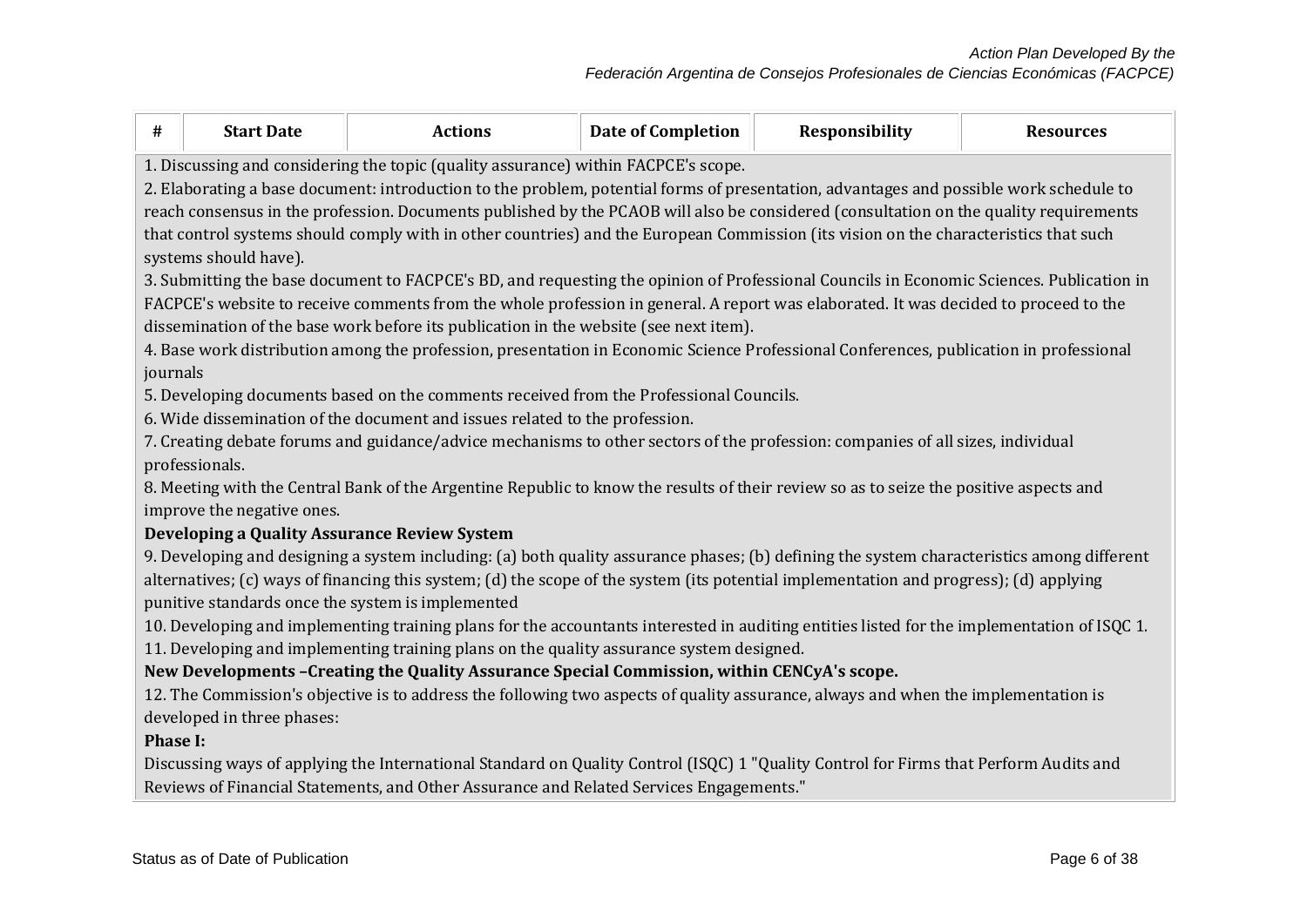| #               | <b>Start Date</b>                                                                                                                                                |                                                                                                                                                                                                                                         |                           |                | <b>Resources</b> |  |  |  |
|-----------------|------------------------------------------------------------------------------------------------------------------------------------------------------------------|-----------------------------------------------------------------------------------------------------------------------------------------------------------------------------------------------------------------------------------------|---------------------------|----------------|------------------|--|--|--|
|                 |                                                                                                                                                                  | <b>Actions</b>                                                                                                                                                                                                                          | <b>Date of Completion</b> | Responsibility |                  |  |  |  |
|                 | 1. Discussing and considering the topic (quality assurance) within FACPCE's scope.                                                                               |                                                                                                                                                                                                                                         |                           |                |                  |  |  |  |
|                 | 2. Elaborating a base document: introduction to the problem, potential forms of presentation, advantages and possible work schedule to                           |                                                                                                                                                                                                                                         |                           |                |                  |  |  |  |
|                 |                                                                                                                                                                  | reach consensus in the profession. Documents published by the PCAOB will also be considered (consultation on the quality requirements                                                                                                   |                           |                |                  |  |  |  |
|                 |                                                                                                                                                                  | that control systems should comply with in other countries) and the European Commission (its vision on the characteristics that such                                                                                                    |                           |                |                  |  |  |  |
|                 | systems should have).                                                                                                                                            |                                                                                                                                                                                                                                         |                           |                |                  |  |  |  |
|                 |                                                                                                                                                                  | 3. Submitting the base document to FACPCE's BD, and requesting the opinion of Professional Councils in Economic Sciences. Publication in                                                                                                |                           |                |                  |  |  |  |
|                 |                                                                                                                                                                  | FACPCE's website to receive comments from the whole profession in general. A report was elaborated. It was decided to proceed to the                                                                                                    |                           |                |                  |  |  |  |
|                 |                                                                                                                                                                  | dissemination of the base work before its publication in the website (see next item).                                                                                                                                                   |                           |                |                  |  |  |  |
|                 |                                                                                                                                                                  | 4. Base work distribution among the profession, presentation in Economic Science Professional Conferences, publication in professional                                                                                                  |                           |                |                  |  |  |  |
| journals        |                                                                                                                                                                  |                                                                                                                                                                                                                                         |                           |                |                  |  |  |  |
|                 |                                                                                                                                                                  | 5. Developing documents based on the comments received from the Professional Councils.                                                                                                                                                  |                           |                |                  |  |  |  |
|                 |                                                                                                                                                                  | 6. Wide dissemination of the document and issues related to the profession.                                                                                                                                                             |                           |                |                  |  |  |  |
|                 |                                                                                                                                                                  | 7. Creating debate forums and guidance/advice mechanisms to other sectors of the profession: companies of all sizes, individual                                                                                                         |                           |                |                  |  |  |  |
|                 | professionals.                                                                                                                                                   |                                                                                                                                                                                                                                         |                           |                |                  |  |  |  |
|                 |                                                                                                                                                                  | 8. Meeting with the Central Bank of the Argentine Republic to know the results of their review so as to seize the positive aspects and                                                                                                  |                           |                |                  |  |  |  |
|                 | improve the negative ones.                                                                                                                                       |                                                                                                                                                                                                                                         |                           |                |                  |  |  |  |
|                 |                                                                                                                                                                  | Developing a Quality Assurance Review System                                                                                                                                                                                            |                           |                |                  |  |  |  |
|                 |                                                                                                                                                                  | 9. Developing and designing a system including: (a) both quality assurance phases; (b) defining the system characteristics among different                                                                                              |                           |                |                  |  |  |  |
|                 |                                                                                                                                                                  | alternatives; (c) ways of financing this system; (d) the scope of the system (its potential implementation and progress); (d) applying                                                                                                  |                           |                |                  |  |  |  |
|                 |                                                                                                                                                                  | punitive standards once the system is implemented                                                                                                                                                                                       |                           |                |                  |  |  |  |
|                 |                                                                                                                                                                  | 10. Developing and implementing training plans for the accountants interested in auditing entities listed for the implementation of ISQC 1.<br>11. Developing and implementing training plans on the quality assurance system designed. |                           |                |                  |  |  |  |
|                 |                                                                                                                                                                  |                                                                                                                                                                                                                                         |                           |                |                  |  |  |  |
|                 | New Developments -Creating the Quality Assurance Special Commission, within CENCyA's scope.                                                                      |                                                                                                                                                                                                                                         |                           |                |                  |  |  |  |
|                 | 12. The Commission's objective is to address the following two aspects of quality assurance, always and when the implementation is<br>developed in three phases: |                                                                                                                                                                                                                                         |                           |                |                  |  |  |  |
| <b>Phase I:</b> |                                                                                                                                                                  |                                                                                                                                                                                                                                         |                           |                |                  |  |  |  |
|                 |                                                                                                                                                                  | Discussing ways of applying the International Standard on Quality Control (ISQC) 1 "Quality Control for Firms that Perform Audits and                                                                                                   |                           |                |                  |  |  |  |
|                 |                                                                                                                                                                  | Reviews of Financial Statements, and Other Assurance and Related Services Engagements."                                                                                                                                                 |                           |                |                  |  |  |  |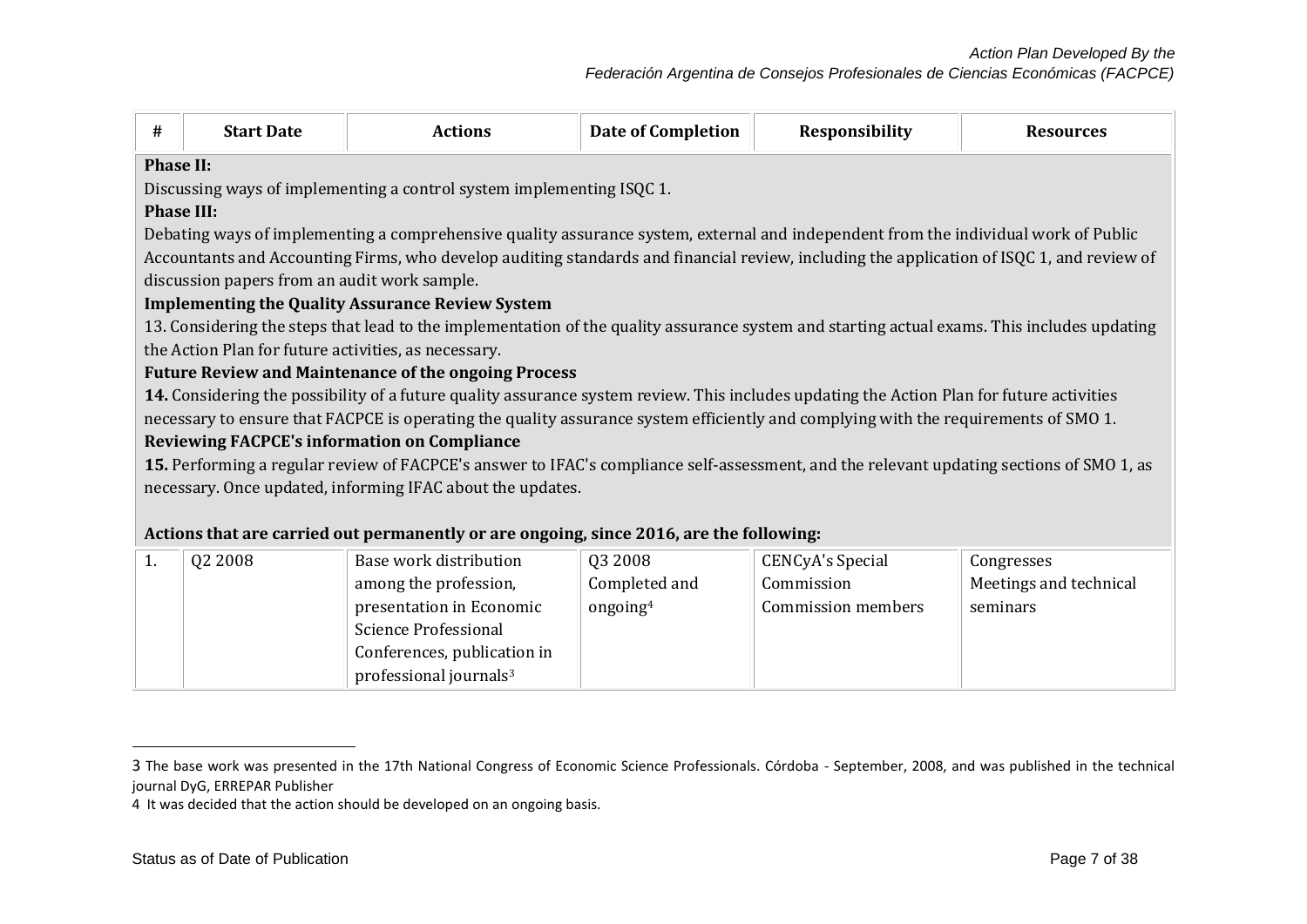| #                 | <b>Start Date</b>                                    | <b>Actions</b>                                                                                                                              | <b>Date of Completion</b> | Responsibility          | <b>Resources</b>       |  |  |
|-------------------|------------------------------------------------------|---------------------------------------------------------------------------------------------------------------------------------------------|---------------------------|-------------------------|------------------------|--|--|
|                   | <b>Phase II:</b>                                     |                                                                                                                                             |                           |                         |                        |  |  |
|                   |                                                      | Discussing ways of implementing a control system implementing ISQC 1.                                                                       |                           |                         |                        |  |  |
| <b>Phase III:</b> |                                                      |                                                                                                                                             |                           |                         |                        |  |  |
|                   |                                                      | Debating ways of implementing a comprehensive quality assurance system, external and independent from the individual work of Public         |                           |                         |                        |  |  |
|                   |                                                      | Accountants and Accounting Firms, who develop auditing standards and financial review, including the application of ISQC 1, and review of   |                           |                         |                        |  |  |
|                   | discussion papers from an audit work sample.         |                                                                                                                                             |                           |                         |                        |  |  |
|                   |                                                      | <b>Implementing the Quality Assurance Review System</b>                                                                                     |                           |                         |                        |  |  |
|                   |                                                      | 13. Considering the steps that lead to the implementation of the quality assurance system and starting actual exams. This includes updating |                           |                         |                        |  |  |
|                   | the Action Plan for future activities, as necessary. |                                                                                                                                             |                           |                         |                        |  |  |
|                   |                                                      | <b>Future Review and Maintenance of the ongoing Process</b>                                                                                 |                           |                         |                        |  |  |
|                   |                                                      | 14. Considering the possibility of a future quality assurance system review. This includes updating the Action Plan for future activities   |                           |                         |                        |  |  |
|                   |                                                      | necessary to ensure that FACPCE is operating the quality assurance system efficiently and complying with the requirements of SMO 1.         |                           |                         |                        |  |  |
|                   |                                                      | <b>Reviewing FACPCE's information on Compliance</b>                                                                                         |                           |                         |                        |  |  |
|                   |                                                      | 15. Performing a regular review of FACPCE's answer to IFAC's compliance self-assessment, and the relevant updating sections of SMO 1, as    |                           |                         |                        |  |  |
|                   |                                                      | necessary. Once updated, informing IFAC about the updates.                                                                                  |                           |                         |                        |  |  |
|                   |                                                      |                                                                                                                                             |                           |                         |                        |  |  |
|                   |                                                      | Actions that are carried out permanently or are ongoing, since 2016, are the following:                                                     |                           |                         |                        |  |  |
| 1.                | Q2 2008                                              | Base work distribution                                                                                                                      | Q3 2008                   | <b>CENCyA's Special</b> | Congresses             |  |  |
|                   |                                                      | among the profession,                                                                                                                       | Completed and             | Commission              | Meetings and technical |  |  |
|                   |                                                      | presentation in Economic                                                                                                                    | ongoing <sup>4</sup>      | Commission members      | seminars               |  |  |
|                   |                                                      | <b>Science Professional</b>                                                                                                                 |                           |                         |                        |  |  |
|                   |                                                      | Conferences, publication in                                                                                                                 |                           |                         |                        |  |  |
|                   |                                                      | professional journals <sup>3</sup>                                                                                                          |                           |                         |                        |  |  |

 $\overline{\phantom{a}}$ 

<sup>3</sup> The base work was presented in the 17th National Congress of Economic Science Professionals. Córdoba - September, 2008, and was published in the technical journal DyG, ERREPAR Publisher

<sup>4</sup> It was decided that the action should be developed on an ongoing basis.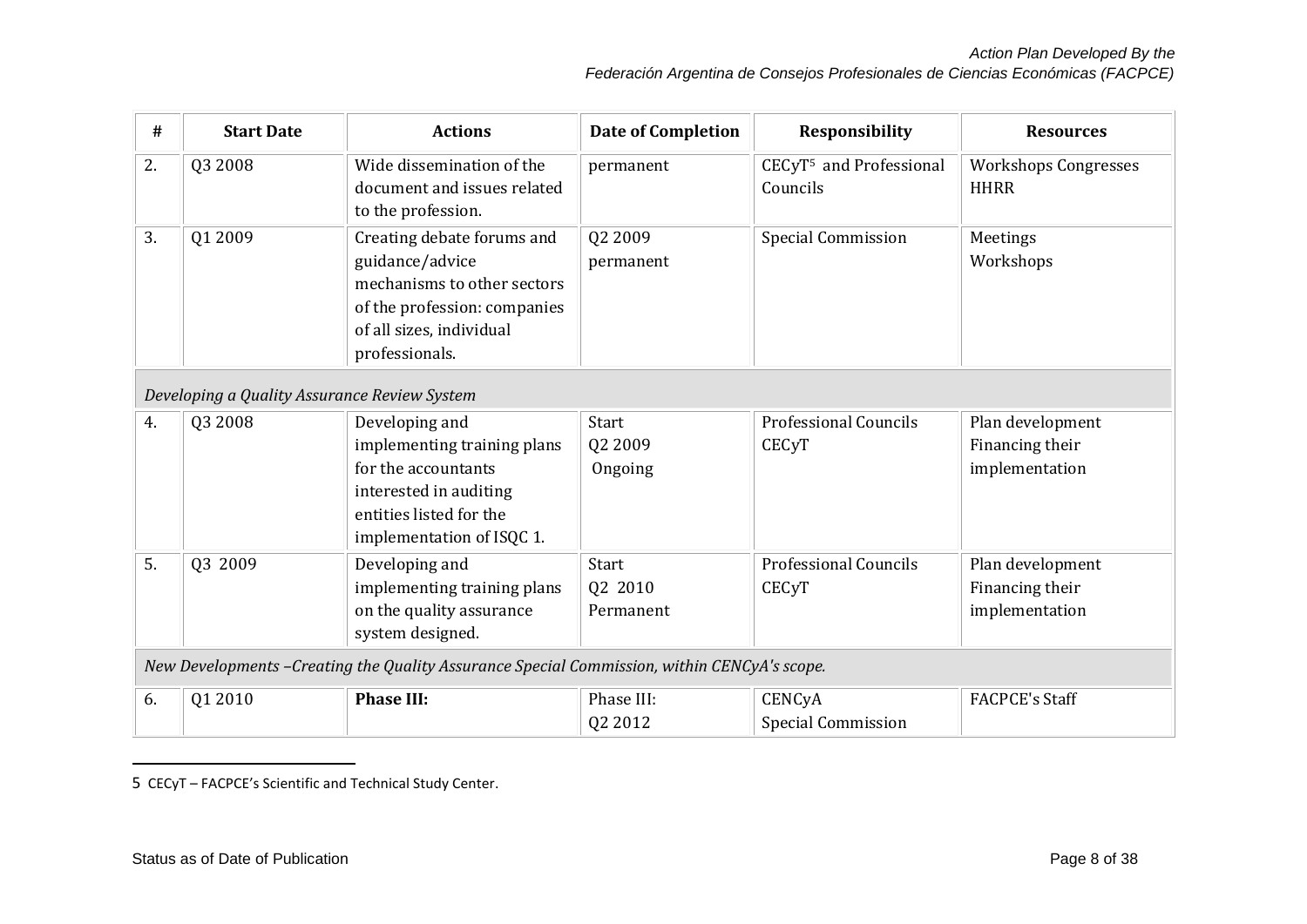| #  | <b>Start Date</b>                                                                           | <b>Actions</b>                                                                                                                                             | <b>Date of Completion</b>     | Responsibility                                  | <b>Resources</b>                                      |  |  |
|----|---------------------------------------------------------------------------------------------|------------------------------------------------------------------------------------------------------------------------------------------------------------|-------------------------------|-------------------------------------------------|-------------------------------------------------------|--|--|
| 2. | Q3 2008                                                                                     | Wide dissemination of the<br>document and issues related<br>to the profession.                                                                             | permanent                     | CECyT <sup>5</sup> and Professional<br>Councils | Workshops Congresses<br><b>HHRR</b>                   |  |  |
| 3. | Q1 2009                                                                                     | Creating debate forums and<br>guidance/advice<br>mechanisms to other sectors<br>of the profession: companies<br>of all sizes, individual<br>professionals. | Q2 2009<br>permanent          | <b>Special Commission</b>                       | Meetings<br>Workshops                                 |  |  |
|    | Developing a Quality Assurance Review System                                                |                                                                                                                                                            |                               |                                                 |                                                       |  |  |
| 4. | Q3 2008                                                                                     | Developing and<br>implementing training plans<br>for the accountants<br>interested in auditing<br>entities listed for the<br>implementation of ISQC 1.     | Start<br>Q2 2009<br>Ongoing   | <b>Professional Councils</b><br><b>CECyT</b>    | Plan development<br>Financing their<br>implementation |  |  |
| 5. | Q3 2009                                                                                     | Developing and<br>implementing training plans<br>on the quality assurance<br>system designed.                                                              | Start<br>Q2 2010<br>Permanent | <b>Professional Councils</b><br><b>CECyT</b>    | Plan development<br>Financing their<br>implementation |  |  |
|    | New Developments -Creating the Quality Assurance Special Commission, within CENCyA's scope. |                                                                                                                                                            |                               |                                                 |                                                       |  |  |
| 6. | Q1 2010                                                                                     | <b>Phase III:</b>                                                                                                                                          | Phase III:<br>Q2 2012         | CENCyA<br><b>Special Commission</b>             | <b>FACPCE's Staff</b>                                 |  |  |

5 CECyT – FACPCE's Scientific and Technical Study Center.

 $\overline{a}$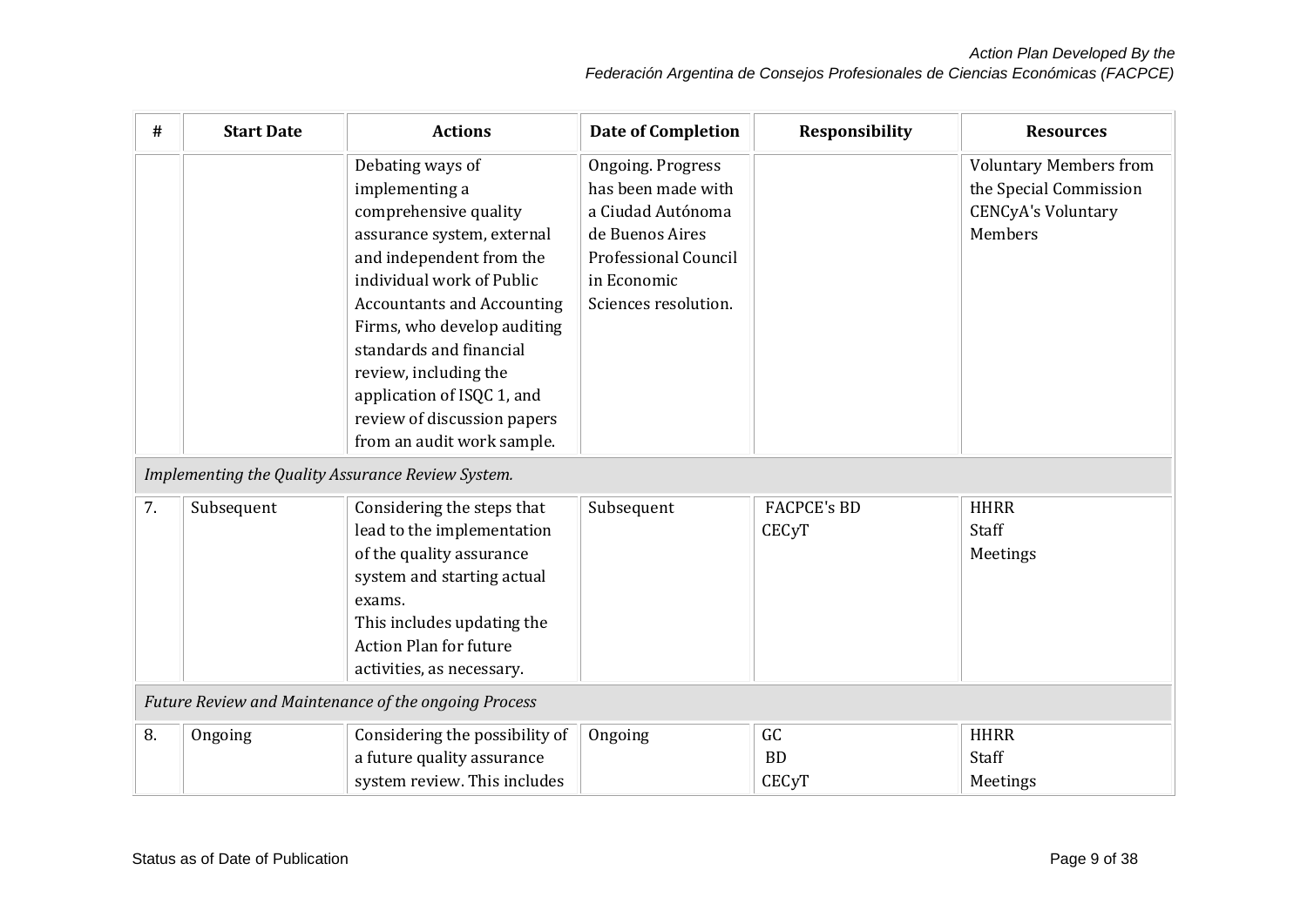| #  | <b>Start Date</b>                                    | <b>Actions</b>                                                                                                                                                                                                                                                                                                                                                        | <b>Date of Completion</b>                                                                                                                      | <b>Responsibility</b>              | <b>Resources</b>                                                                                |  |
|----|------------------------------------------------------|-----------------------------------------------------------------------------------------------------------------------------------------------------------------------------------------------------------------------------------------------------------------------------------------------------------------------------------------------------------------------|------------------------------------------------------------------------------------------------------------------------------------------------|------------------------------------|-------------------------------------------------------------------------------------------------|--|
|    |                                                      | Debating ways of<br>implementing a<br>comprehensive quality<br>assurance system, external<br>and independent from the<br>individual work of Public<br><b>Accountants and Accounting</b><br>Firms, who develop auditing<br>standards and financial<br>review, including the<br>application of ISQC 1, and<br>review of discussion papers<br>from an audit work sample. | Ongoing. Progress<br>has been made with<br>a Ciudad Autónoma<br>de Buenos Aires<br>Professional Council<br>in Economic<br>Sciences resolution. |                                    | <b>Voluntary Members from</b><br>the Special Commission<br><b>CENCyA's Voluntary</b><br>Members |  |
|    |                                                      | Implementing the Quality Assurance Review System.                                                                                                                                                                                                                                                                                                                     |                                                                                                                                                |                                    |                                                                                                 |  |
| 7. | Subsequent                                           | Considering the steps that<br>lead to the implementation<br>of the quality assurance<br>system and starting actual<br>exams.<br>This includes updating the<br>Action Plan for future<br>activities, as necessary.                                                                                                                                                     | Subsequent                                                                                                                                     | <b>FACPCE's BD</b><br><b>CECyT</b> | <b>HHRR</b><br>Staff<br>Meetings                                                                |  |
|    | Future Review and Maintenance of the ongoing Process |                                                                                                                                                                                                                                                                                                                                                                       |                                                                                                                                                |                                    |                                                                                                 |  |
| 8. | Ongoing                                              | Considering the possibility of<br>a future quality assurance<br>system review. This includes                                                                                                                                                                                                                                                                          | Ongoing                                                                                                                                        | GC<br>BD<br><b>CECyT</b>           | <b>HHRR</b><br>Staff<br>Meetings                                                                |  |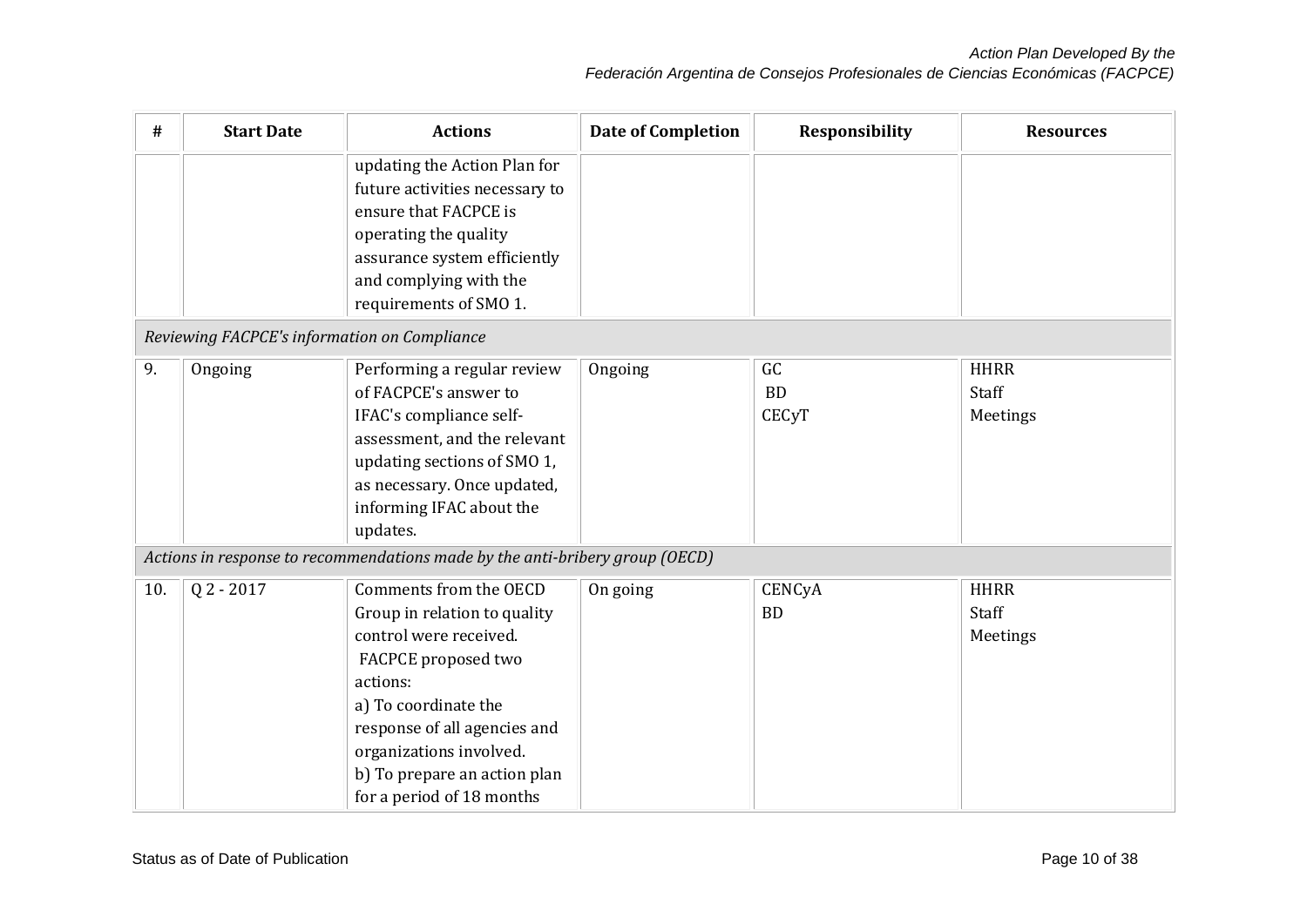| #   | <b>Start Date</b>                            | <b>Actions</b>                                                                                                                                                                                                                                                      | <b>Date of Completion</b> | <b>Responsibility</b>           | <b>Resources</b>                 |
|-----|----------------------------------------------|---------------------------------------------------------------------------------------------------------------------------------------------------------------------------------------------------------------------------------------------------------------------|---------------------------|---------------------------------|----------------------------------|
|     |                                              | updating the Action Plan for<br>future activities necessary to<br>ensure that FACPCE is<br>operating the quality<br>assurance system efficiently<br>and complying with the<br>requirements of SMO 1.                                                                |                           |                                 |                                  |
|     | Reviewing FACPCE's information on Compliance |                                                                                                                                                                                                                                                                     |                           |                                 |                                  |
| 9.  | Ongoing                                      | Performing a regular review<br>of FACPCE's answer to<br>IFAC's compliance self-<br>assessment, and the relevant<br>updating sections of SMO 1,<br>as necessary. Once updated,<br>informing IFAC about the<br>updates.                                               | Ongoing                   | GC<br><b>BD</b><br><b>CECyT</b> | <b>HHRR</b><br>Staff<br>Meetings |
|     |                                              | Actions in response to recommendations made by the anti-bribery group (OECD)                                                                                                                                                                                        |                           |                                 |                                  |
| 10. | $Q$ 2 - 2017                                 | Comments from the OECD<br>Group in relation to quality<br>control were received.<br>FACPCE proposed two<br>actions:<br>a) To coordinate the<br>response of all agencies and<br>organizations involved.<br>b) To prepare an action plan<br>for a period of 18 months | On going                  | CENCyA<br><b>BD</b>             | <b>HHRR</b><br>Staff<br>Meetings |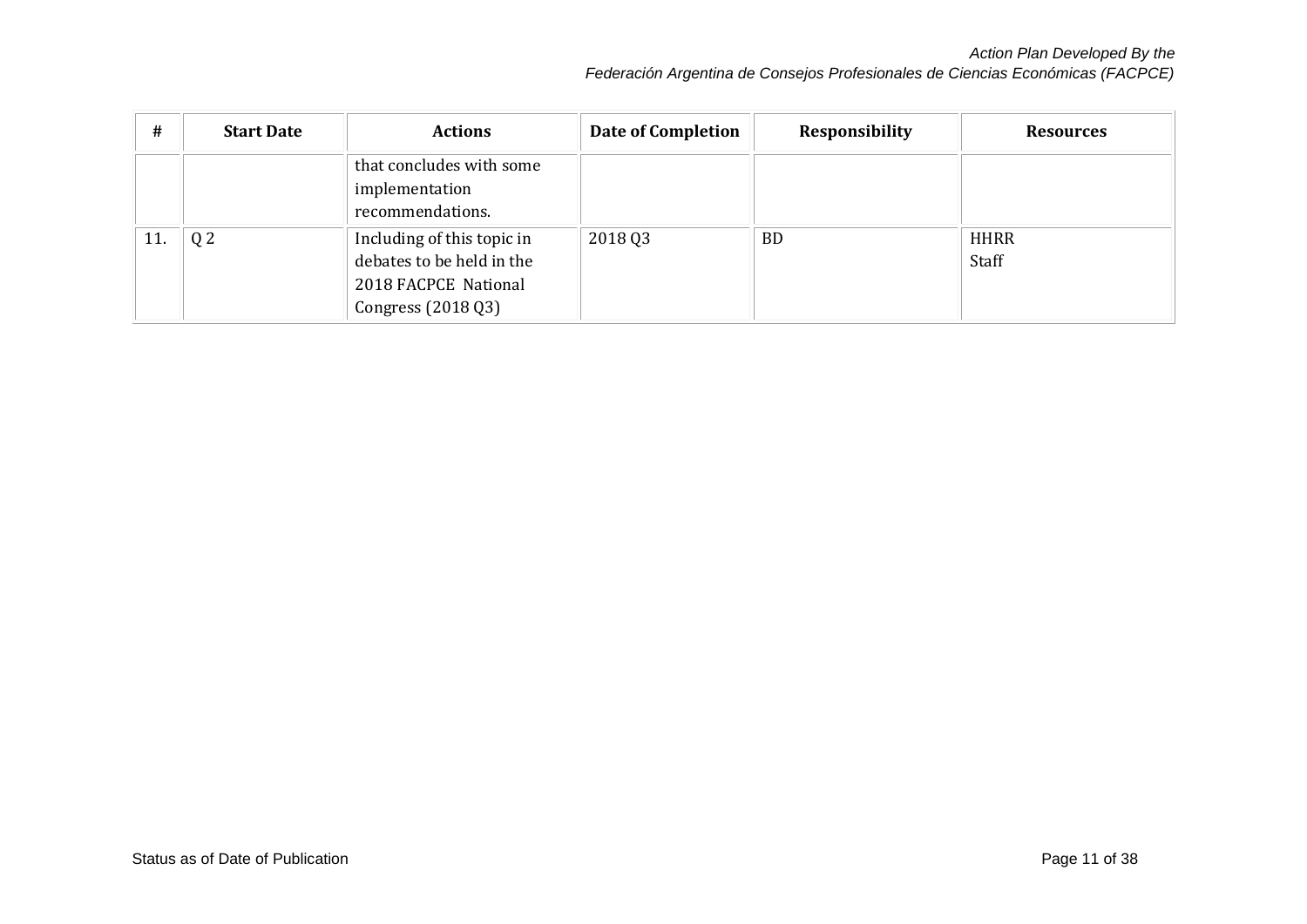| #   | <b>Start Date</b> | <b>Actions</b>                                                                                        | Date of Completion | <b>Responsibility</b> | <b>Resources</b>     |
|-----|-------------------|-------------------------------------------------------------------------------------------------------|--------------------|-----------------------|----------------------|
|     |                   | that concludes with some<br>implementation<br>recommendations.                                        |                    |                       |                      |
| 11. | Q <sub>2</sub>    | Including of this topic in<br>debates to be held in the<br>2018 FACPCE National<br>Congress (2018 Q3) | 2018 03            | <b>BD</b>             | <b>HHRR</b><br>Staff |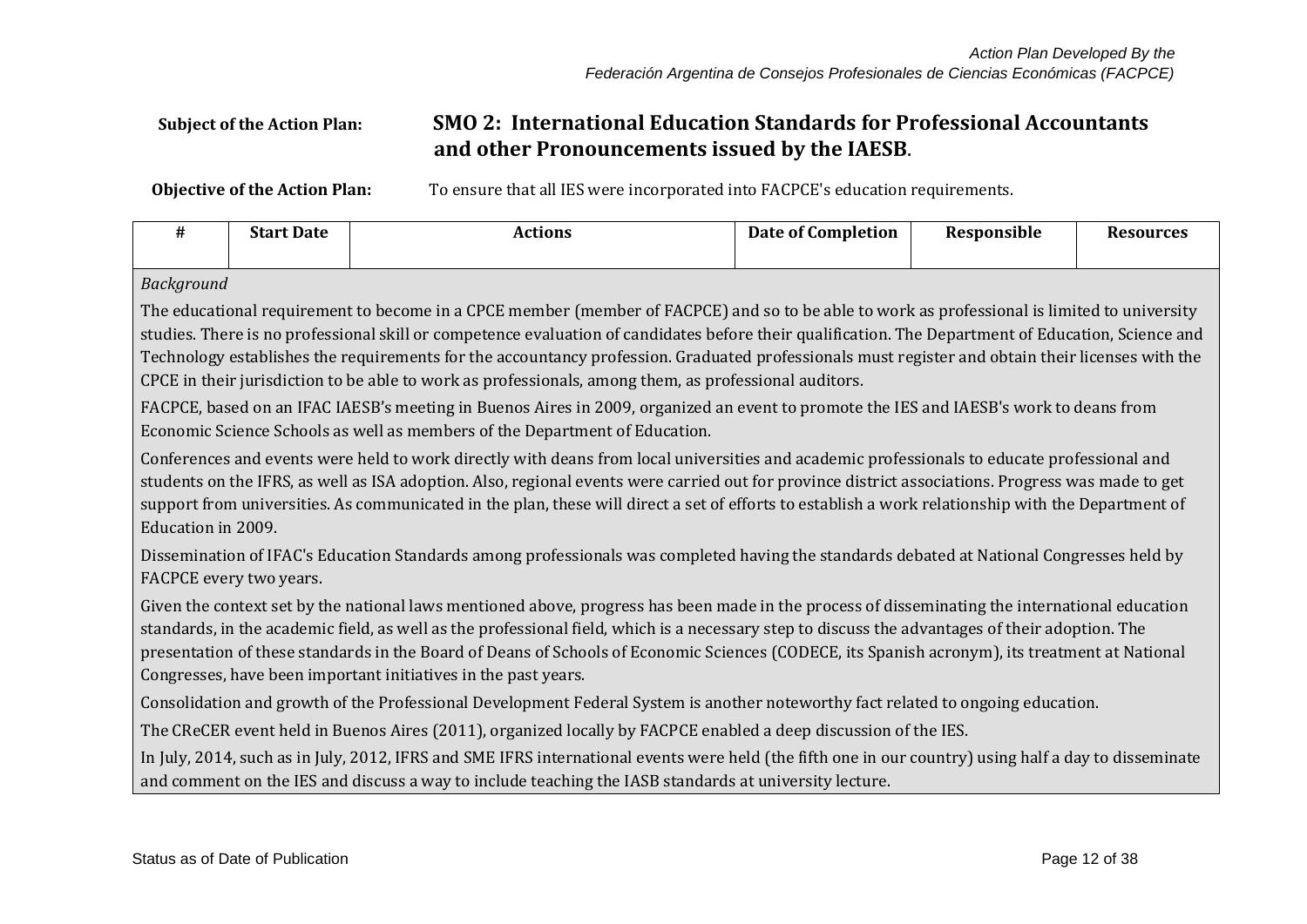## **Subject of the Action Plan: SMO 2: International Education Standards for Professional Accountants and other Pronouncements issued by the IAESB**.

**Objective of the Action Plan:** To ensure that all IES were incorporated into FACPCE's education requirements.

| #                                                                                                                                                                                                                                                                                                                                                                                                                                                                                                                                                                | <b>Start Date</b>                                                                                                                                                                                                                                                                                                                                                                                                                                                             | <b>Actions</b>                                                                                                                                                                                                                                                  | <b>Date of Completion</b> | Responsible | <b>Resources</b> |  |  |
|------------------------------------------------------------------------------------------------------------------------------------------------------------------------------------------------------------------------------------------------------------------------------------------------------------------------------------------------------------------------------------------------------------------------------------------------------------------------------------------------------------------------------------------------------------------|-------------------------------------------------------------------------------------------------------------------------------------------------------------------------------------------------------------------------------------------------------------------------------------------------------------------------------------------------------------------------------------------------------------------------------------------------------------------------------|-----------------------------------------------------------------------------------------------------------------------------------------------------------------------------------------------------------------------------------------------------------------|---------------------------|-------------|------------------|--|--|
|                                                                                                                                                                                                                                                                                                                                                                                                                                                                                                                                                                  | Background                                                                                                                                                                                                                                                                                                                                                                                                                                                                    |                                                                                                                                                                                                                                                                 |                           |             |                  |  |  |
| The educational requirement to become in a CPCE member (member of FACPCE) and so to be able to work as professional is limited to university<br>studies. There is no professional skill or competence evaluation of candidates before their qualification. The Department of Education, Science and<br>Technology establishes the requirements for the accountancy profession. Graduated professionals must register and obtain their licenses with the<br>CPCE in their jurisdiction to be able to work as professionals, among them, as professional auditors. |                                                                                                                                                                                                                                                                                                                                                                                                                                                                               |                                                                                                                                                                                                                                                                 |                           |             |                  |  |  |
|                                                                                                                                                                                                                                                                                                                                                                                                                                                                                                                                                                  |                                                                                                                                                                                                                                                                                                                                                                                                                                                                               | FACPCE, based on an IFAC IAESB's meeting in Buenos Aires in 2009, organized an event to promote the IES and IAESB's work to deans from<br>Economic Science Schools as well as members of the Department of Education.                                           |                           |             |                  |  |  |
|                                                                                                                                                                                                                                                                                                                                                                                                                                                                                                                                                                  | Conferences and events were held to work directly with deans from local universities and academic professionals to educate professional and<br>students on the IFRS, as well as ISA adoption. Also, regional events were carried out for province district associations. Progress was made to get<br>support from universities. As communicated in the plan, these will direct a set of efforts to establish a work relationship with the Department of<br>Education in 2009. |                                                                                                                                                                                                                                                                 |                           |             |                  |  |  |
|                                                                                                                                                                                                                                                                                                                                                                                                                                                                                                                                                                  | FACPCE every two years.                                                                                                                                                                                                                                                                                                                                                                                                                                                       | Dissemination of IFAC's Education Standards among professionals was completed having the standards debated at National Congresses held by                                                                                                                       |                           |             |                  |  |  |
| Given the context set by the national laws mentioned above, progress has been made in the process of disseminating the international education<br>standards, in the academic field, as well as the professional field, which is a necessary step to discuss the advantages of their adoption. The<br>presentation of these standards in the Board of Deans of Schools of Economic Sciences (CODECE, its Spanish acronym), its treatment at National<br>Congresses, have been important initiatives in the past years.                                            |                                                                                                                                                                                                                                                                                                                                                                                                                                                                               |                                                                                                                                                                                                                                                                 |                           |             |                  |  |  |
|                                                                                                                                                                                                                                                                                                                                                                                                                                                                                                                                                                  | Consolidation and growth of the Professional Development Federal System is another noteworthy fact related to ongoing education.                                                                                                                                                                                                                                                                                                                                              |                                                                                                                                                                                                                                                                 |                           |             |                  |  |  |
|                                                                                                                                                                                                                                                                                                                                                                                                                                                                                                                                                                  | The CReCER event held in Buenos Aires (2011), organized locally by FACPCE enabled a deep discussion of the IES.                                                                                                                                                                                                                                                                                                                                                               |                                                                                                                                                                                                                                                                 |                           |             |                  |  |  |
|                                                                                                                                                                                                                                                                                                                                                                                                                                                                                                                                                                  |                                                                                                                                                                                                                                                                                                                                                                                                                                                                               | In July, 2014, such as in July, 2012, IFRS and SME IFRS international events were held (the fifth one in our country) using half a day to disseminate<br>and comment on the IES and discuss a way to include teaching the IASB standards at university lecture. |                           |             |                  |  |  |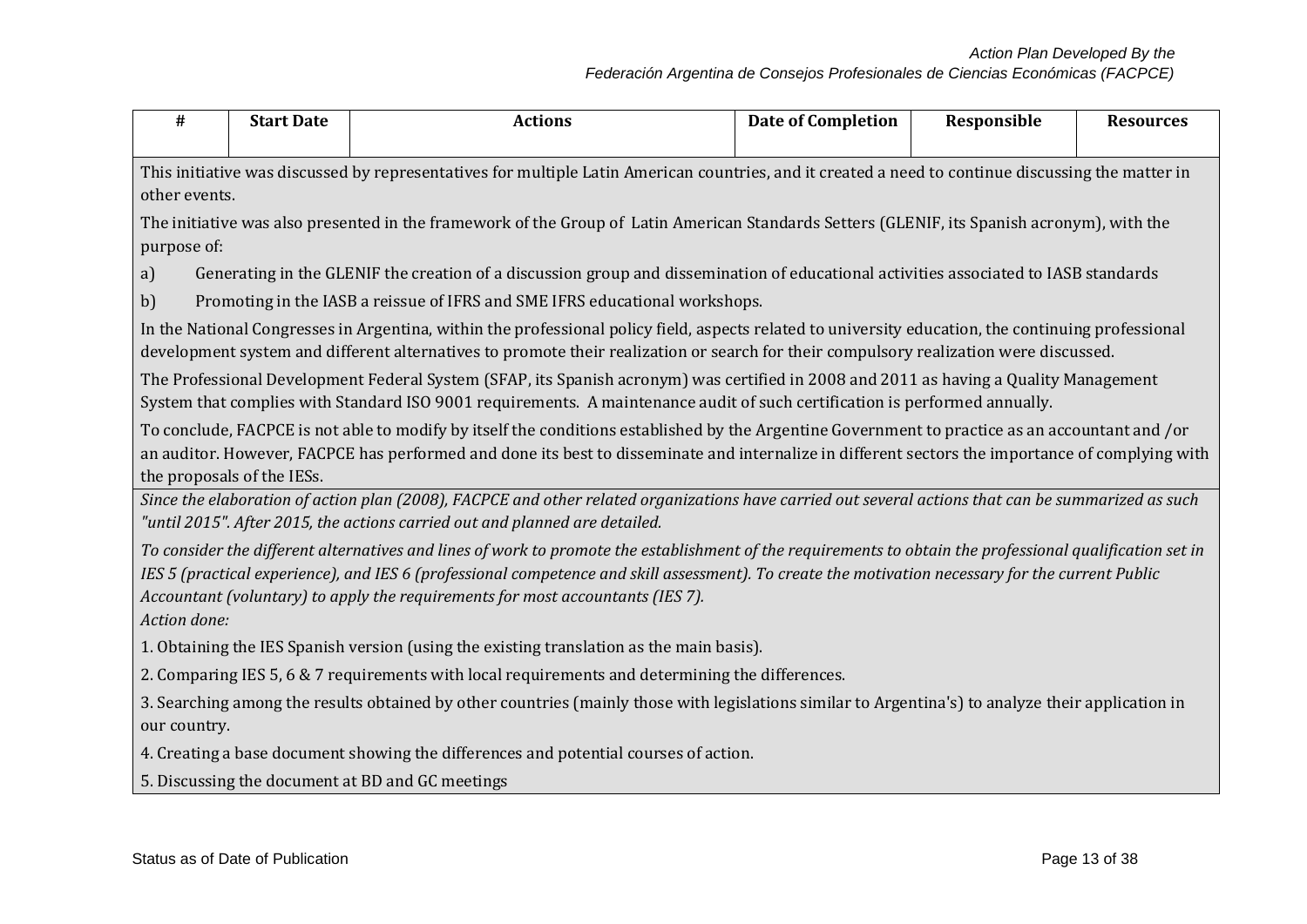| #                                                                                                                                                                   | <b>Start Date</b>                                                                                                                                                                                                                                                                                                                                                                                | <b>Actions</b>                                                                                                                                                                                                                                                                                      | <b>Date of Completion</b> | Responsible | <b>Resources</b> |  |  |
|---------------------------------------------------------------------------------------------------------------------------------------------------------------------|--------------------------------------------------------------------------------------------------------------------------------------------------------------------------------------------------------------------------------------------------------------------------------------------------------------------------------------------------------------------------------------------------|-----------------------------------------------------------------------------------------------------------------------------------------------------------------------------------------------------------------------------------------------------------------------------------------------------|---------------------------|-------------|------------------|--|--|
| This initiative was discussed by representatives for multiple Latin American countries, and it created a need to continue discussing the matter in<br>other events. |                                                                                                                                                                                                                                                                                                                                                                                                  |                                                                                                                                                                                                                                                                                                     |                           |             |                  |  |  |
| purpose of:                                                                                                                                                         | The initiative was also presented in the framework of the Group of Latin American Standards Setters (GLENIF, its Spanish acronym), with the                                                                                                                                                                                                                                                      |                                                                                                                                                                                                                                                                                                     |                           |             |                  |  |  |
| a)<br>b)                                                                                                                                                            |                                                                                                                                                                                                                                                                                                                                                                                                  | Generating in the GLENIF the creation of a discussion group and dissemination of educational activities associated to IASB standards<br>Promoting in the IASB a reissue of IFRS and SME IFRS educational workshops.                                                                                 |                           |             |                  |  |  |
|                                                                                                                                                                     |                                                                                                                                                                                                                                                                                                                                                                                                  | In the National Congresses in Argentina, within the professional policy field, aspects related to university education, the continuing professional<br>development system and different alternatives to promote their realization or search for their compulsory realization were discussed.        |                           |             |                  |  |  |
|                                                                                                                                                                     |                                                                                                                                                                                                                                                                                                                                                                                                  | The Professional Development Federal System (SFAP, its Spanish acronym) was certified in 2008 and 2011 as having a Quality Management<br>System that complies with Standard ISO 9001 requirements. A maintenance audit of such certification is performed annually.                                 |                           |             |                  |  |  |
|                                                                                                                                                                     | the proposals of the IESs.                                                                                                                                                                                                                                                                                                                                                                       | To conclude, FACPCE is not able to modify by itself the conditions established by the Argentine Government to practice as an accountant and /or<br>an auditor. However, FACPCE has performed and done its best to disseminate and internalize in different sectors the importance of complying with |                           |             |                  |  |  |
|                                                                                                                                                                     |                                                                                                                                                                                                                                                                                                                                                                                                  | Since the elaboration of action plan (2008), FACPCE and other related organizations have carried out several actions that can be summarized as such<br>"until 2015". After 2015, the actions carried out and planned are detailed.                                                                  |                           |             |                  |  |  |
| Action done:                                                                                                                                                        | To consider the different alternatives and lines of work to promote the establishment of the requirements to obtain the professional qualification set in<br>IES 5 (practical experience), and IES 6 (professional competence and skill assessment). To create the motivation necessary for the current Public<br>Accountant (voluntary) to apply the requirements for most accountants (IES 7). |                                                                                                                                                                                                                                                                                                     |                           |             |                  |  |  |
|                                                                                                                                                                     |                                                                                                                                                                                                                                                                                                                                                                                                  | 1. Obtaining the IES Spanish version (using the existing translation as the main basis).                                                                                                                                                                                                            |                           |             |                  |  |  |
| 2. Comparing IES 5, 6 & 7 requirements with local requirements and determining the differences.                                                                     |                                                                                                                                                                                                                                                                                                                                                                                                  |                                                                                                                                                                                                                                                                                                     |                           |             |                  |  |  |
| our country.                                                                                                                                                        | 3. Searching among the results obtained by other countries (mainly those with legislations similar to Argentina's) to analyze their application in                                                                                                                                                                                                                                               |                                                                                                                                                                                                                                                                                                     |                           |             |                  |  |  |
|                                                                                                                                                                     |                                                                                                                                                                                                                                                                                                                                                                                                  | 4. Creating a base document showing the differences and potential courses of action.                                                                                                                                                                                                                |                           |             |                  |  |  |
|                                                                                                                                                                     |                                                                                                                                                                                                                                                                                                                                                                                                  | 5. Discussing the document at BD and GC meetings                                                                                                                                                                                                                                                    |                           |             |                  |  |  |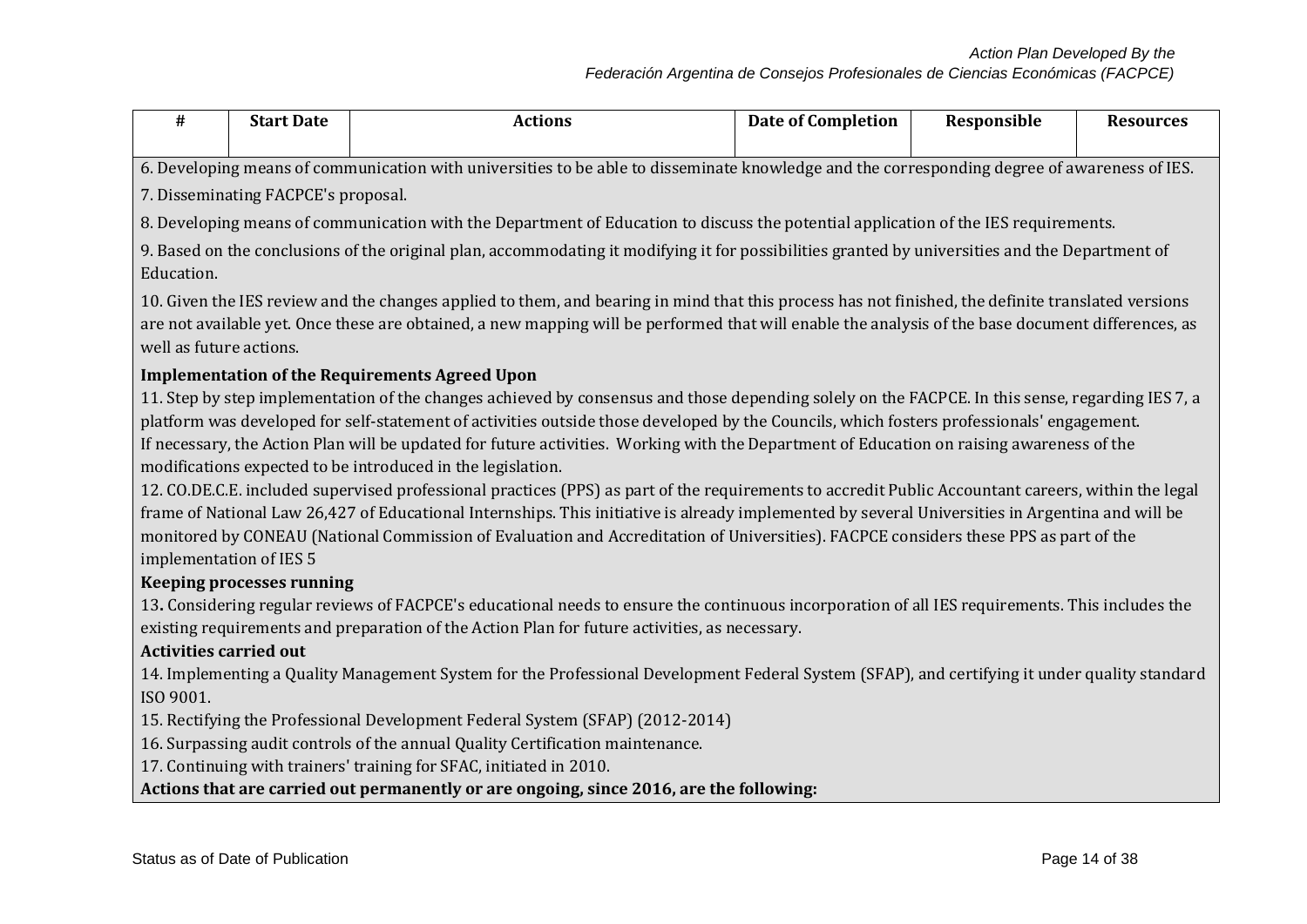| #                                                                                                                                            | <b>Start Date</b>                                                                                                                                                                                                                                                                                                                   | <b>Actions</b>                                                                                                                                      | <b>Date of Completion</b> | Responsible | <b>Resources</b> |  |  |  |  |
|----------------------------------------------------------------------------------------------------------------------------------------------|-------------------------------------------------------------------------------------------------------------------------------------------------------------------------------------------------------------------------------------------------------------------------------------------------------------------------------------|-----------------------------------------------------------------------------------------------------------------------------------------------------|---------------------------|-------------|------------------|--|--|--|--|
|                                                                                                                                              |                                                                                                                                                                                                                                                                                                                                     |                                                                                                                                                     |                           |             |                  |  |  |  |  |
| 6. Developing means of communication with universities to be able to disseminate knowledge and the corresponding degree of awareness of IES. |                                                                                                                                                                                                                                                                                                                                     |                                                                                                                                                     |                           |             |                  |  |  |  |  |
|                                                                                                                                              | 7. Disseminating FACPCE's proposal.                                                                                                                                                                                                                                                                                                 |                                                                                                                                                     |                           |             |                  |  |  |  |  |
|                                                                                                                                              | 8. Developing means of communication with the Department of Education to discuss the potential application of the IES requirements.                                                                                                                                                                                                 |                                                                                                                                                     |                           |             |                  |  |  |  |  |
| Education.                                                                                                                                   | 9. Based on the conclusions of the original plan, accommodating it modifying it for possibilities granted by universities and the Department of                                                                                                                                                                                     |                                                                                                                                                     |                           |             |                  |  |  |  |  |
|                                                                                                                                              | 10. Given the IES review and the changes applied to them, and bearing in mind that this process has not finished, the definite translated versions<br>are not available yet. Once these are obtained, a new mapping will be performed that will enable the analysis of the base document differences, as<br>well as future actions. |                                                                                                                                                     |                           |             |                  |  |  |  |  |
|                                                                                                                                              | <b>Implementation of the Requirements Agreed Upon</b>                                                                                                                                                                                                                                                                               |                                                                                                                                                     |                           |             |                  |  |  |  |  |
|                                                                                                                                              |                                                                                                                                                                                                                                                                                                                                     | 11. Step by step implementation of the changes achieved by consensus and those depending solely on the FACPCE. In this sense, regarding IES 7, a    |                           |             |                  |  |  |  |  |
|                                                                                                                                              |                                                                                                                                                                                                                                                                                                                                     | platform was developed for self-statement of activities outside those developed by the Councils, which fosters professionals' engagement.           |                           |             |                  |  |  |  |  |
|                                                                                                                                              |                                                                                                                                                                                                                                                                                                                                     | If necessary, the Action Plan will be updated for future activities. Working with the Department of Education on raising awareness of the           |                           |             |                  |  |  |  |  |
|                                                                                                                                              |                                                                                                                                                                                                                                                                                                                                     | modifications expected to be introduced in the legislation.                                                                                         |                           |             |                  |  |  |  |  |
|                                                                                                                                              |                                                                                                                                                                                                                                                                                                                                     | 12. CO.DE.C.E. included supervised professional practices (PPS) as part of the requirements to accredit Public Accountant careers, within the legal |                           |             |                  |  |  |  |  |
|                                                                                                                                              |                                                                                                                                                                                                                                                                                                                                     | frame of National Law 26,427 of Educational Internships. This initiative is already implemented by several Universities in Argentina and will be    |                           |             |                  |  |  |  |  |
|                                                                                                                                              |                                                                                                                                                                                                                                                                                                                                     | monitored by CONEAU (National Commission of Evaluation and Accreditation of Universities). FACPCE considers these PPS as part of the                |                           |             |                  |  |  |  |  |
| implementation of IES 5                                                                                                                      |                                                                                                                                                                                                                                                                                                                                     |                                                                                                                                                     |                           |             |                  |  |  |  |  |
|                                                                                                                                              | <b>Keeping processes running</b>                                                                                                                                                                                                                                                                                                    |                                                                                                                                                     |                           |             |                  |  |  |  |  |
|                                                                                                                                              |                                                                                                                                                                                                                                                                                                                                     | 13. Considering regular reviews of FACPCE's educational needs to ensure the continuous incorporation of all IES requirements. This includes the     |                           |             |                  |  |  |  |  |
|                                                                                                                                              |                                                                                                                                                                                                                                                                                                                                     | existing requirements and preparation of the Action Plan for future activities, as necessary.                                                       |                           |             |                  |  |  |  |  |
| <b>Activities carried out</b>                                                                                                                |                                                                                                                                                                                                                                                                                                                                     |                                                                                                                                                     |                           |             |                  |  |  |  |  |
|                                                                                                                                              |                                                                                                                                                                                                                                                                                                                                     | 14. Implementing a Quality Management System for the Professional Development Federal System (SFAP), and certifying it under quality standard       |                           |             |                  |  |  |  |  |
| ISO 9001.                                                                                                                                    |                                                                                                                                                                                                                                                                                                                                     |                                                                                                                                                     |                           |             |                  |  |  |  |  |

15. Rectifying the Professional Development Federal System (SFAP) (2012-2014)

16. Surpassing audit controls of the annual Quality Certification maintenance.

17. Continuing with trainers' training for SFAC, initiated in 2010.

**Actions that are carried out permanently or are ongoing, since 2016, are the following:**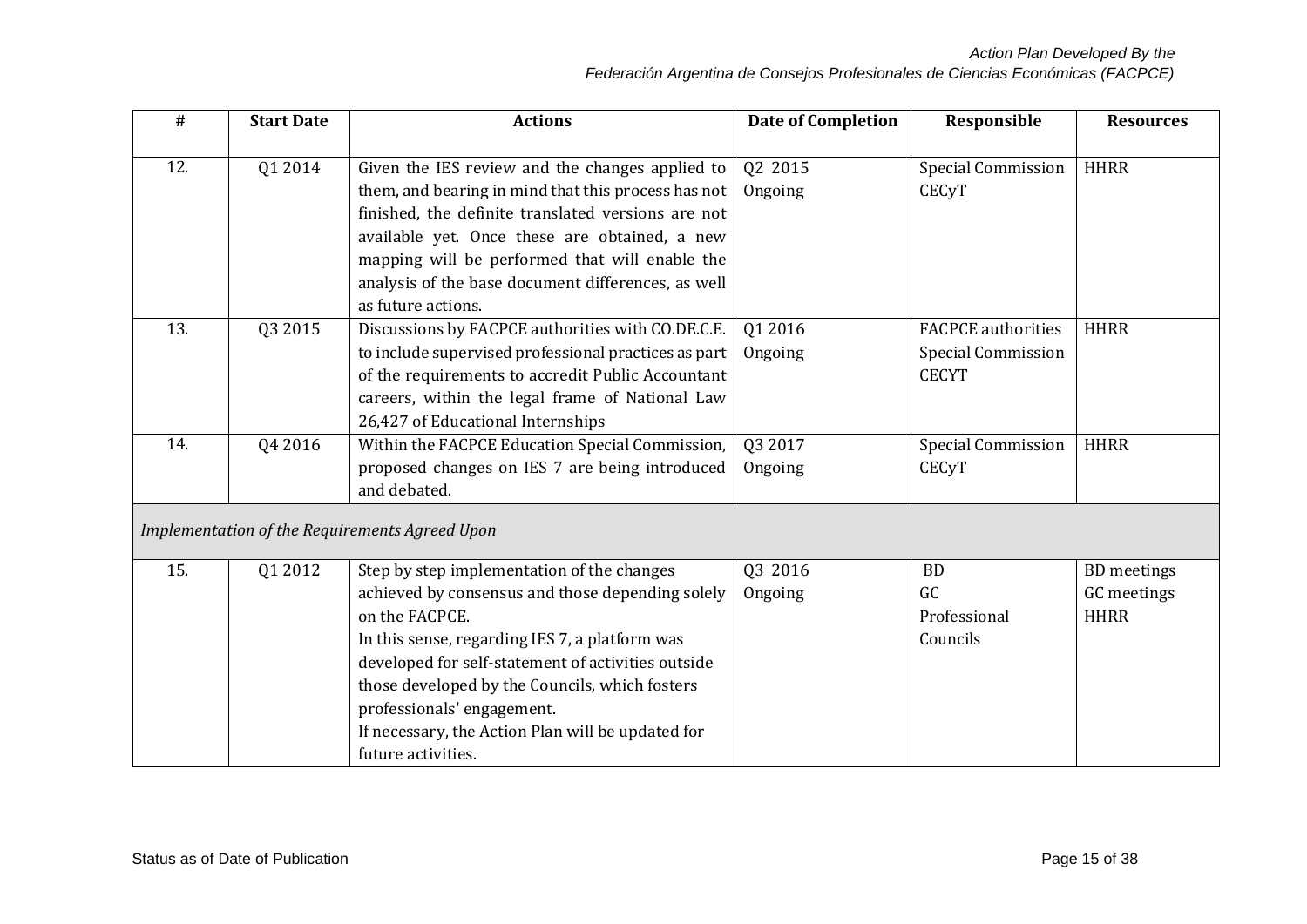| #   | <b>Start Date</b> | <b>Actions</b>                                       | <b>Date of Completion</b> | Responsible               | <b>Resources</b>   |
|-----|-------------------|------------------------------------------------------|---------------------------|---------------------------|--------------------|
| 12. | Q1 2014           | Given the IES review and the changes applied to      | Q2 2015                   | Special Commission        | <b>HHRR</b>        |
|     |                   | them, and bearing in mind that this process has not  | Ongoing                   | <b>CEC<sub>V</sub>T</b>   |                    |
|     |                   | finished, the definite translated versions are not   |                           |                           |                    |
|     |                   | available yet. Once these are obtained, a new        |                           |                           |                    |
|     |                   | mapping will be performed that will enable the       |                           |                           |                    |
|     |                   | analysis of the base document differences, as well   |                           |                           |                    |
|     |                   | as future actions.                                   |                           |                           |                    |
| 13. | Q3 2015           | Discussions by FACPCE authorities with CO.DE.C.E.    | Q1 2016                   | <b>FACPCE</b> authorities | <b>HHRR</b>        |
|     |                   | to include supervised professional practices as part | Ongoing                   | <b>Special Commission</b> |                    |
|     |                   | of the requirements to accredit Public Accountant    |                           | <b>CECYT</b>              |                    |
|     |                   | careers, within the legal frame of National Law      |                           |                           |                    |
|     |                   | 26,427 of Educational Internships                    |                           |                           |                    |
| 14. | Q4 2016           | Within the FACPCE Education Special Commission,      | Q3 2017                   | <b>Special Commission</b> | <b>HHRR</b>        |
|     |                   | proposed changes on IES 7 are being introduced       | Ongoing                   | <b>CECyT</b>              |                    |
|     |                   | and debated.                                         |                           |                           |                    |
|     |                   | Implementation of the Requirements Agreed Upon       |                           |                           |                    |
|     |                   |                                                      |                           |                           |                    |
| 15. | Q1 2012           | Step by step implementation of the changes           | Q3 2016                   | <b>BD</b>                 | <b>BD</b> meetings |
|     |                   | achieved by consensus and those depending solely     | Ongoing                   | GC                        | GC meetings        |
|     |                   | on the FACPCE.                                       |                           | Professional              | <b>HHRR</b>        |
|     |                   | In this sense, regarding IES 7, a platform was       |                           | Councils                  |                    |
|     |                   | developed for self-statement of activities outside   |                           |                           |                    |
|     |                   | those developed by the Councils, which fosters       |                           |                           |                    |
|     |                   | professionals' engagement.                           |                           |                           |                    |
|     |                   | If necessary, the Action Plan will be updated for    |                           |                           |                    |
|     |                   | future activities.                                   |                           |                           |                    |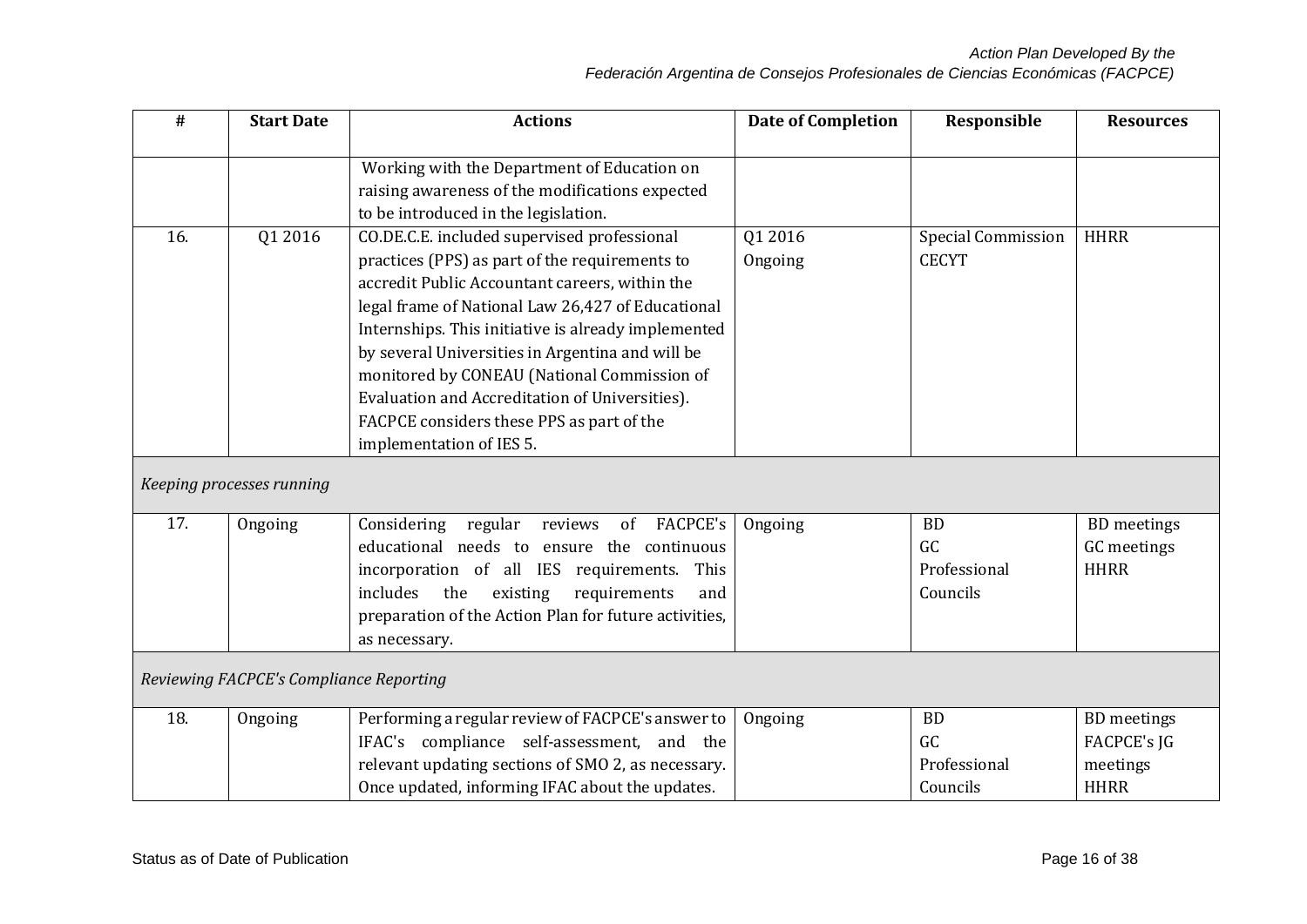| $\#$ | <b>Start Date</b>                       | <b>Actions</b>                                                                                                                                                                                                                                                                                                                                                                                                                                                                            | <b>Date of Completion</b> | Responsible                                 | <b>Resources</b>                                                    |
|------|-----------------------------------------|-------------------------------------------------------------------------------------------------------------------------------------------------------------------------------------------------------------------------------------------------------------------------------------------------------------------------------------------------------------------------------------------------------------------------------------------------------------------------------------------|---------------------------|---------------------------------------------|---------------------------------------------------------------------|
|      |                                         | Working with the Department of Education on<br>raising awareness of the modifications expected<br>to be introduced in the legislation.                                                                                                                                                                                                                                                                                                                                                    |                           |                                             |                                                                     |
| 16.  | Q1 2016                                 | CO.DE.C.E. included supervised professional<br>practices (PPS) as part of the requirements to<br>accredit Public Accountant careers, within the<br>legal frame of National Law 26,427 of Educational<br>Internships. This initiative is already implemented<br>by several Universities in Argentina and will be<br>monitored by CONEAU (National Commission of<br>Evaluation and Accreditation of Universities).<br>FACPCE considers these PPS as part of the<br>implementation of IES 5. | Q1 2016<br>Ongoing        | <b>Special Commission</b><br><b>CECYT</b>   | <b>HHRR</b>                                                         |
|      | Keeping processes running               |                                                                                                                                                                                                                                                                                                                                                                                                                                                                                           |                           |                                             |                                                                     |
| 17.  | Ongoing                                 | <b>FACPCE's</b><br>Considering<br>regular<br>reviews<br>of<br>educational needs to ensure the continuous<br>incorporation of all IES requirements.<br>This<br>includes<br>the<br>existing<br>requirements<br>and<br>preparation of the Action Plan for future activities,<br>as necessary.                                                                                                                                                                                                | Ongoing                   | <b>BD</b><br>GC<br>Professional<br>Councils | <b>BD</b> meetings<br>GC meetings<br><b>HHRR</b>                    |
|      | Reviewing FACPCE's Compliance Reporting |                                                                                                                                                                                                                                                                                                                                                                                                                                                                                           |                           |                                             |                                                                     |
| 18.  | Ongoing                                 | Performing a regular review of FACPCE's answer to<br>IFAC's compliance self-assessment, and the<br>relevant updating sections of SMO 2, as necessary.<br>Once updated, informing IFAC about the updates.                                                                                                                                                                                                                                                                                  | Ongoing                   | <b>BD</b><br>GC<br>Professional<br>Councils | <b>BD</b> meetings<br><b>FACPCE's JG</b><br>meetings<br><b>HHRR</b> |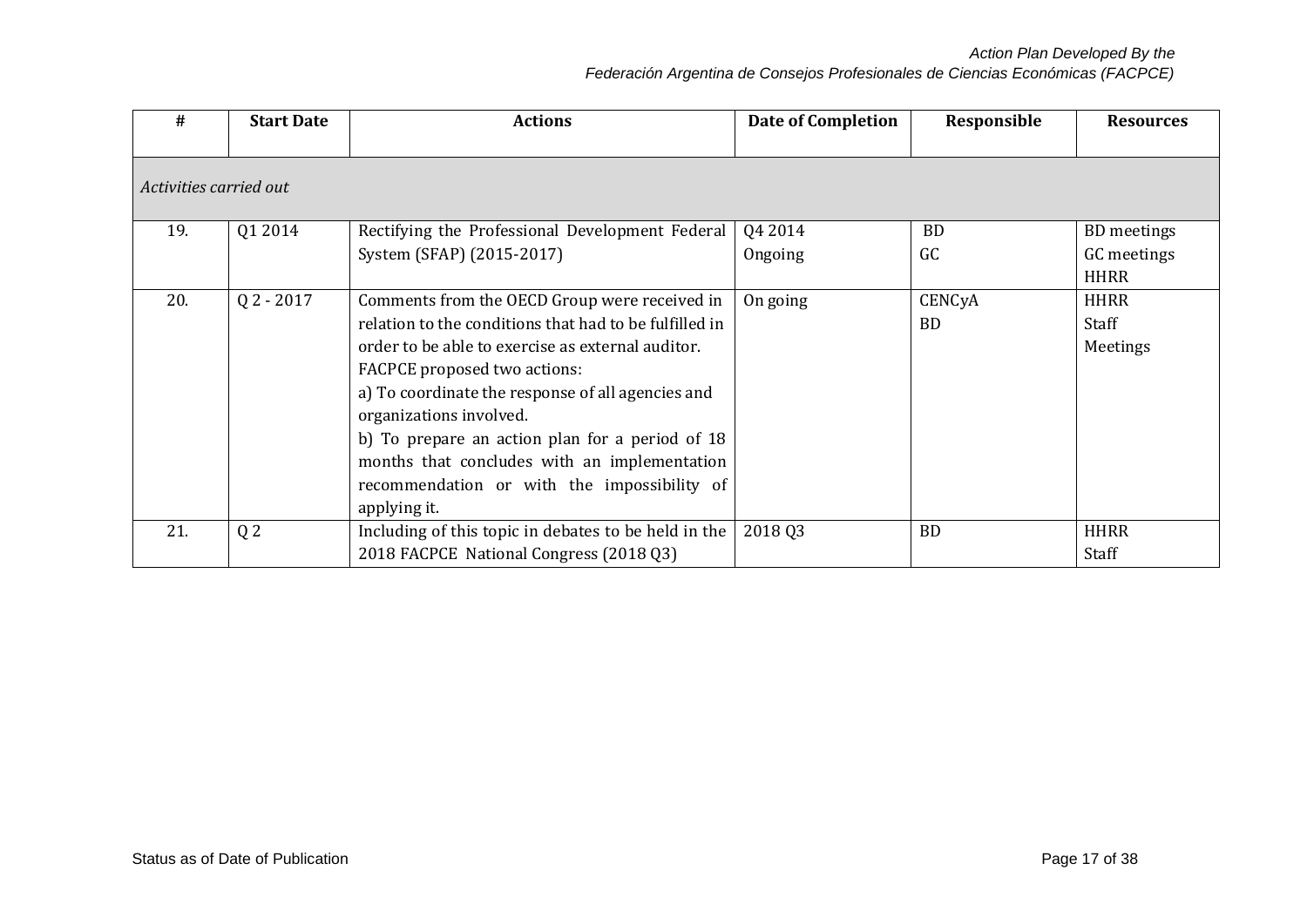*Action Plan Developed By the*

## *Federación Argentina de Consejos Profesionales de Ciencias Económicas (FACPCE)*

| #                      | <b>Start Date</b> | <b>Actions</b>                                                                                                                                                                                                                                                                                                                                                                                                                                 | <b>Date of Completion</b> | Responsible         | <b>Resources</b>                                 |
|------------------------|-------------------|------------------------------------------------------------------------------------------------------------------------------------------------------------------------------------------------------------------------------------------------------------------------------------------------------------------------------------------------------------------------------------------------------------------------------------------------|---------------------------|---------------------|--------------------------------------------------|
| Activities carried out |                   |                                                                                                                                                                                                                                                                                                                                                                                                                                                |                           |                     |                                                  |
| 19.                    | Q1 2014           | Rectifying the Professional Development Federal<br>System (SFAP) (2015-2017)                                                                                                                                                                                                                                                                                                                                                                   | Q4 2014<br>Ongoing        | <b>BD</b><br>GC     | <b>BD</b> meetings<br>GC meetings<br><b>HHRR</b> |
| 20.                    | $Q$ 2 - 2017      | Comments from the OECD Group were received in<br>relation to the conditions that had to be fulfilled in<br>order to be able to exercise as external auditor.<br>FACPCE proposed two actions:<br>a) To coordinate the response of all agencies and<br>organizations involved.<br>b) To prepare an action plan for a period of 18<br>months that concludes with an implementation<br>recommendation or with the impossibility of<br>applying it. | On going                  | CENCyA<br><b>BD</b> | <b>HHRR</b><br>Staff<br>Meetings                 |
| 21.                    | Q <sub>2</sub>    | Including of this topic in debates to be held in the<br>2018 FACPCE National Congress (2018 Q3)                                                                                                                                                                                                                                                                                                                                                | 2018 03                   | <b>BD</b>           | <b>HHRR</b><br>Staff                             |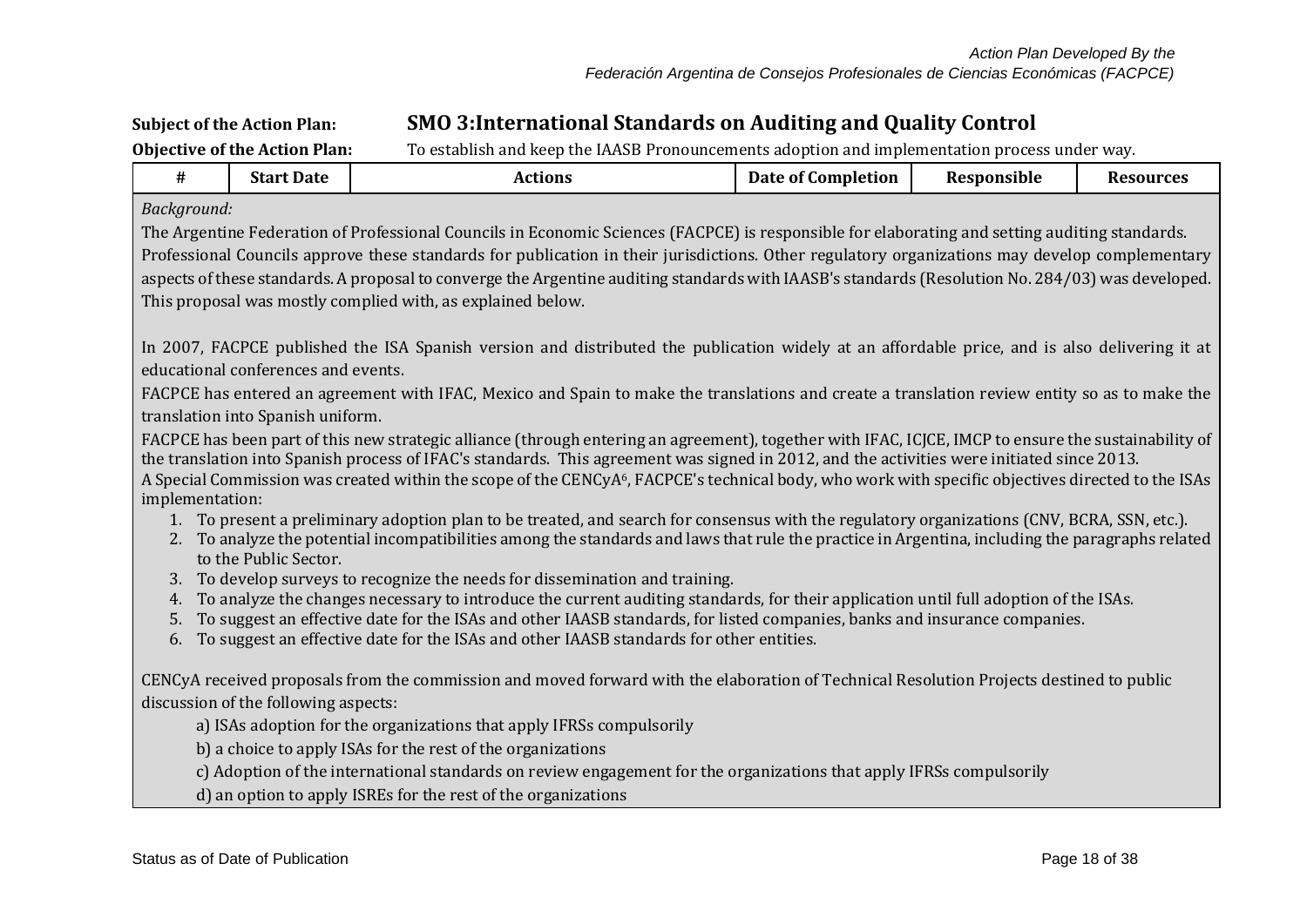# **Subject of the Action Plan: SMO 3:International Standards on Auditing and Quality Control**

| <b>Objective of the Action Plan:</b><br>To establish and keep the IAASB Pronouncements adoption and implementation process under way. |                                      |                                                                                                                                                                                                                      |                           |             |                  |  |  |
|---------------------------------------------------------------------------------------------------------------------------------------|--------------------------------------|----------------------------------------------------------------------------------------------------------------------------------------------------------------------------------------------------------------------|---------------------------|-------------|------------------|--|--|
| #                                                                                                                                     | <b>Start Date</b>                    | <b>Actions</b>                                                                                                                                                                                                       | <b>Date of Completion</b> | Responsible | <b>Resources</b> |  |  |
| Background:                                                                                                                           |                                      |                                                                                                                                                                                                                      |                           |             |                  |  |  |
|                                                                                                                                       |                                      | The Argentine Federation of Professional Councils in Economic Sciences (FACPCE) is responsible for elaborating and setting auditing standards.                                                                       |                           |             |                  |  |  |
|                                                                                                                                       |                                      | Professional Councils approve these standards for publication in their jurisdictions. Other regulatory organizations may develop complementary                                                                       |                           |             |                  |  |  |
|                                                                                                                                       |                                      | aspects of these standards. A proposal to converge the Argentine auditing standards with IAASB's standards (Resolution No. 284/03) was developed.                                                                    |                           |             |                  |  |  |
|                                                                                                                                       |                                      | This proposal was mostly complied with, as explained below.                                                                                                                                                          |                           |             |                  |  |  |
|                                                                                                                                       |                                      |                                                                                                                                                                                                                      |                           |             |                  |  |  |
|                                                                                                                                       |                                      | In 2007, FACPCE published the ISA Spanish version and distributed the publication widely at an affordable price, and is also delivering it at                                                                        |                           |             |                  |  |  |
|                                                                                                                                       | educational conferences and events.  |                                                                                                                                                                                                                      |                           |             |                  |  |  |
|                                                                                                                                       |                                      | FACPCE has entered an agreement with IFAC, Mexico and Spain to make the translations and create a translation review entity so as to make the                                                                        |                           |             |                  |  |  |
|                                                                                                                                       | translation into Spanish uniform.    |                                                                                                                                                                                                                      |                           |             |                  |  |  |
|                                                                                                                                       |                                      | FACPCE has been part of this new strategic alliance (through entering an agreement), together with IFAC, ICJCE, IMCP to ensure the sustainability of                                                                 |                           |             |                  |  |  |
|                                                                                                                                       |                                      | the translation into Spanish process of IFAC's standards. This agreement was signed in 2012, and the activities were initiated since 2013.                                                                           |                           |             |                  |  |  |
| implementation:                                                                                                                       |                                      | A Special Commission was created within the scope of the CENCyA <sup>6</sup> , FACPCE's technical body, who work with specific objectives directed to the ISAs                                                       |                           |             |                  |  |  |
|                                                                                                                                       |                                      | 1. To present a preliminary adoption plan to be treated, and search for consensus with the regulatory organizations (CNV, BCRA, SSN, etc.).                                                                          |                           |             |                  |  |  |
|                                                                                                                                       |                                      | 2. To analyze the potential incompatibilities among the standards and laws that rule the practice in Argentina, including the paragraphs related                                                                     |                           |             |                  |  |  |
|                                                                                                                                       | to the Public Sector.                |                                                                                                                                                                                                                      |                           |             |                  |  |  |
| 3.                                                                                                                                    |                                      | To develop surveys to recognize the needs for dissemination and training.                                                                                                                                            |                           |             |                  |  |  |
| 4.                                                                                                                                    |                                      | To analyze the changes necessary to introduce the current auditing standards, for their application until full adoption of the ISAs.                                                                                 |                           |             |                  |  |  |
| 5.<br>6.                                                                                                                              |                                      | To suggest an effective date for the ISAs and other IAASB standards, for listed companies, banks and insurance companies.<br>To suggest an effective date for the ISAs and other IAASB standards for other entities. |                           |             |                  |  |  |
|                                                                                                                                       |                                      |                                                                                                                                                                                                                      |                           |             |                  |  |  |
|                                                                                                                                       |                                      | CENCyA received proposals from the commission and moved forward with the elaboration of Technical Resolution Projects destined to public                                                                             |                           |             |                  |  |  |
|                                                                                                                                       | discussion of the following aspects: |                                                                                                                                                                                                                      |                           |             |                  |  |  |
|                                                                                                                                       |                                      | a) ISAs adoption for the organizations that apply IFRSs compulsorily                                                                                                                                                 |                           |             |                  |  |  |
|                                                                                                                                       |                                      | b) a choice to apply ISAs for the rest of the organizations                                                                                                                                                          |                           |             |                  |  |  |
|                                                                                                                                       |                                      | c) Adoption of the international standards on review engagement for the organizations that apply IFRSs compulsorily                                                                                                  |                           |             |                  |  |  |
|                                                                                                                                       |                                      | d) an option to apply ISREs for the rest of the organizations                                                                                                                                                        |                           |             |                  |  |  |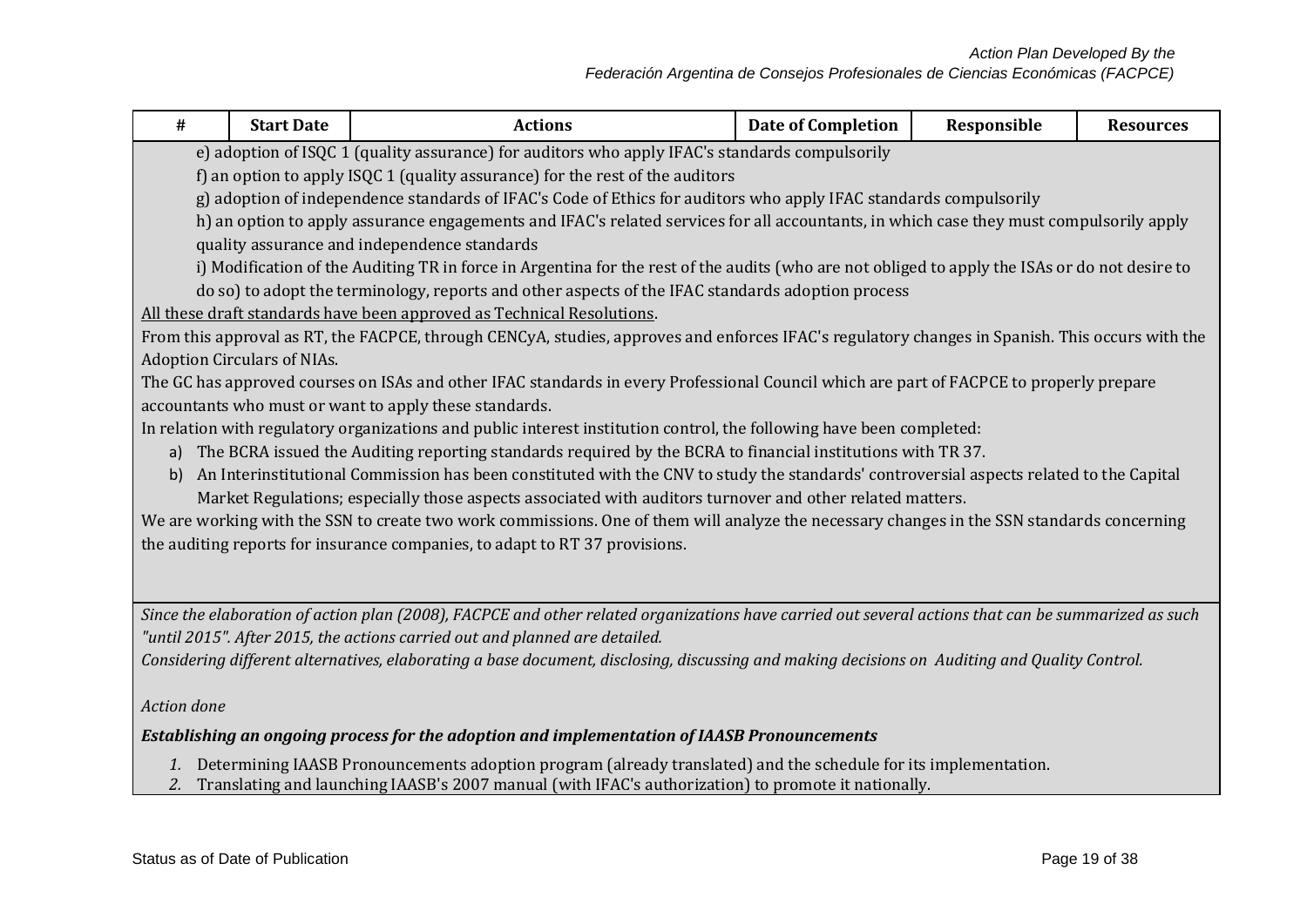| #                                                                                                  | <b>Start Date</b>                                                                                                                                                               | <b>Actions</b>                                                                                                                                      | <b>Date of Completion</b> | Responsible | <b>Resources</b> |  |  |  |  |
|----------------------------------------------------------------------------------------------------|---------------------------------------------------------------------------------------------------------------------------------------------------------------------------------|-----------------------------------------------------------------------------------------------------------------------------------------------------|---------------------------|-------------|------------------|--|--|--|--|
|                                                                                                    |                                                                                                                                                                                 |                                                                                                                                                     |                           |             |                  |  |  |  |  |
|                                                                                                    | e) adoption of ISQC 1 (quality assurance) for auditors who apply IFAC's standards compulsorily<br>f) an option to apply ISQC 1 (quality assurance) for the rest of the auditors |                                                                                                                                                     |                           |             |                  |  |  |  |  |
|                                                                                                    |                                                                                                                                                                                 | g) adoption of independence standards of IFAC's Code of Ethics for auditors who apply IFAC standards compulsorily                                   |                           |             |                  |  |  |  |  |
|                                                                                                    |                                                                                                                                                                                 | h) an option to apply assurance engagements and IFAC's related services for all accountants, in which case they must compulsorily apply             |                           |             |                  |  |  |  |  |
|                                                                                                    |                                                                                                                                                                                 | quality assurance and independence standards                                                                                                        |                           |             |                  |  |  |  |  |
|                                                                                                    |                                                                                                                                                                                 | i) Modification of the Auditing TR in force in Argentina for the rest of the audits (who are not obliged to apply the ISAs or do not desire to      |                           |             |                  |  |  |  |  |
|                                                                                                    |                                                                                                                                                                                 | do so) to adopt the terminology, reports and other aspects of the IFAC standards adoption process                                                   |                           |             |                  |  |  |  |  |
|                                                                                                    |                                                                                                                                                                                 | All these draft standards have been approved as Technical Resolutions.                                                                              |                           |             |                  |  |  |  |  |
|                                                                                                    |                                                                                                                                                                                 | From this approval as RT, the FACPCE, through CENCyA, studies, approves and enforces IFAC's regulatory changes in Spanish. This occurs with the     |                           |             |                  |  |  |  |  |
|                                                                                                    | <b>Adoption Circulars of NIAs.</b>                                                                                                                                              |                                                                                                                                                     |                           |             |                  |  |  |  |  |
|                                                                                                    |                                                                                                                                                                                 | The GC has approved courses on ISAs and other IFAC standards in every Professional Council which are part of FACPCE to properly prepare             |                           |             |                  |  |  |  |  |
|                                                                                                    |                                                                                                                                                                                 | accountants who must or want to apply these standards.                                                                                              |                           |             |                  |  |  |  |  |
|                                                                                                    |                                                                                                                                                                                 | In relation with regulatory organizations and public interest institution control, the following have been completed:                               |                           |             |                  |  |  |  |  |
|                                                                                                    |                                                                                                                                                                                 | a) The BCRA issued the Auditing reporting standards required by the BCRA to financial institutions with TR 37.                                      |                           |             |                  |  |  |  |  |
| b)                                                                                                 |                                                                                                                                                                                 | An Interinstitutional Commission has been constituted with the CNV to study the standards' controversial aspects related to the Capital             |                           |             |                  |  |  |  |  |
|                                                                                                    |                                                                                                                                                                                 | Market Regulations; especially those aspects associated with auditors turnover and other related matters.                                           |                           |             |                  |  |  |  |  |
|                                                                                                    |                                                                                                                                                                                 | We are working with the SSN to create two work commissions. One of them will analyze the necessary changes in the SSN standards concerning          |                           |             |                  |  |  |  |  |
|                                                                                                    |                                                                                                                                                                                 | the auditing reports for insurance companies, to adapt to RT 37 provisions.                                                                         |                           |             |                  |  |  |  |  |
|                                                                                                    |                                                                                                                                                                                 |                                                                                                                                                     |                           |             |                  |  |  |  |  |
|                                                                                                    |                                                                                                                                                                                 |                                                                                                                                                     |                           |             |                  |  |  |  |  |
|                                                                                                    |                                                                                                                                                                                 | Since the elaboration of action plan (2008), FACPCE and other related organizations have carried out several actions that can be summarized as such |                           |             |                  |  |  |  |  |
|                                                                                                    |                                                                                                                                                                                 | "until 2015". After 2015, the actions carried out and planned are detailed.                                                                         |                           |             |                  |  |  |  |  |
|                                                                                                    | Considering different alternatives, elaborating a base document, disclosing, discussing and making decisions on Auditing and Quality Control.                                   |                                                                                                                                                     |                           |             |                  |  |  |  |  |
|                                                                                                    |                                                                                                                                                                                 |                                                                                                                                                     |                           |             |                  |  |  |  |  |
| Action done                                                                                        |                                                                                                                                                                                 |                                                                                                                                                     |                           |             |                  |  |  |  |  |
| <b>Establishing an ongoing process for the adoption and implementation of IAASB Pronouncements</b> |                                                                                                                                                                                 |                                                                                                                                                     |                           |             |                  |  |  |  |  |
|                                                                                                    |                                                                                                                                                                                 | 1. Determining IAASB Pronouncements adoption program (already translated) and the schedule for its implementation.                                  |                           |             |                  |  |  |  |  |

*2.* Translating and launching IAASB's 2007 manual (with IFAC's authorization) to promote it nationally.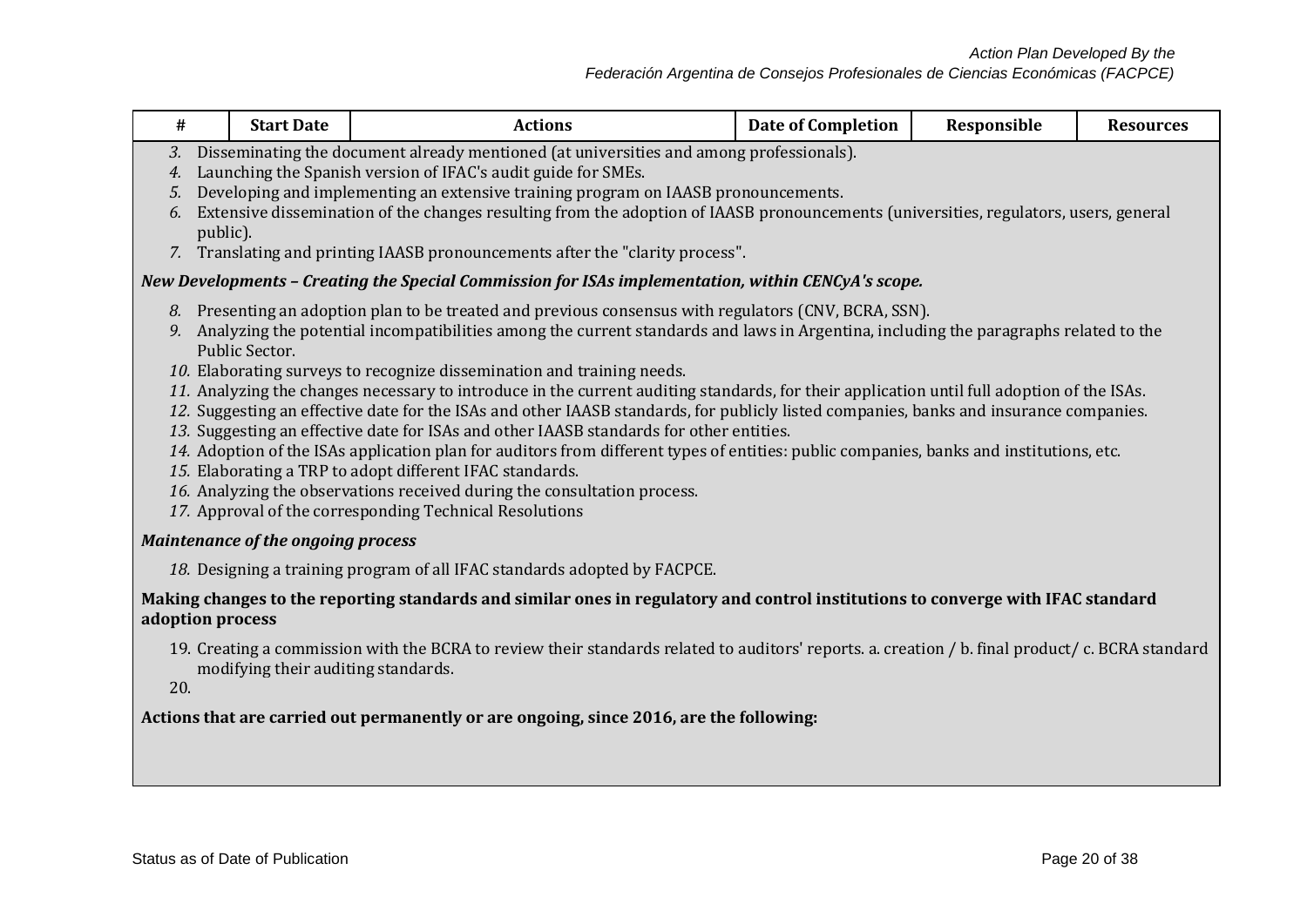## *Federación Argentina de Consejos Profesionales de Ciencias Económicas (FACPCE)*

| #                    | <b>Start Date</b>                                                                                                                                                                                                                                                                                                                                                                                                                                                                                                                                                                                                                                                                                                                                                                                                                                                                                                                                                                                                                                                          | <b>Actions</b>                                                                                                                   | <b>Date of Completion</b> | Responsible | <b>Resources</b> |  |  |  |  |
|----------------------|----------------------------------------------------------------------------------------------------------------------------------------------------------------------------------------------------------------------------------------------------------------------------------------------------------------------------------------------------------------------------------------------------------------------------------------------------------------------------------------------------------------------------------------------------------------------------------------------------------------------------------------------------------------------------------------------------------------------------------------------------------------------------------------------------------------------------------------------------------------------------------------------------------------------------------------------------------------------------------------------------------------------------------------------------------------------------|----------------------------------------------------------------------------------------------------------------------------------|---------------------------|-------------|------------------|--|--|--|--|
| 3.<br>4.<br>5.<br>6. | Disseminating the document already mentioned (at universities and among professionals).<br>Launching the Spanish version of IFAC's audit guide for SMEs.<br>Developing and implementing an extensive training program on IAASB pronouncements.<br>Extensive dissemination of the changes resulting from the adoption of IAASB pronouncements (universities, regulators, users, general<br>public).<br>7. Translating and printing IAASB pronouncements after the "clarity process".                                                                                                                                                                                                                                                                                                                                                                                                                                                                                                                                                                                        |                                                                                                                                  |                           |             |                  |  |  |  |  |
|                      |                                                                                                                                                                                                                                                                                                                                                                                                                                                                                                                                                                                                                                                                                                                                                                                                                                                                                                                                                                                                                                                                            | New Developments – Creating the Special Commission for ISAs implementation, within CENCyA's scope.                               |                           |             |                  |  |  |  |  |
| 9.                   | 8. Presenting an adoption plan to be treated and previous consensus with regulators (CNV, BCRA, SSN).<br>Analyzing the potential incompatibilities among the current standards and laws in Argentina, including the paragraphs related to the<br>Public Sector.<br>10. Elaborating surveys to recognize dissemination and training needs.<br>11. Analyzing the changes necessary to introduce in the current auditing standards, for their application until full adoption of the ISAs.<br>12. Suggesting an effective date for the ISAs and other IAASB standards, for publicly listed companies, banks and insurance companies.<br>13. Suggesting an effective date for ISAs and other IAASB standards for other entities.<br>14. Adoption of the ISAs application plan for auditors from different types of entities: public companies, banks and institutions, etc.<br>15. Elaborating a TRP to adopt different IFAC standards.<br>16. Analyzing the observations received during the consultation process.<br>17. Approval of the corresponding Technical Resolutions |                                                                                                                                  |                           |             |                  |  |  |  |  |
|                      | <b>Maintenance of the ongoing process</b>                                                                                                                                                                                                                                                                                                                                                                                                                                                                                                                                                                                                                                                                                                                                                                                                                                                                                                                                                                                                                                  |                                                                                                                                  |                           |             |                  |  |  |  |  |
|                      |                                                                                                                                                                                                                                                                                                                                                                                                                                                                                                                                                                                                                                                                                                                                                                                                                                                                                                                                                                                                                                                                            | 18. Designing a training program of all IFAC standards adopted by FACPCE.                                                        |                           |             |                  |  |  |  |  |
|                      | adoption process                                                                                                                                                                                                                                                                                                                                                                                                                                                                                                                                                                                                                                                                                                                                                                                                                                                                                                                                                                                                                                                           | Making changes to the reporting standards and similar ones in regulatory and control institutions to converge with IFAC standard |                           |             |                  |  |  |  |  |
|                      | 19. Creating a commission with the BCRA to review their standards related to auditors' reports. a. creation / b. final product/ c. BCRA standard<br>modifying their auditing standards.<br>20.                                                                                                                                                                                                                                                                                                                                                                                                                                                                                                                                                                                                                                                                                                                                                                                                                                                                             |                                                                                                                                  |                           |             |                  |  |  |  |  |
|                      |                                                                                                                                                                                                                                                                                                                                                                                                                                                                                                                                                                                                                                                                                                                                                                                                                                                                                                                                                                                                                                                                            | Actions that are carried out permanently or are ongoing, since 2016, are the following:                                          |                           |             |                  |  |  |  |  |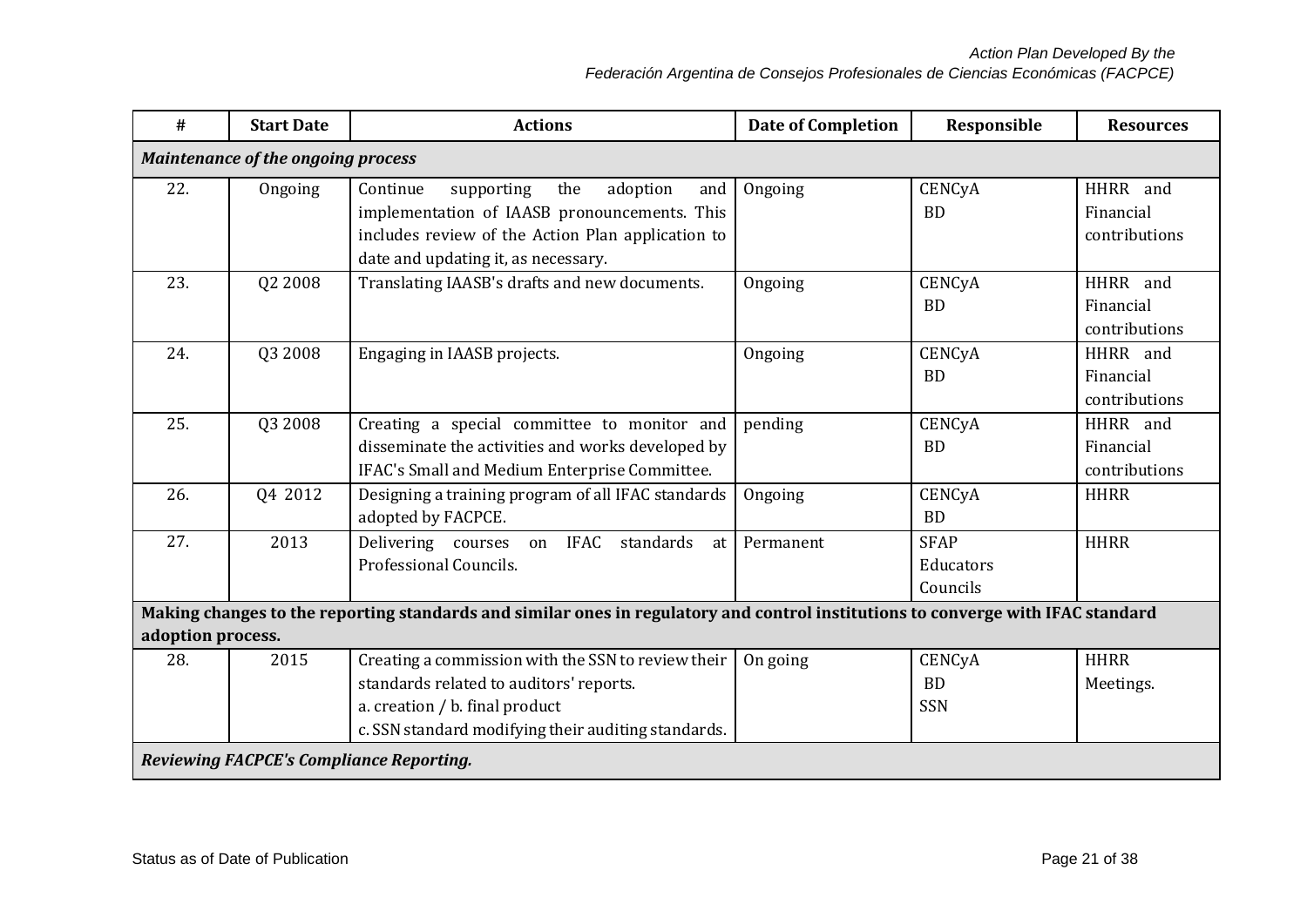*Action Plan Developed By the*

*Federación Argentina de Consejos Profesionales de Ciencias Económicas (FACPCE)*

| #                 | <b>Start Date</b>                         | <b>Actions</b>                                                                                                                                                                                                                            | <b>Date of Completion</b> | Responsible                          | <b>Resources</b>                       |  |  |  |
|-------------------|-------------------------------------------|-------------------------------------------------------------------------------------------------------------------------------------------------------------------------------------------------------------------------------------------|---------------------------|--------------------------------------|----------------------------------------|--|--|--|
|                   | <b>Maintenance of the ongoing process</b> |                                                                                                                                                                                                                                           |                           |                                      |                                        |  |  |  |
| 22.               | Ongoing                                   | supporting<br>the<br>adoption<br>Continue<br>and<br>implementation of IAASB pronouncements. This<br>includes review of the Action Plan application to<br>date and updating it, as necessary.                                              | Ongoing                   | CENCyA<br><b>BD</b>                  | HHRR and<br>Financial<br>contributions |  |  |  |
| 23.               | Q2 2008                                   | Translating IAASB's drafts and new documents.                                                                                                                                                                                             | Ongoing                   | CENCyA<br><b>BD</b>                  | HHRR and<br>Financial<br>contributions |  |  |  |
| 24.               | Q3 2008                                   | Engaging in IAASB projects.                                                                                                                                                                                                               | Ongoing                   | CENCyA<br><b>BD</b>                  | HHRR and<br>Financial<br>contributions |  |  |  |
| 25.               | Q3 2008                                   | Creating a special committee to monitor and<br>disseminate the activities and works developed by<br>IFAC's Small and Medium Enterprise Committee.                                                                                         | pending                   | CENCyA<br><b>BD</b>                  | HHRR and<br>Financial<br>contributions |  |  |  |
| 26.               | Q4 2012                                   | Designing a training program of all IFAC standards<br>adopted by FACPCE.                                                                                                                                                                  | Ongoing                   | CENCyA<br><b>BD</b>                  | <b>HHRR</b>                            |  |  |  |
| 27.               | 2013                                      | Delivering courses on IFAC<br>standards<br>at<br>Professional Councils.                                                                                                                                                                   | Permanent                 | <b>SFAP</b><br>Educators<br>Councils | <b>HHRR</b>                            |  |  |  |
| adoption process. |                                           | Making changes to the reporting standards and similar ones in regulatory and control institutions to converge with IFAC standard                                                                                                          |                           |                                      |                                        |  |  |  |
| 28.               | 2015                                      | Creating a commission with the SSN to review their<br>standards related to auditors' reports.<br>a. creation / b. final product<br>c. SSN standard modifying their auditing standards.<br><b>Reviewing FACPCE's Compliance Reporting.</b> | On going                  | CENCyA<br><b>BD</b><br><b>SSN</b>    | <b>HHRR</b><br>Meetings.               |  |  |  |
|                   |                                           |                                                                                                                                                                                                                                           |                           |                                      |                                        |  |  |  |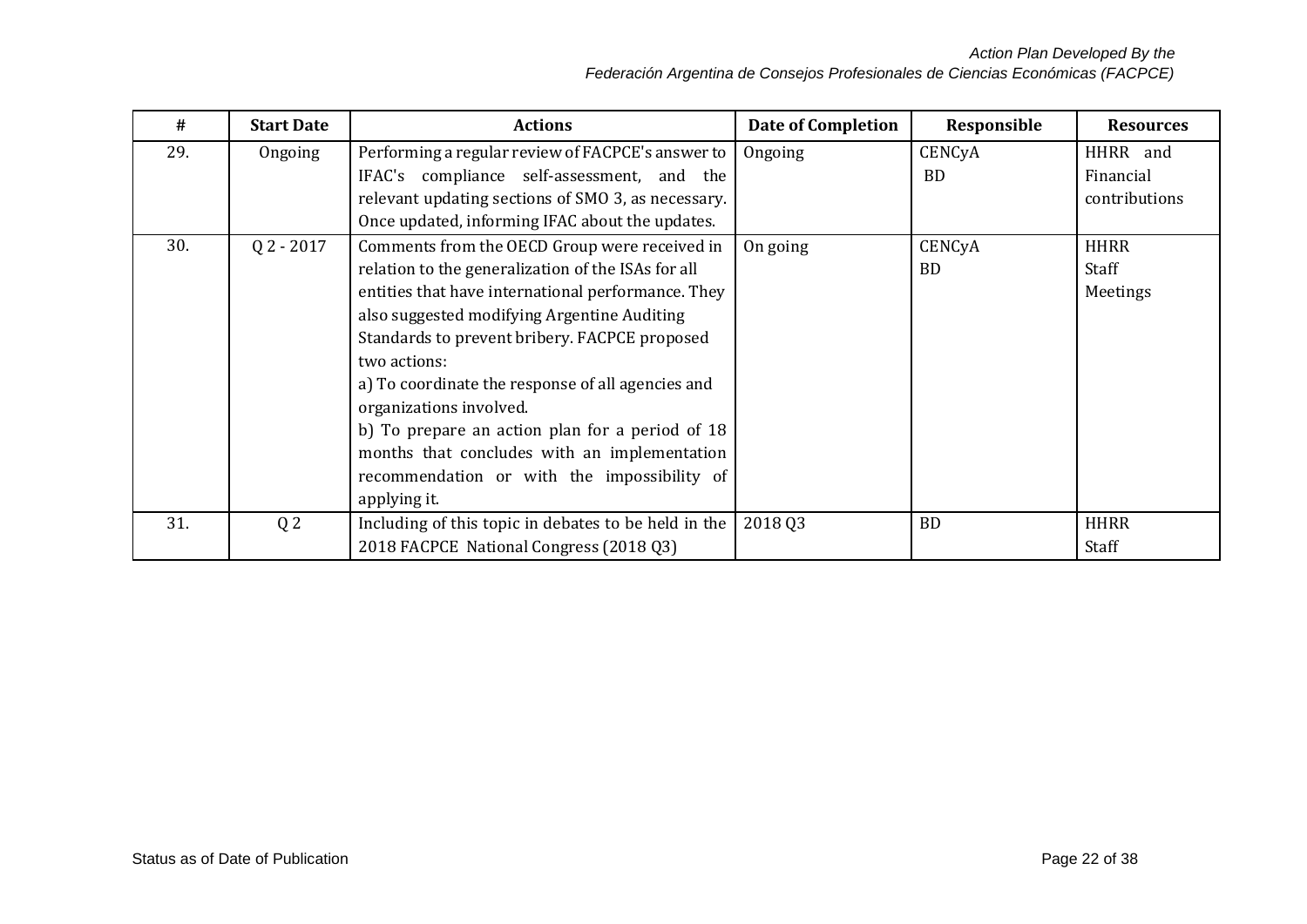| #   | <b>Start Date</b> | <b>Actions</b>                                       | <b>Date of Completion</b> | Responsible | <b>Resources</b> |
|-----|-------------------|------------------------------------------------------|---------------------------|-------------|------------------|
| 29. | Ongoing           | Performing a regular review of FACPCE's answer to    | Ongoing                   | CENCyA      | HHRR and         |
|     |                   | IFAC's compliance self-assessment, and the           |                           | <b>BD</b>   | Financial        |
|     |                   | relevant updating sections of SMO 3, as necessary.   |                           |             | contributions    |
|     |                   | Once updated, informing IFAC about the updates.      |                           |             |                  |
| 30. | $Q$ 2 - 2017      | Comments from the OECD Group were received in        | On going                  | CENCyA      | <b>HHRR</b>      |
|     |                   | relation to the generalization of the ISAs for all   |                           | <b>BD</b>   | Staff            |
|     |                   | entities that have international performance. They   |                           |             | Meetings         |
|     |                   | also suggested modifying Argentine Auditing          |                           |             |                  |
|     |                   | Standards to prevent bribery. FACPCE proposed        |                           |             |                  |
|     |                   | two actions:                                         |                           |             |                  |
|     |                   | a) To coordinate the response of all agencies and    |                           |             |                  |
|     |                   | organizations involved.                              |                           |             |                  |
|     |                   | b) To prepare an action plan for a period of 18      |                           |             |                  |
|     |                   | months that concludes with an implementation         |                           |             |                  |
|     |                   | recommendation or with the impossibility of          |                           |             |                  |
|     |                   | applying it.                                         |                           |             |                  |
| 31. | Q <sub>2</sub>    | Including of this topic in debates to be held in the | 2018 03                   | <b>BD</b>   | <b>HHRR</b>      |
|     |                   | 2018 FACPCE National Congress (2018 Q3)              |                           |             | Staff            |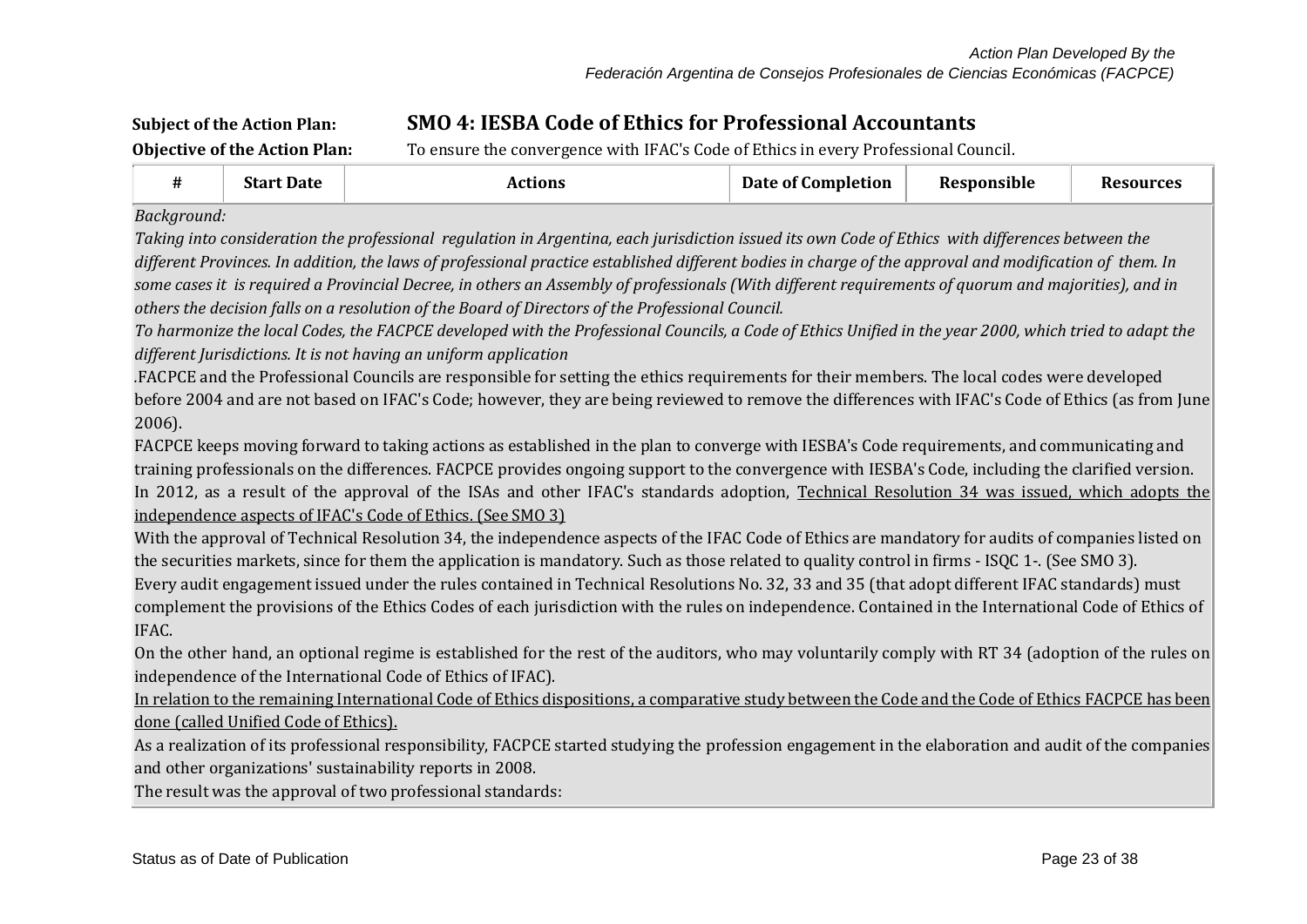# **Subject of the Action Plan: SMO 4: IESBA Code of Ethics for Professional Accountants**

**Objective of the Action Plan:** To ensure the convergence with IFAC's Code of Ethics in every Professional Council.

|  | <b>Start</b><br><b>Date</b> | .10NS<br>−…<br>. | --<br>Date of C<br>Completion | Responsible | ources |
|--|-----------------------------|------------------|-------------------------------|-------------|--------|
|--|-----------------------------|------------------|-------------------------------|-------------|--------|

*Background:*

*Taking into consideration the professional regulation in Argentina, each jurisdiction issued its own Code of Ethics with differences between the different Provinces. In addition, the laws of professional practice established different bodies in charge of the approval and modification of them. In some cases it is required a Provincial Decree, in others an Assembly of professionals (With different requirements of quorum and majorities), and in others the decision falls on a resolution of the Board of Directors of the Professional Council.*

*To harmonize the local Codes, the FACPCE developed with the Professional Councils, a Code of Ethics Unified in the year 2000, which tried to adapt the different Jurisdictions. It is not having an uniform application*

*.*FACPCE and the Professional Councils are responsible for setting the ethics requirements for their members. The local codes were developed before 2004 and are not based on IFAC's Code; however, they are being reviewed to remove the differences with IFAC's Code of Ethics (as from June 2006).

FACPCE keeps moving forward to taking actions as established in the plan to converge with IESBA's Code requirements, and communicating and training professionals on the differences. FACPCE provides ongoing support to the convergence with IESBA's Code, including the clarified version. In 2012, as a result of the approval of the ISAs and other IFAC's standards adoption, Technical Resolution 34 was issued, which adopts the independence aspects of IFAC's Code of Ethics. (See SMO 3)

With the approval of Technical Resolution 34, the independence aspects of the IFAC Code of Ethics are mandatory for audits of companies listed on the securities markets, since for them the application is mandatory. Such as those related to quality control in firms - ISQC 1-. (See SMO 3). Every audit engagement issued under the rules contained in Technical Resolutions No. 32, 33 and 35 (that adopt different IFAC standards) must complement the provisions of the Ethics Codes of each jurisdiction with the rules on independence. Contained in the International Code of Ethics of IFAC.

On the other hand, an optional regime is established for the rest of the auditors, who may voluntarily comply with RT 34 (adoption of the rules on independence of the International Code of Ethics of IFAC).

In relation to the remaining International Code of Ethics dispositions, a comparative study between the Code and the Code of Ethics FACPCE has been done (called Unified Code of Ethics).

As a realization of its professional responsibility, FACPCE started studying the profession engagement in the elaboration and audit of the companies and other organizations' sustainability reports in 2008.

The result was the approval of two professional standards: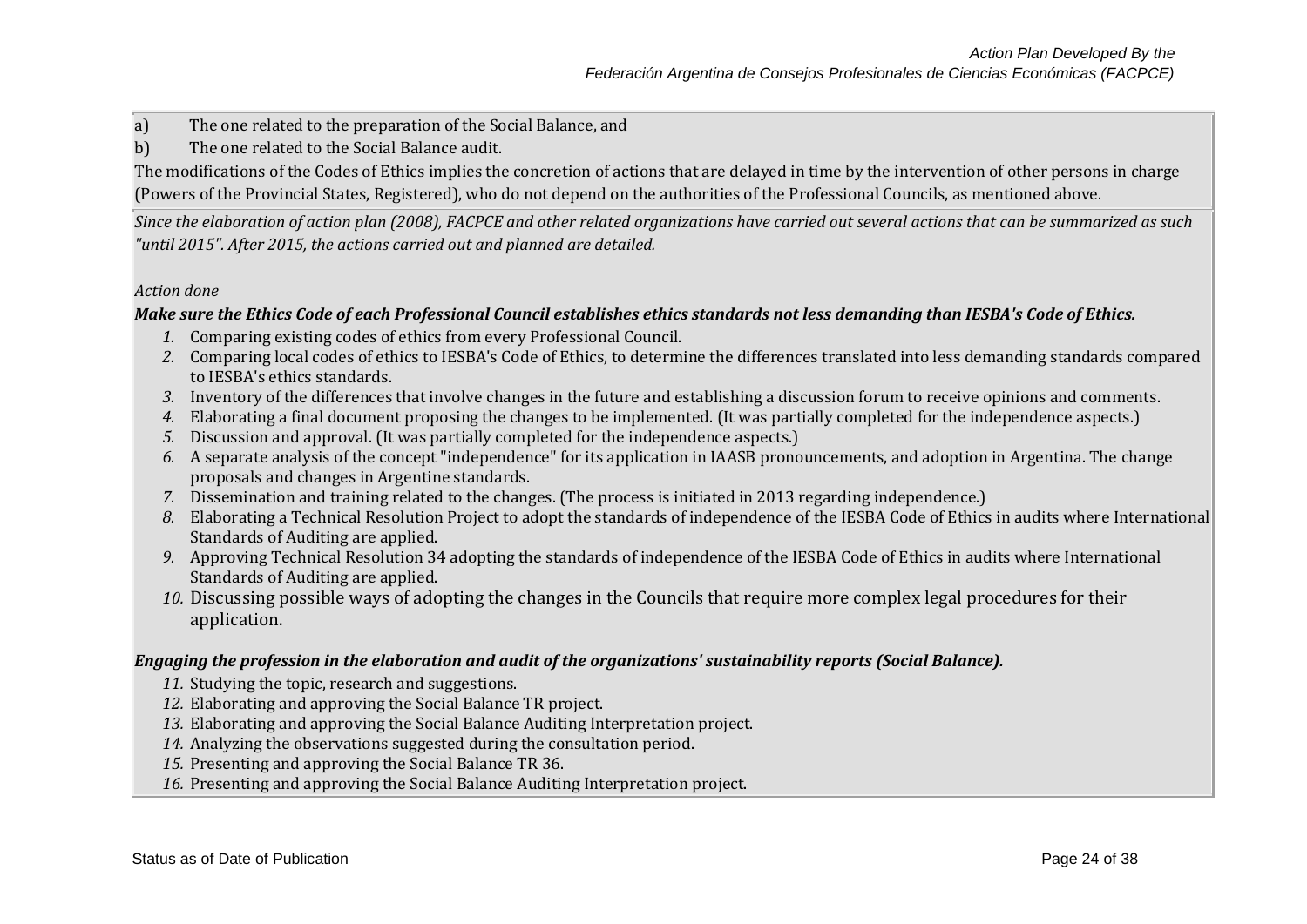a) The one related to the preparation of the Social Balance, and

b) The one related to the Social Balance audit.

The modifications of the Codes of Ethics implies the concretion of actions that are delayed in time by the intervention of other persons in charge (Powers of the Provincial States, Registered), who do not depend on the authorities of the Professional Councils, as mentioned above.

*Since the elaboration of action plan (2008), FACPCE and other related organizations have carried out several actions that can be summarized as such "until 2015". After 2015, the actions carried out and planned are detailed.*

#### *Action done*

### *Make sure the Ethics Code of each Professional Council establishes ethics standards not less demanding than IESBA's Code of Ethics.*

- *1.* Comparing existing codes of ethics from every Professional Council.
- *2.* Comparing local codes of ethics to IESBA's Code of Ethics, to determine the differences translated into less demanding standards compared to IESBA's ethics standards.
- *3.* Inventory of the differences that involve changes in the future and establishing a discussion forum to receive opinions and comments.
- *4.* Elaborating a final document proposing the changes to be implemented. (It was partially completed for the independence aspects.)
- *5.* Discussion and approval. (It was partially completed for the independence aspects.)
- *6.* A separate analysis of the concept "independence" for its application in IAASB pronouncements, and adoption in Argentina. The change proposals and changes in Argentine standards.
- *7.* Dissemination and training related to the changes. (The process is initiated in 2013 regarding independence.)
- *8.* Elaborating a Technical Resolution Project to adopt the standards of independence of the IESBA Code of Ethics in audits where International Standards of Auditing are applied.
- *9.* Approving Technical Resolution 34 adopting the standards of independence of the IESBA Code of Ethics in audits where International Standards of Auditing are applied.
- *10.* Discussing possible ways of adopting the changes in the Councils that require more complex legal procedures for their application.

### *Engaging the profession in the elaboration and audit of the organizations' sustainability reports (Social Balance).*

- *11.* Studying the topic, research and suggestions.
- *12.* Elaborating and approving the Social Balance TR project.
- *13.* Elaborating and approving the Social Balance Auditing Interpretation project.
- *14.* Analyzing the observations suggested during the consultation period.
- *15.* Presenting and approving the Social Balance TR 36.
- *16.* Presenting and approving the Social Balance Auditing Interpretation project.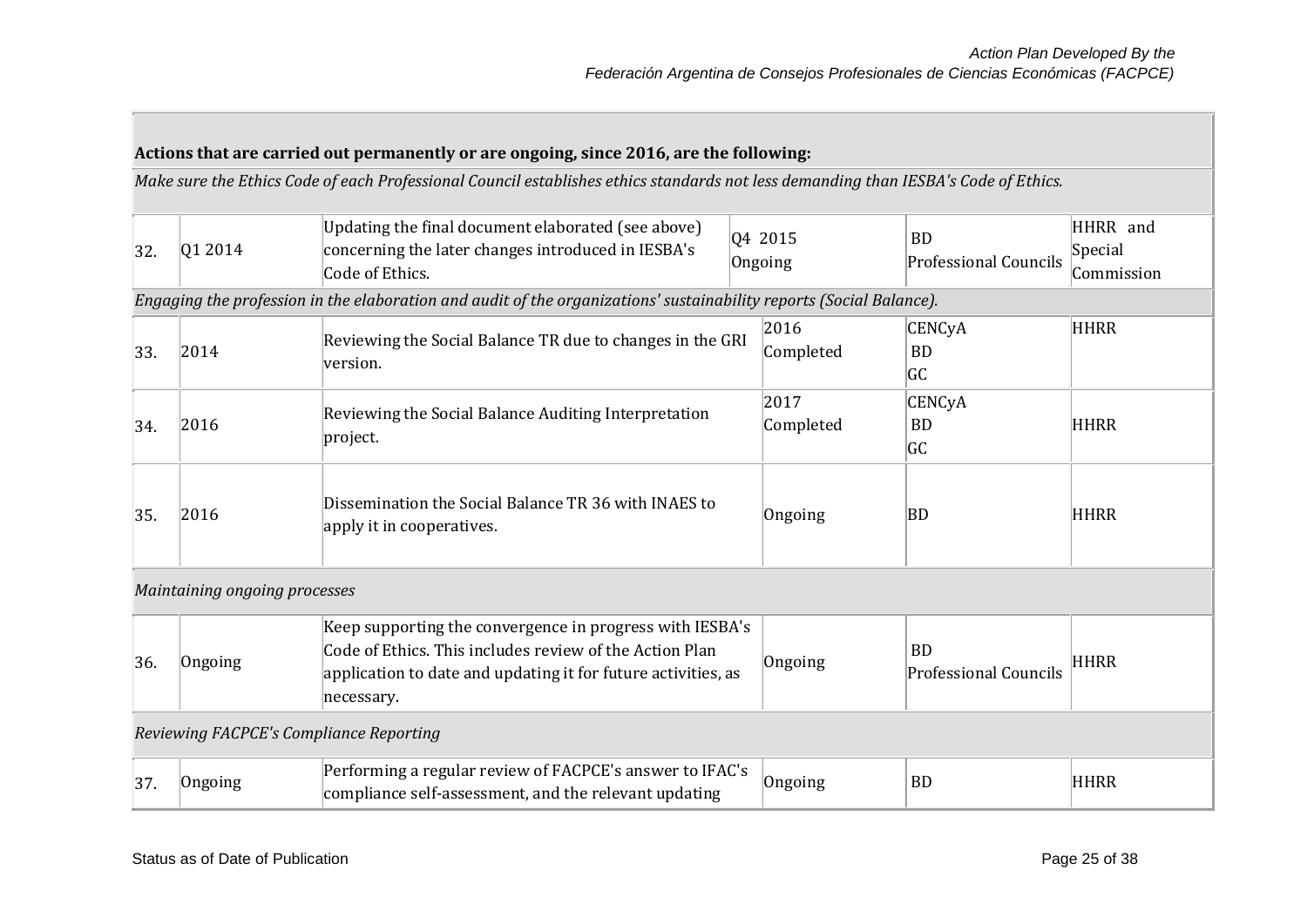|     |                                         | Actions that are carried out permanently or are ongoing, since 2016, are the following:<br>Make sure the Ethics Code of each Professional Council establishes ethics standards not less demanding than IESBA's Code of Ethics. |                    |                   |                                           |                                   |
|-----|-----------------------------------------|--------------------------------------------------------------------------------------------------------------------------------------------------------------------------------------------------------------------------------|--------------------|-------------------|-------------------------------------------|-----------------------------------|
| 32. | Q1 2014                                 | Updating the final document elaborated (see above)<br>concerning the later changes introduced in IESBA's<br>Code of Ethics.                                                                                                    | 04 2015<br>Ongoing |                   | <b>BD</b><br><b>Professional Councils</b> | HHRR and<br>Special<br>Commission |
|     |                                         | Engaging the profession in the elaboration and audit of the organizations' sustainability reports (Social Balance).                                                                                                            |                    |                   |                                           |                                   |
| 33. | 2014                                    | Reviewing the Social Balance TR due to changes in the GRI<br>version.                                                                                                                                                          |                    | 2016<br>Completed | <b>CENCyA</b><br><b>BD</b><br><b>GC</b>   | <b>HHRR</b>                       |
| 34. | 2016                                    | Reviewing the Social Balance Auditing Interpretation<br>project.                                                                                                                                                               |                    | 2017<br>Completed | <b>CENCyA</b><br><b>BD</b><br><b>GC</b>   | <b>HHRR</b>                       |
| 35. | 2016                                    | Dissemination the Social Balance TR 36 with INAES to<br>apply it in cooperatives.                                                                                                                                              |                    | Ongoing           | <b>BD</b>                                 | <b>HHRR</b>                       |
|     | Maintaining ongoing processes           |                                                                                                                                                                                                                                |                    |                   |                                           |                                   |
| 36. | Ongoing                                 | Keep supporting the convergence in progress with IESBA's<br>Code of Ethics. This includes review of the Action Plan<br>application to date and updating it for future activities, as<br>necessary.                             |                    | Ongoing           | <b>BD</b><br><b>Professional Councils</b> | <b>HHRR</b>                       |
|     | Reviewing FACPCE's Compliance Reporting |                                                                                                                                                                                                                                |                    |                   |                                           |                                   |

| 37 | Performing a regular review of FACPCE's answer to IFAC's<br>compliance self-assessment, and the relevant updating | BD |  |
|----|-------------------------------------------------------------------------------------------------------------------|----|--|
|    |                                                                                                                   |    |  |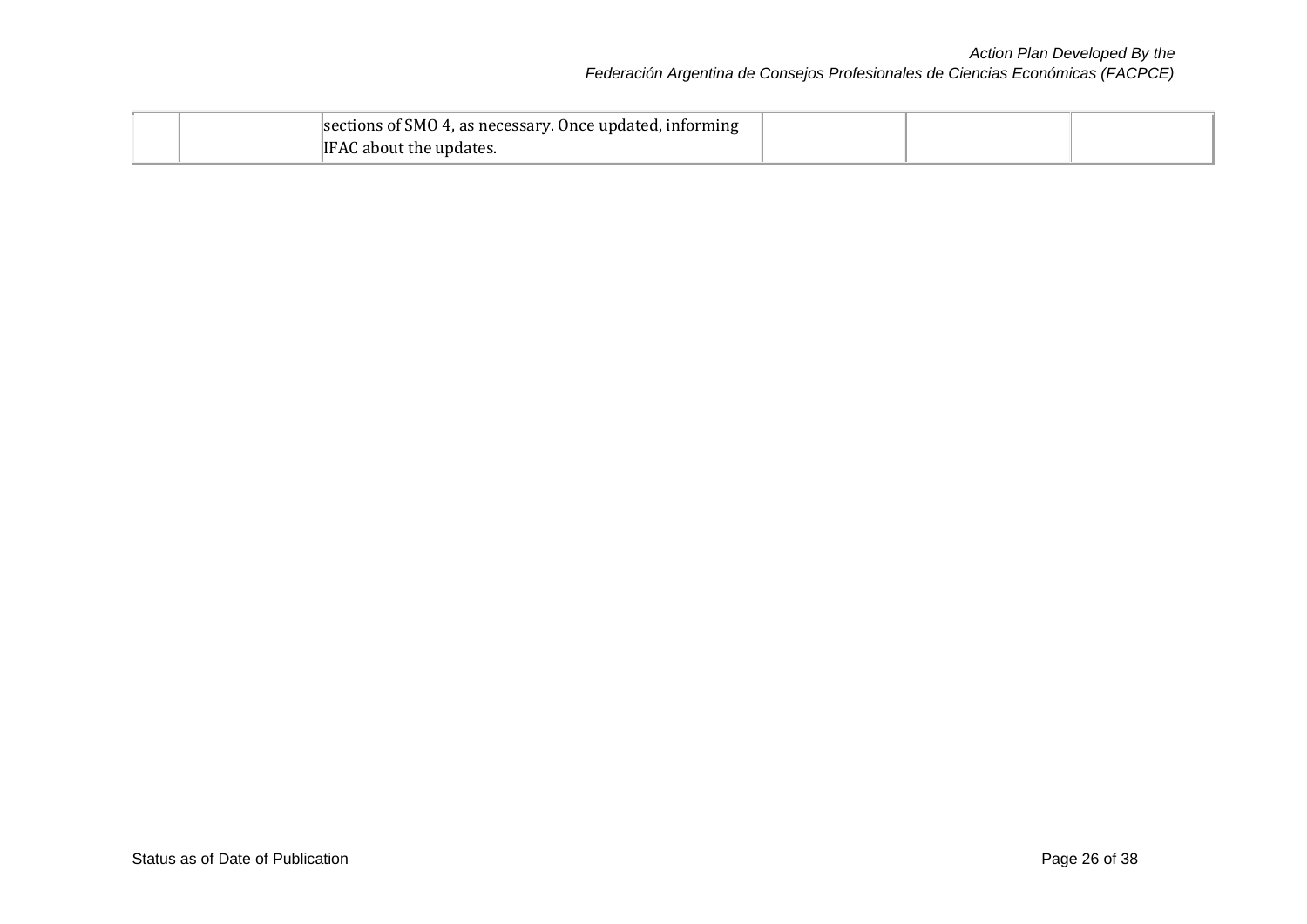## *Action Plan Developed By the Federación Argentina de Consejos Profesionales de Ciencias Económicas (FACPCE)*

|  | sections of SMO 4, as necessary. Once updated, informing |  |  |
|--|----------------------------------------------------------|--|--|
|  | IFAC about the updates.                                  |  |  |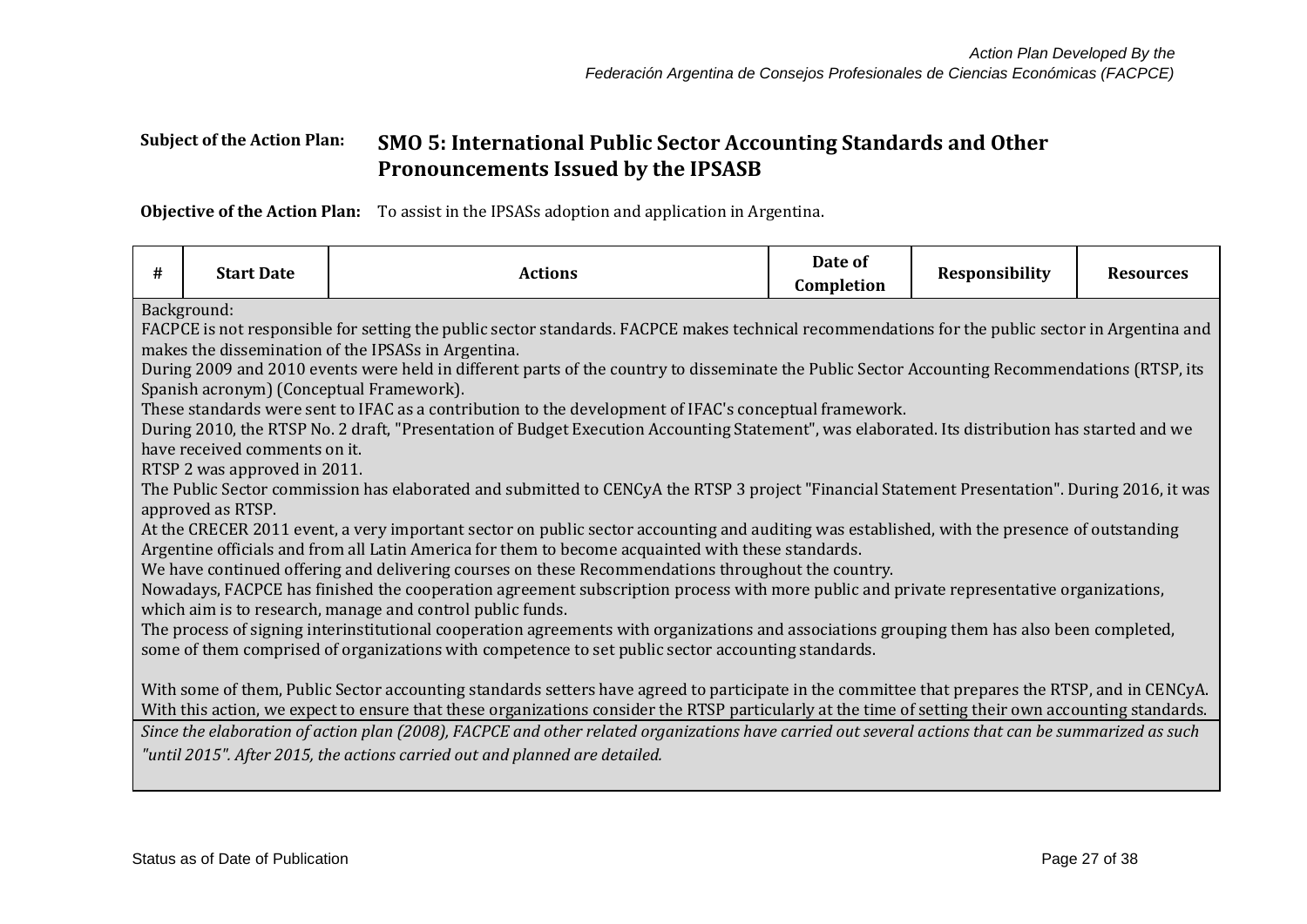## **Subject of the Action Plan: SMO 5: International Public Sector Accounting Standards and Other Pronouncements Issued by the IPSASB**

**Objective of the Action Plan:** To assist in the IPSASs adoption and application in Argentina.

| #                                                                                                                                                   | <b>Start Date</b>                                                                                                                                    | <b>Actions</b>                                                                                                                                   | Date of<br>Completion | <b>Responsibility</b> | <b>Resources</b> |  |  |
|-----------------------------------------------------------------------------------------------------------------------------------------------------|------------------------------------------------------------------------------------------------------------------------------------------------------|--------------------------------------------------------------------------------------------------------------------------------------------------|-----------------------|-----------------------|------------------|--|--|
|                                                                                                                                                     | Background:                                                                                                                                          |                                                                                                                                                  |                       |                       |                  |  |  |
|                                                                                                                                                     |                                                                                                                                                      | FACPCE is not responsible for setting the public sector standards. FACPCE makes technical recommendations for the public sector in Argentina and |                       |                       |                  |  |  |
|                                                                                                                                                     |                                                                                                                                                      | makes the dissemination of the IPSASs in Argentina.                                                                                              |                       |                       |                  |  |  |
|                                                                                                                                                     |                                                                                                                                                      | During 2009 and 2010 events were held in different parts of the country to disseminate the Public Sector Accounting Recommendations (RTSP, its   |                       |                       |                  |  |  |
|                                                                                                                                                     | Spanish acronym) (Conceptual Framework).                                                                                                             |                                                                                                                                                  |                       |                       |                  |  |  |
|                                                                                                                                                     |                                                                                                                                                      | These standards were sent to IFAC as a contribution to the development of IFAC's conceptual framework.                                           |                       |                       |                  |  |  |
|                                                                                                                                                     |                                                                                                                                                      | During 2010, the RTSP No. 2 draft, "Presentation of Budget Execution Accounting Statement", was elaborated. Its distribution has started and we  |                       |                       |                  |  |  |
|                                                                                                                                                     | have received comments on it.                                                                                                                        |                                                                                                                                                  |                       |                       |                  |  |  |
|                                                                                                                                                     | RTSP 2 was approved in 2011.                                                                                                                         |                                                                                                                                                  |                       |                       |                  |  |  |
|                                                                                                                                                     |                                                                                                                                                      | The Public Sector commission has elaborated and submitted to CENCyA the RTSP 3 project "Financial Statement Presentation". During 2016, it was   |                       |                       |                  |  |  |
|                                                                                                                                                     | approved as RTSP.                                                                                                                                    |                                                                                                                                                  |                       |                       |                  |  |  |
|                                                                                                                                                     |                                                                                                                                                      | At the CRECER 2011 event, a very important sector on public sector accounting and auditing was established, with the presence of outstanding     |                       |                       |                  |  |  |
|                                                                                                                                                     |                                                                                                                                                      | Argentine officials and from all Latin America for them to become acquainted with these standards.                                               |                       |                       |                  |  |  |
|                                                                                                                                                     |                                                                                                                                                      | We have continued offering and delivering courses on these Recommendations throughout the country.                                               |                       |                       |                  |  |  |
|                                                                                                                                                     |                                                                                                                                                      | Nowadays, FACPCE has finished the cooperation agreement subscription process with more public and private representative organizations,          |                       |                       |                  |  |  |
|                                                                                                                                                     |                                                                                                                                                      | which aim is to research, manage and control public funds.                                                                                       |                       |                       |                  |  |  |
|                                                                                                                                                     |                                                                                                                                                      | The process of signing interinstitutional cooperation agreements with organizations and associations grouping them has also been completed,      |                       |                       |                  |  |  |
|                                                                                                                                                     |                                                                                                                                                      | some of them comprised of organizations with competence to set public sector accounting standards.                                               |                       |                       |                  |  |  |
|                                                                                                                                                     |                                                                                                                                                      |                                                                                                                                                  |                       |                       |                  |  |  |
|                                                                                                                                                     |                                                                                                                                                      | With some of them, Public Sector accounting standards setters have agreed to participate in the committee that prepares the RTSP, and in CENCyA. |                       |                       |                  |  |  |
|                                                                                                                                                     | With this action, we expect to ensure that these organizations consider the RTSP particularly at the time of setting their own accounting standards. |                                                                                                                                                  |                       |                       |                  |  |  |
| Since the elaboration of action plan (2008), FACPCE and other related organizations have carried out several actions that can be summarized as such |                                                                                                                                                      |                                                                                                                                                  |                       |                       |                  |  |  |
|                                                                                                                                                     |                                                                                                                                                      | "until 2015". After 2015, the actions carried out and planned are detailed.                                                                      |                       |                       |                  |  |  |
|                                                                                                                                                     |                                                                                                                                                      |                                                                                                                                                  |                       |                       |                  |  |  |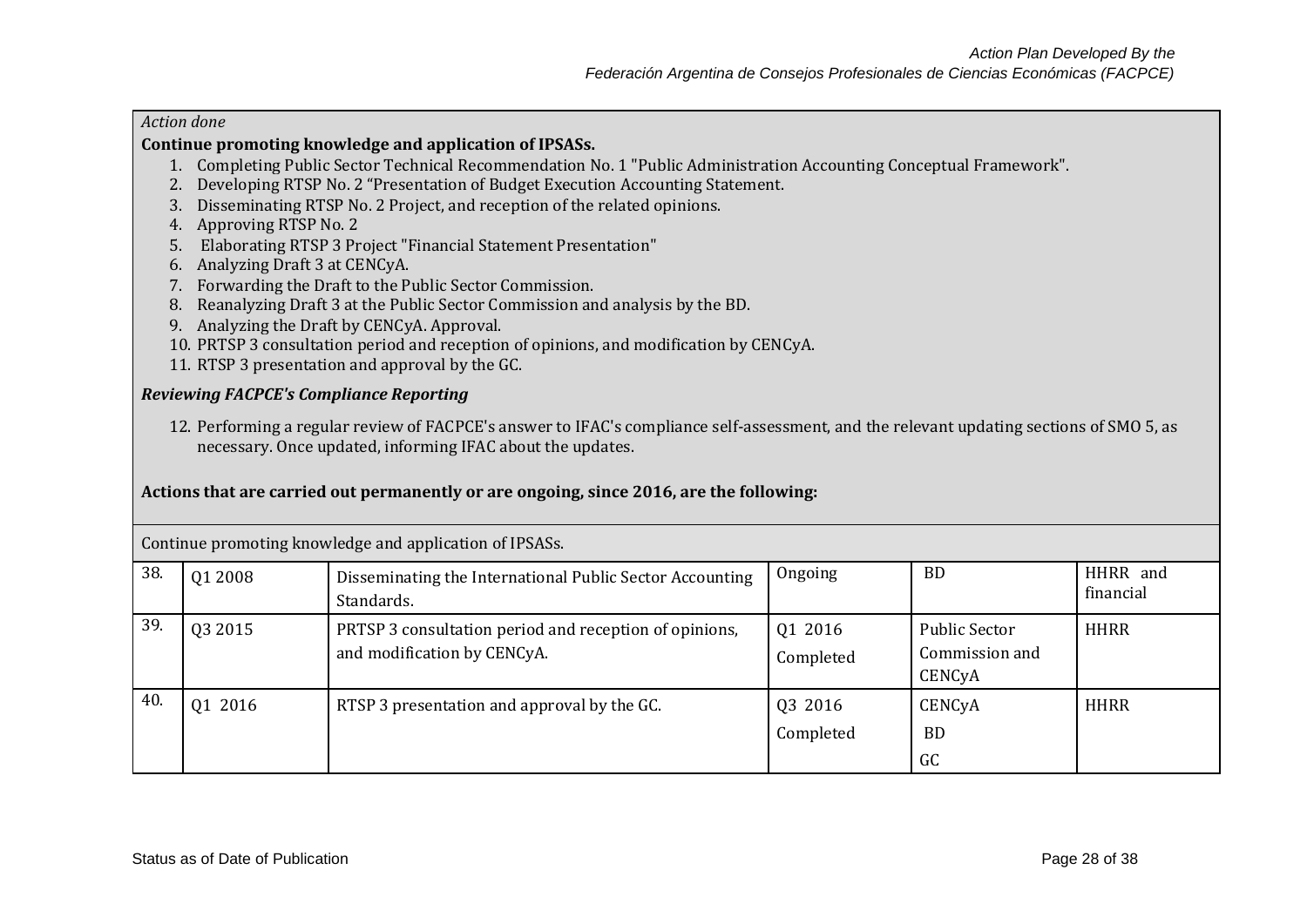#### *Action done*

#### **Continue promoting knowledge and application of IPSASs.**

- 1. Completing Public Sector Technical Recommendation No. 1 "Public Administration Accounting Conceptual Framework".
- 2. Developing RTSP No. 2 "Presentation of Budget Execution Accounting Statement.
- 3. Disseminating RTSP No. 2 Project, and reception of the related opinions.
- 4. Approving RTSP No. 2
- 5. Elaborating RTSP 3 Project "Financial Statement Presentation"
- 6. Analyzing Draft 3 at CENCyA.
- 7. Forwarding the Draft to the Public Sector Commission.
- 8. Reanalyzing Draft 3 at the Public Sector Commission and analysis by the BD.
- 9. Analyzing the Draft by CENCyA. Approval.
- 10. PRTSP 3 consultation period and reception of opinions, and modification by CENCyA.
- 11. RTSP 3 presentation and approval by the GC.

#### *Reviewing FACPCE's Compliance Reporting*

12. Performing a regular review of FACPCE's answer to IFAC's compliance self-assessment, and the relevant updating sections of SMO 5, as necessary. Once updated, informing IFAC about the updates.

#### **Actions that are carried out permanently or are ongoing, since 2016, are the following:**

|     | Continue promoting knowledge and application of IPSASs. |                                                                                       |                      |                                                  |                       |  |  |  |
|-----|---------------------------------------------------------|---------------------------------------------------------------------------------------|----------------------|--------------------------------------------------|-----------------------|--|--|--|
| 38. | Q1 2008                                                 | Disseminating the International Public Sector Accounting<br>Standards.                | Ongoing              | <b>BD</b>                                        | HHRR and<br>financial |  |  |  |
| 39. | Q3 2015                                                 | PRTSP 3 consultation period and reception of opinions,<br>and modification by CENCyA. | 01 2016<br>Completed | <b>Public Sector</b><br>Commission and<br>CENCyA | <b>HHRR</b>           |  |  |  |
| 40. | 01 2016                                                 | RTSP 3 presentation and approval by the GC.                                           | 03 2016<br>Completed | CENCyA<br><b>BD</b><br>GC                        | <b>HHRR</b>           |  |  |  |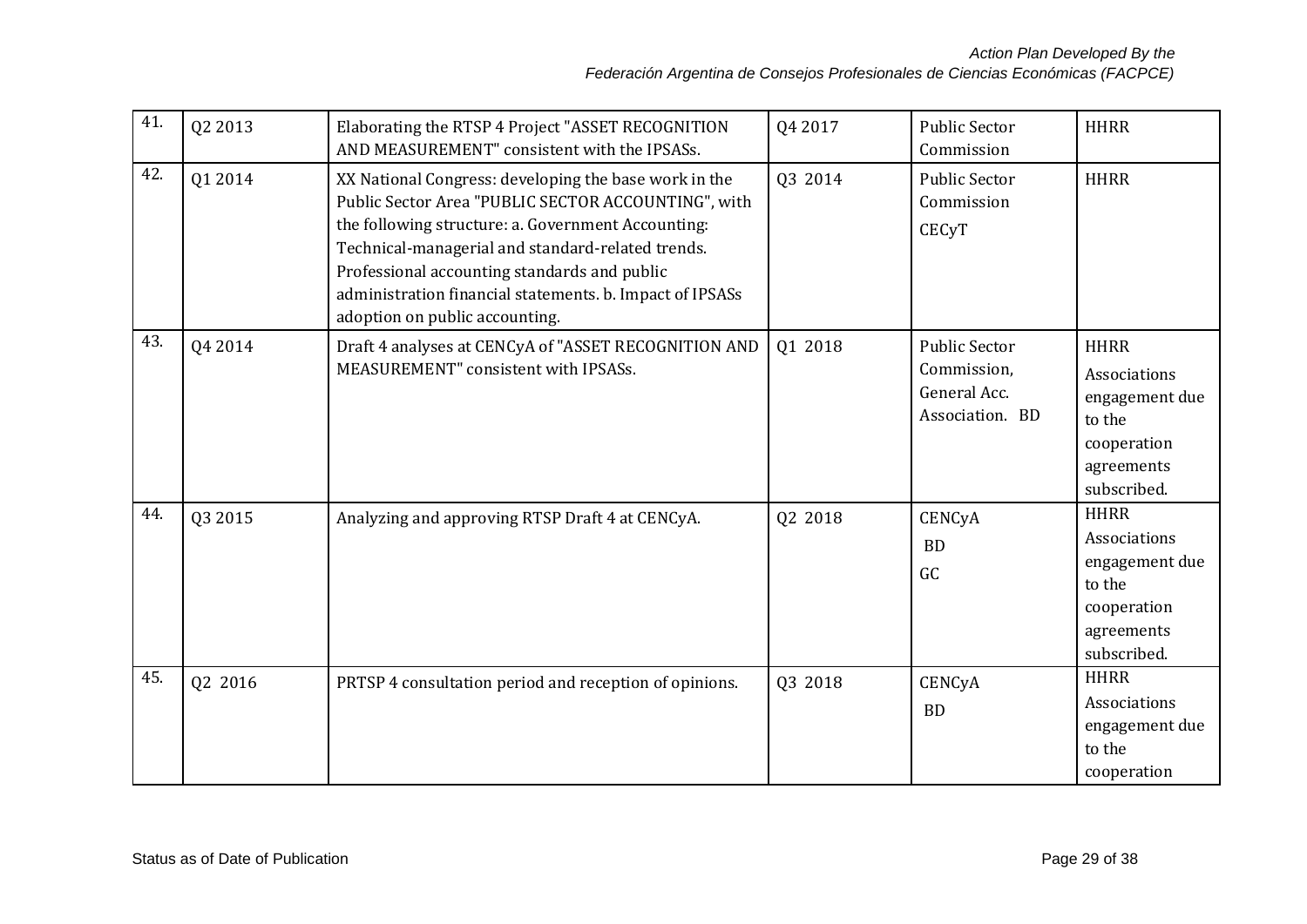| 41. | Q2 2013 | Elaborating the RTSP 4 Project "ASSET RECOGNITION<br>AND MEASUREMENT" consistent with the IPSASs.                                                                                                                                                                                                                                                                     | Q4 2017 | <b>Public Sector</b><br>Commission                                     | <b>HHRR</b>                                                                                         |
|-----|---------|-----------------------------------------------------------------------------------------------------------------------------------------------------------------------------------------------------------------------------------------------------------------------------------------------------------------------------------------------------------------------|---------|------------------------------------------------------------------------|-----------------------------------------------------------------------------------------------------|
| 42. | Q1 2014 | XX National Congress: developing the base work in the<br>Public Sector Area "PUBLIC SECTOR ACCOUNTING", with<br>the following structure: a. Government Accounting:<br>Technical-managerial and standard-related trends.<br>Professional accounting standards and public<br>administration financial statements. b. Impact of IPSASs<br>adoption on public accounting. | Q3 2014 | <b>Public Sector</b><br>Commission<br><b>CECyT</b>                     | <b>HHRR</b>                                                                                         |
| 43. | Q4 2014 | Draft 4 analyses at CENCyA of "ASSET RECOGNITION AND<br>MEASUREMENT" consistent with IPSASs.                                                                                                                                                                                                                                                                          | 01 2018 | <b>Public Sector</b><br>Commission,<br>General Acc.<br>Association. BD | <b>HHRR</b><br>Associations<br>engagement due<br>to the<br>cooperation<br>agreements<br>subscribed. |
| 44. | Q3 2015 | Analyzing and approving RTSP Draft 4 at CENCyA.                                                                                                                                                                                                                                                                                                                       | Q2 2018 | CENCyA<br><b>BD</b><br>GC                                              | <b>HHRR</b><br>Associations<br>engagement due<br>to the<br>cooperation<br>agreements<br>subscribed. |
| 45. | Q2 2016 | PRTSP 4 consultation period and reception of opinions.                                                                                                                                                                                                                                                                                                                | Q3 2018 | CENCyA<br><b>BD</b>                                                    | <b>HHRR</b><br>Associations<br>engagement due<br>to the<br>cooperation                              |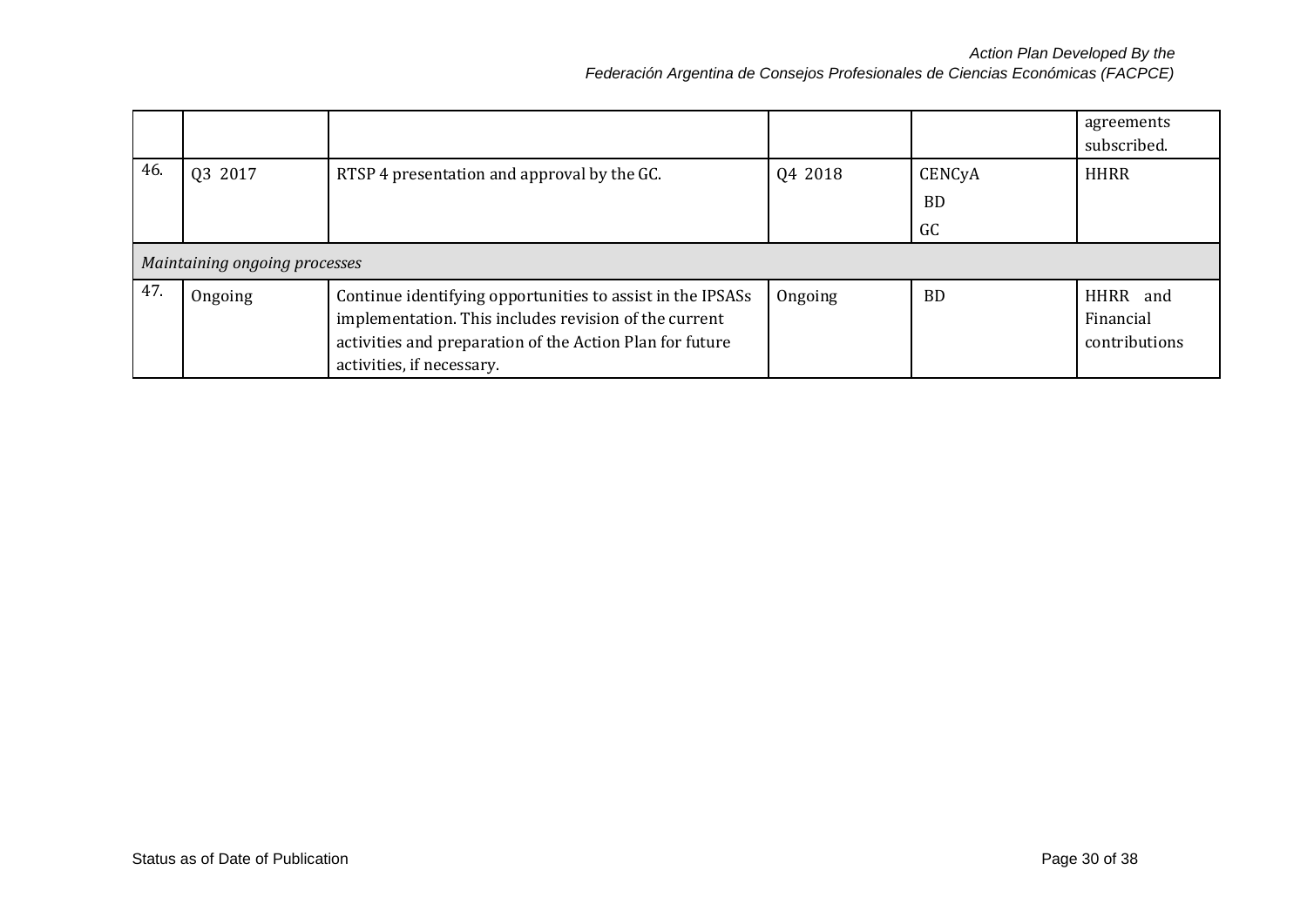|     |                               |                                                                                                                                                                                                              |         |                     | agreements<br>subscribed.              |
|-----|-------------------------------|--------------------------------------------------------------------------------------------------------------------------------------------------------------------------------------------------------------|---------|---------------------|----------------------------------------|
| 46. | 03 2017                       | RTSP 4 presentation and approval by the GC.                                                                                                                                                                  | 04 2018 | CENCyA<br>BD.<br>GC | <b>HHRR</b>                            |
|     | Maintaining ongoing processes |                                                                                                                                                                                                              |         |                     |                                        |
| 47. | Ongoing                       | Continue identifying opportunities to assist in the IPSASs<br>implementation. This includes revision of the current<br>activities and preparation of the Action Plan for future<br>activities, if necessary. | Ongoing | <b>BD</b>           | HHRR and<br>Financial<br>contributions |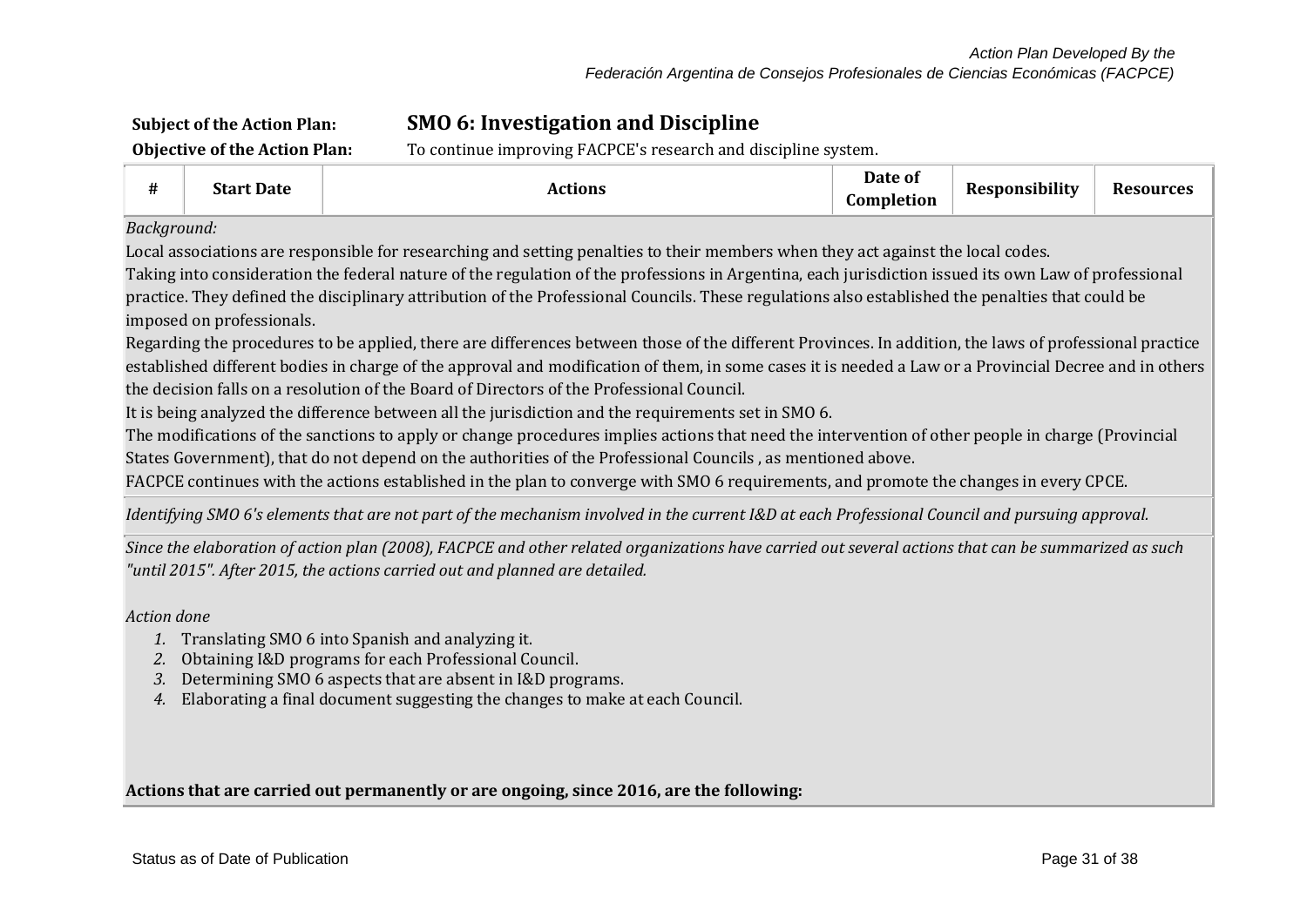# **Subject of the Action Plan: SMO 6: Investigation and Discipline**

**Objective of the Action Plan:** To continue improving FACPCE's research and discipline system.

| #                                                                                                                                               | <b>Start Date</b>                                                                                                                                   | <b>Actions</b>                                                                                                                                         | Date of<br>Completion | <b>Responsibility</b> | <b>Resources</b> |  |  |  |
|-------------------------------------------------------------------------------------------------------------------------------------------------|-----------------------------------------------------------------------------------------------------------------------------------------------------|--------------------------------------------------------------------------------------------------------------------------------------------------------|-----------------------|-----------------------|------------------|--|--|--|
| Background:                                                                                                                                     |                                                                                                                                                     |                                                                                                                                                        |                       |                       |                  |  |  |  |
|                                                                                                                                                 |                                                                                                                                                     | Local associations are responsible for researching and setting penalties to their members when they act against the local codes.                       |                       |                       |                  |  |  |  |
|                                                                                                                                                 |                                                                                                                                                     | Taking into consideration the federal nature of the regulation of the professions in Argentina, each jurisdiction issued its own Law of professional   |                       |                       |                  |  |  |  |
|                                                                                                                                                 |                                                                                                                                                     | practice. They defined the disciplinary attribution of the Professional Councils. These regulations also established the penalties that could be       |                       |                       |                  |  |  |  |
|                                                                                                                                                 | imposed on professionals.                                                                                                                           |                                                                                                                                                        |                       |                       |                  |  |  |  |
|                                                                                                                                                 |                                                                                                                                                     | Regarding the procedures to be applied, there are differences between those of the different Provinces. In addition, the laws of professional practice |                       |                       |                  |  |  |  |
|                                                                                                                                                 |                                                                                                                                                     | established different bodies in charge of the approval and modification of them, in some cases it is needed a Law or a Provincial Decree and in others |                       |                       |                  |  |  |  |
|                                                                                                                                                 |                                                                                                                                                     | the decision falls on a resolution of the Board of Directors of the Professional Council.                                                              |                       |                       |                  |  |  |  |
|                                                                                                                                                 |                                                                                                                                                     | It is being analyzed the difference between all the jurisdiction and the requirements set in SMO 6.                                                    |                       |                       |                  |  |  |  |
|                                                                                                                                                 |                                                                                                                                                     | The modifications of the sanctions to apply or change procedures implies actions that need the intervention of other people in charge (Provincial      |                       |                       |                  |  |  |  |
|                                                                                                                                                 |                                                                                                                                                     | States Government), that do not depend on the authorities of the Professional Councils, as mentioned above.                                            |                       |                       |                  |  |  |  |
|                                                                                                                                                 | FACPCE continues with the actions established in the plan to converge with SMO 6 requirements, and promote the changes in every CPCE.               |                                                                                                                                                        |                       |                       |                  |  |  |  |
| Identifying SMO 6's elements that are not part of the mechanism involved in the current I&D at each Professional Council and pursuing approval. |                                                                                                                                                     |                                                                                                                                                        |                       |                       |                  |  |  |  |
|                                                                                                                                                 | Since the elgharation of action plan (2008), FACPCE and other related organizations have carried out several actions that can be summarized as such |                                                                                                                                                        |                       |                       |                  |  |  |  |

*Since the elaboration of action plan (2008), FACPCE and other related organizations have carried out several actions that can be summarized as such "until 2015". After 2015, the actions carried out and planned are detailed.*

*Action done*

- *1.* Translating SMO 6 into Spanish and analyzing it.
- *2.* Obtaining I&D programs for each Professional Council.
- *3.* Determining SMO 6 aspects that are absent in I&D programs.
- *4.* Elaborating a final document suggesting the changes to make at each Council.

**Actions that are carried out permanently or are ongoing, since 2016, are the following:**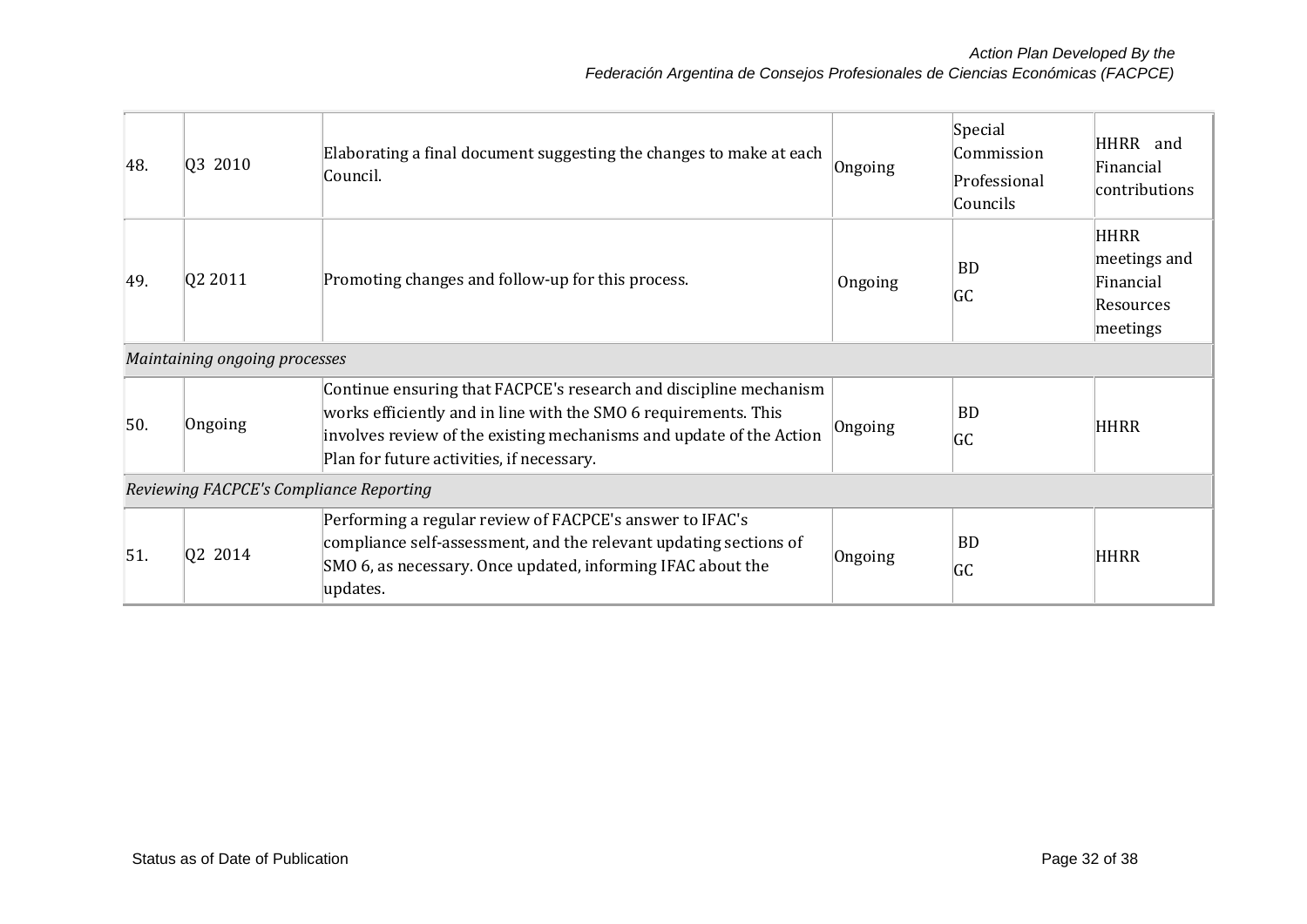| 48. | Q3 2010                                 | Elaborating a final document suggesting the changes to make at each<br>Council.                                                                                                                                                                          | Ongoing | Special<br>Commission<br>Professional | HHRR and<br>Financial                                             |  |  |  |
|-----|-----------------------------------------|----------------------------------------------------------------------------------------------------------------------------------------------------------------------------------------------------------------------------------------------------------|---------|---------------------------------------|-------------------------------------------------------------------|--|--|--|
|     |                                         |                                                                                                                                                                                                                                                          |         | Councils                              | contributions                                                     |  |  |  |
| 49. | 02 2011                                 | Promoting changes and follow-up for this process.                                                                                                                                                                                                        | Ongoing | <b>BD</b><br><b>GC</b>                | <b>HHRR</b><br>meetings and<br>Financial<br>Resources<br>meetings |  |  |  |
|     | Maintaining ongoing processes           |                                                                                                                                                                                                                                                          |         |                                       |                                                                   |  |  |  |
| 50. | Ongoing                                 | Continue ensuring that FACPCE's research and discipline mechanism<br>works efficiently and in line with the SMO 6 requirements. This<br>involves review of the existing mechanisms and update of the Action<br>Plan for future activities, if necessary. | Ongoing | <b>BD</b><br><b>GC</b>                | <b>HHRR</b>                                                       |  |  |  |
|     | Reviewing FACPCE's Compliance Reporting |                                                                                                                                                                                                                                                          |         |                                       |                                                                   |  |  |  |
| 51. | Q2 2014                                 | Performing a regular review of FACPCE's answer to IFAC's<br>compliance self-assessment, and the relevant updating sections of<br>SMO 6, as necessary. Once updated, informing IFAC about the<br>updates.                                                 | Ongoing | <b>BD</b><br><b>GC</b>                | <b>HHRR</b>                                                       |  |  |  |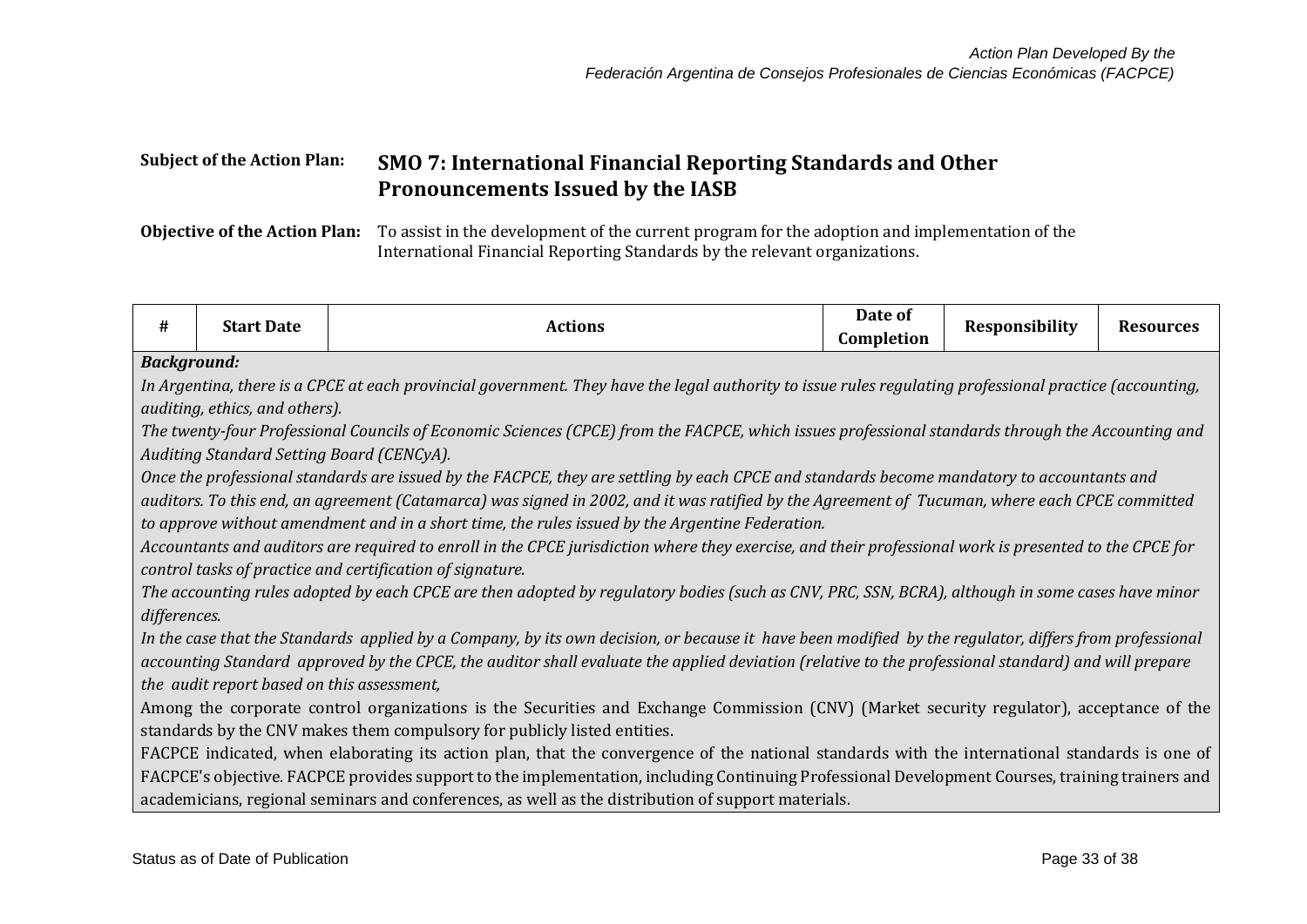# **Subject of the Action Plan: SMO 7: International Financial Reporting Standards and Other Pronouncements Issued by the IASB**

**Objective of the Action Plan:** To assist in the development of the current program for the adoption and implementation of the International Financial Reporting Standards by the relevant organizations.

| #            | <b>Start Date</b>                                                        | <b>Actions</b>                                                                                                                                          | Date of<br>Completion | <b>Responsibility</b> | <b>Resources</b> |  |  |  |  |
|--------------|--------------------------------------------------------------------------|---------------------------------------------------------------------------------------------------------------------------------------------------------|-----------------------|-----------------------|------------------|--|--|--|--|
|              | <b>Background:</b>                                                       |                                                                                                                                                         |                       |                       |                  |  |  |  |  |
|              |                                                                          | In Argentina, there is a CPCE at each provincial government. They have the legal authority to issue rules regulating professional practice (accounting, |                       |                       |                  |  |  |  |  |
|              | auditing, ethics, and others).                                           |                                                                                                                                                         |                       |                       |                  |  |  |  |  |
|              |                                                                          | The twenty-four Professional Councils of Economic Sciences (CPCE) from the FACPCE, which issues professional standards through the Accounting and       |                       |                       |                  |  |  |  |  |
|              | Auditing Standard Setting Board (CENCyA).                                |                                                                                                                                                         |                       |                       |                  |  |  |  |  |
|              |                                                                          | Once the professional standards are issued by the FACPCE, they are settling by each CPCE and standards become mandatory to accountants and              |                       |                       |                  |  |  |  |  |
|              |                                                                          | auditors. To this end, an agreement (Catamarca) was signed in 2002, and it was ratified by the Agreement of Tucuman, where each CPCE committed          |                       |                       |                  |  |  |  |  |
|              |                                                                          | to approve without amendment and in a short time, the rules issued by the Argentine Federation.                                                         |                       |                       |                  |  |  |  |  |
|              |                                                                          | Accountants and auditors are required to enroll in the CPCE jurisdiction where they exercise, and their professional work is presented to the CPCE for  |                       |                       |                  |  |  |  |  |
|              |                                                                          | control tasks of practice and certification of signature.                                                                                               |                       |                       |                  |  |  |  |  |
|              |                                                                          | The accounting rules adopted by each CPCE are then adopted by regulatory bodies (such as CNV, PRC, SSN, BCRA), although in some cases have minor        |                       |                       |                  |  |  |  |  |
| differences. |                                                                          |                                                                                                                                                         |                       |                       |                  |  |  |  |  |
|              |                                                                          | In the case that the Standards applied by a Company, by its own decision, or because it have been modified by the regulator, differs from professional  |                       |                       |                  |  |  |  |  |
|              |                                                                          | accounting Standard approved by the CPCE, the auditor shall evaluate the applied deviation (relative to the professional standard) and will prepare     |                       |                       |                  |  |  |  |  |
|              | the audit report based on this assessment,                               |                                                                                                                                                         |                       |                       |                  |  |  |  |  |
|              |                                                                          | Among the corporate control organizations is the Securities and Exchange Commission (CNV) (Market security regulator), acceptance of the                |                       |                       |                  |  |  |  |  |
|              | standards by the CNV makes them compulsory for publicly listed entities. |                                                                                                                                                         |                       |                       |                  |  |  |  |  |
|              |                                                                          | FACPCE indicated, when elaborating its action plan, that the convergence of the national standards with the international standards is one of           |                       |                       |                  |  |  |  |  |
|              |                                                                          | FACPCE's objective. FACPCE provides support to the implementation, including Continuing Professional Development Courses, training trainers and         |                       |                       |                  |  |  |  |  |
|              |                                                                          | academicians, regional seminars and conferences, as well as the distribution of support materials.                                                      |                       |                       |                  |  |  |  |  |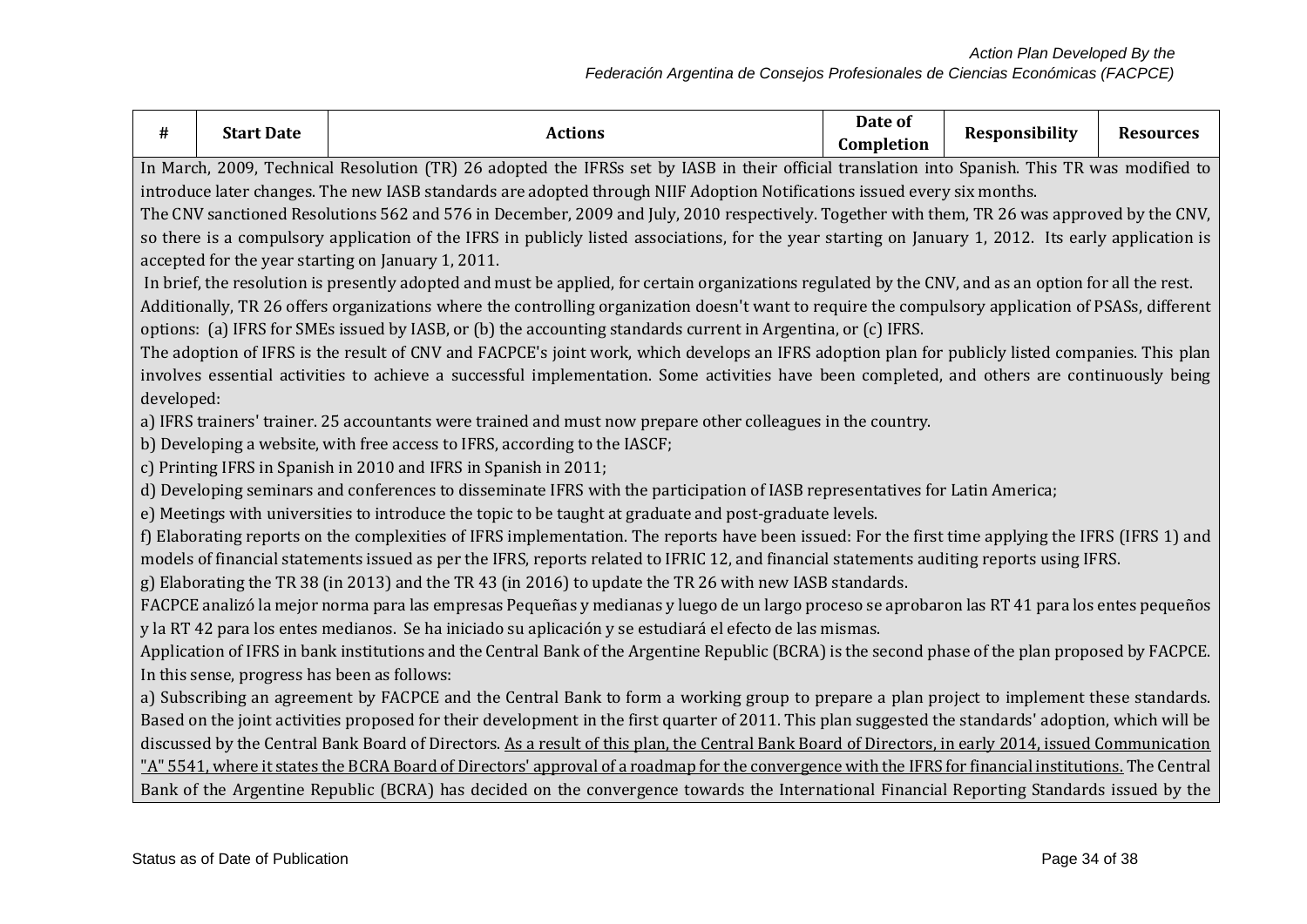| Date of<br><b>Start Date</b><br>Responsibility<br>#<br><b>Actions</b><br>Completion                                                                    | <b>Resources</b> |  |  |  |  |  |  |
|--------------------------------------------------------------------------------------------------------------------------------------------------------|------------------|--|--|--|--|--|--|
| In March, 2009, Technical Resolution (TR) 26 adopted the IFRSs set by IASB in their official translation into Spanish. This TR was modified to         |                  |  |  |  |  |  |  |
| introduce later changes. The new IASB standards are adopted through NIIF Adoption Notifications issued every six months.                               |                  |  |  |  |  |  |  |
| The CNV sanctioned Resolutions 562 and 576 in December, 2009 and July, 2010 respectively. Together with them, TR 26 was approved by the CNV,           |                  |  |  |  |  |  |  |
| so there is a compulsory application of the IFRS in publicly listed associations, for the year starting on January 1, 2012. Its early application is   |                  |  |  |  |  |  |  |
| accepted for the year starting on January 1, 2011.                                                                                                     |                  |  |  |  |  |  |  |
| In brief, the resolution is presently adopted and must be applied, for certain organizations regulated by the CNV, and as an option for all the rest.  |                  |  |  |  |  |  |  |
| Additionally, TR 26 offers organizations where the controlling organization doesn't want to require the compulsory application of PSASs, different     |                  |  |  |  |  |  |  |
| options: (a) IFRS for SMEs issued by IASB, or (b) the accounting standards current in Argentina, or (c) IFRS.                                          |                  |  |  |  |  |  |  |
| The adoption of IFRS is the result of CNV and FACPCE's joint work, which develops an IFRS adoption plan for publicly listed companies. This plan       |                  |  |  |  |  |  |  |
| involves essential activities to achieve a successful implementation. Some activities have been completed, and others are continuously being           |                  |  |  |  |  |  |  |
| developed:                                                                                                                                             |                  |  |  |  |  |  |  |
| a) IFRS trainers' trainer. 25 accountants were trained and must now prepare other colleagues in the country.                                           |                  |  |  |  |  |  |  |
| b) Developing a website, with free access to IFRS, according to the IASCF;                                                                             |                  |  |  |  |  |  |  |
| c) Printing IFRS in Spanish in 2010 and IFRS in Spanish in 2011;                                                                                       |                  |  |  |  |  |  |  |
| d) Developing seminars and conferences to disseminate IFRS with the participation of IASB representatives for Latin America;                           |                  |  |  |  |  |  |  |
| e) Meetings with universities to introduce the topic to be taught at graduate and post-graduate levels.                                                |                  |  |  |  |  |  |  |
| f) Elaborating reports on the complexities of IFRS implementation. The reports have been issued: For the first time applying the IFRS (IFRS 1) and     |                  |  |  |  |  |  |  |
| models of financial statements issued as per the IFRS, reports related to IFRIC 12, and financial statements auditing reports using IFRS.              |                  |  |  |  |  |  |  |
| g) Elaborating the TR 38 (in 2013) and the TR 43 (in 2016) to update the TR 26 with new IASB standards.                                                |                  |  |  |  |  |  |  |
| FACPCE analizó la mejor norma para las empresas Pequeñas y medianas y luego de un largo proceso se aprobaron las RT 41 para los entes pequeños         |                  |  |  |  |  |  |  |
| y la RT 42 para los entes medianos. Se ha iniciado su aplicación y se estudiará el efecto de las mismas.                                               |                  |  |  |  |  |  |  |
| Application of IFRS in bank institutions and the Central Bank of the Argentine Republic (BCRA) is the second phase of the plan proposed by FACPCE.     |                  |  |  |  |  |  |  |
| In this sense, progress has been as follows:                                                                                                           |                  |  |  |  |  |  |  |
| a) Subscribing an agreement by FACPCE and the Central Bank to form a working group to prepare a plan project to implement these standards.             |                  |  |  |  |  |  |  |
| Based on the joint activities proposed for their development in the first quarter of 2011. This plan suggested the standards' adoption, which will be  |                  |  |  |  |  |  |  |
| discussed by the Central Bank Board of Directors. As a result of this plan, the Central Bank Board of Directors, in early 2014, issued Communication   |                  |  |  |  |  |  |  |
| "A" 5541, where it states the BCRA Board of Directors' approval of a roadmap for the convergence with the IFRS for financial institutions. The Central |                  |  |  |  |  |  |  |
| Bank of the Argentine Republic (BCRA) has decided on the convergence towards the International Financial Reporting Standards issued by the             |                  |  |  |  |  |  |  |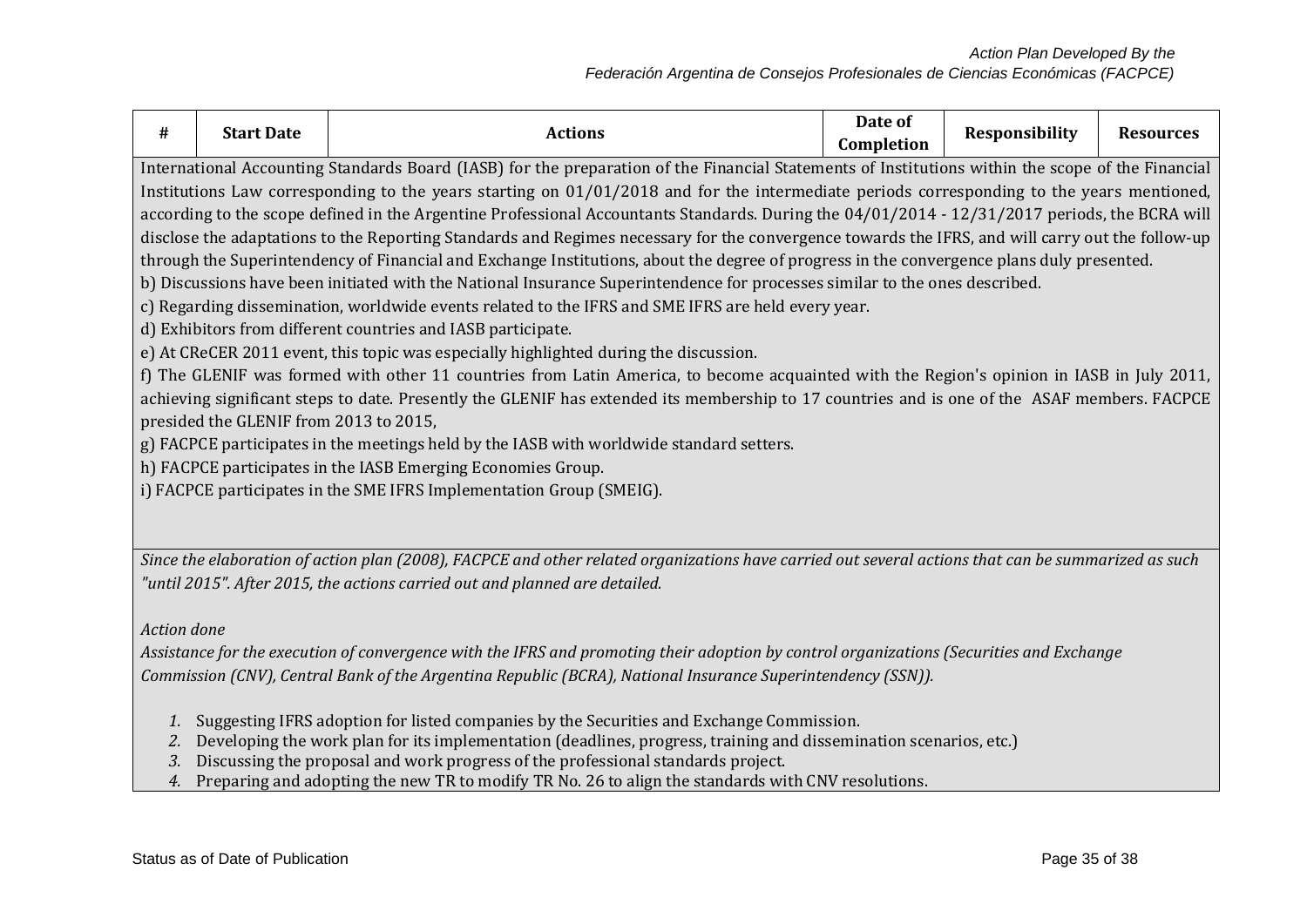| #           | <b>Start Date</b>                                                                                                                                                                                                                                                                                                                                                                                                                                                                                                                                                                                                                                                                                                                                                                                                                                                                                                                                                                                                                                                                                                                                                                                                                                                                                                                                                                                                                                                                                                                                                                 | <b>Actions</b>                                                                                                                                                                                                                                          | Date of<br>Completion | Responsibility | <b>Resources</b> |  |  |
|-------------|-----------------------------------------------------------------------------------------------------------------------------------------------------------------------------------------------------------------------------------------------------------------------------------------------------------------------------------------------------------------------------------------------------------------------------------------------------------------------------------------------------------------------------------------------------------------------------------------------------------------------------------------------------------------------------------------------------------------------------------------------------------------------------------------------------------------------------------------------------------------------------------------------------------------------------------------------------------------------------------------------------------------------------------------------------------------------------------------------------------------------------------------------------------------------------------------------------------------------------------------------------------------------------------------------------------------------------------------------------------------------------------------------------------------------------------------------------------------------------------------------------------------------------------------------------------------------------------|---------------------------------------------------------------------------------------------------------------------------------------------------------------------------------------------------------------------------------------------------------|-----------------------|----------------|------------------|--|--|
|             | International Accounting Standards Board (IASB) for the preparation of the Financial Statements of Institutions within the scope of the Financial<br>Institutions Law corresponding to the years starting on 01/01/2018 and for the intermediate periods corresponding to the years mentioned,<br>according to the scope defined in the Argentine Professional Accountants Standards. During the 04/01/2014 - 12/31/2017 periods, the BCRA will<br>disclose the adaptations to the Reporting Standards and Regimes necessary for the convergence towards the IFRS, and will carry out the follow-up<br>through the Superintendency of Financial and Exchange Institutions, about the degree of progress in the convergence plans duly presented.<br>b) Discussions have been initiated with the National Insurance Superintendence for processes similar to the ones described.<br>c) Regarding dissemination, worldwide events related to the IFRS and SME IFRS are held every year.<br>d) Exhibitors from different countries and IASB participate.<br>e) At CReCER 2011 event, this topic was especially highlighted during the discussion.<br>f) The GLENIF was formed with other 11 countries from Latin America, to become acquainted with the Region's opinion in IASB in July 2011,<br>achieving significant steps to date. Presently the GLENIF has extended its membership to 17 countries and is one of the ASAF members. FACPCE<br>presided the GLENIF from 2013 to 2015,<br>g) FACPCE participates in the meetings held by the IASB with worldwide standard setters. |                                                                                                                                                                                                                                                         |                       |                |                  |  |  |
|             | h) FACPCE participates in the IASB Emerging Economies Group.<br>i) FACPCE participates in the SME IFRS Implementation Group (SMEIG).                                                                                                                                                                                                                                                                                                                                                                                                                                                                                                                                                                                                                                                                                                                                                                                                                                                                                                                                                                                                                                                                                                                                                                                                                                                                                                                                                                                                                                              |                                                                                                                                                                                                                                                         |                       |                |                  |  |  |
|             | Since the elaboration of action plan (2008), FACPCE and other related organizations have carried out several actions that can be summarized as such<br>"until 2015". After 2015, the actions carried out and planned are detailed.                                                                                                                                                                                                                                                                                                                                                                                                                                                                                                                                                                                                                                                                                                                                                                                                                                                                                                                                                                                                                                                                                                                                                                                                                                                                                                                                                |                                                                                                                                                                                                                                                         |                       |                |                  |  |  |
| Action done |                                                                                                                                                                                                                                                                                                                                                                                                                                                                                                                                                                                                                                                                                                                                                                                                                                                                                                                                                                                                                                                                                                                                                                                                                                                                                                                                                                                                                                                                                                                                                                                   | Assistance for the execution of convergence with the IFRS and promoting their adoption by control organizations (Securities and Exchange<br>Commission (CNV), Central Bank of the Argentina Republic (BCRA), National Insurance Superintendency (SSN)). |                       |                |                  |  |  |
|             |                                                                                                                                                                                                                                                                                                                                                                                                                                                                                                                                                                                                                                                                                                                                                                                                                                                                                                                                                                                                                                                                                                                                                                                                                                                                                                                                                                                                                                                                                                                                                                                   | 1. Suggesting IFRS adoption for listed companies by the Securities and Exchange Commission.                                                                                                                                                             |                       |                |                  |  |  |

- *2.* Developing the work plan for its implementation (deadlines, progress, training and dissemination scenarios, etc.)
- *3.* Discussing the proposal and work progress of the professional standards project.
- *4.* Preparing and adopting the new TR to modify TR No. 26 to align the standards with CNV resolutions.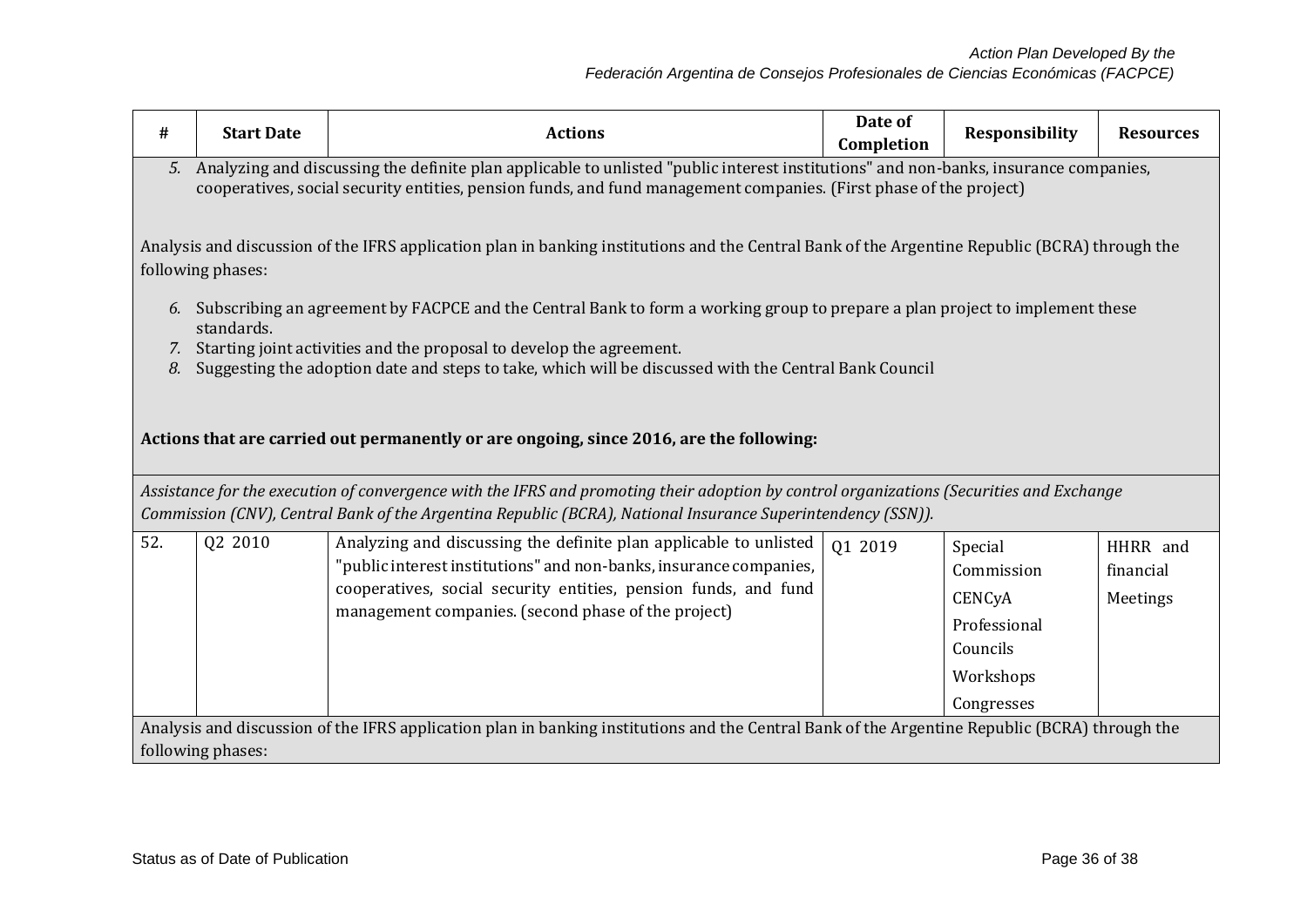| #                 | <b>Start Date</b>                                                                                                                                                                                                                                             | <b>Actions</b>                                                                                                                                                                                                                                          | Date of<br>Completion | <b>Responsibility</b> | <b>Resources</b>      |  |  |
|-------------------|---------------------------------------------------------------------------------------------------------------------------------------------------------------------------------------------------------------------------------------------------------------|---------------------------------------------------------------------------------------------------------------------------------------------------------------------------------------------------------------------------------------------------------|-----------------------|-----------------------|-----------------------|--|--|
|                   | 5. Analyzing and discussing the definite plan applicable to unlisted "public interest institutions" and non-banks, insurance companies,<br>cooperatives, social security entities, pension funds, and fund management companies. (First phase of the project) |                                                                                                                                                                                                                                                         |                       |                       |                       |  |  |
|                   | following phases:                                                                                                                                                                                                                                             | Analysis and discussion of the IFRS application plan in banking institutions and the Central Bank of the Argentine Republic (BCRA) through the                                                                                                          |                       |                       |                       |  |  |
| 7.                | standards.                                                                                                                                                                                                                                                    | 6. Subscribing an agreement by FACPCE and the Central Bank to form a working group to prepare a plan project to implement these<br>Starting joint activities and the proposal to develop the agreement.                                                 |                       |                       |                       |  |  |
| 8.                |                                                                                                                                                                                                                                                               | Suggesting the adoption date and steps to take, which will be discussed with the Central Bank Council                                                                                                                                                   |                       |                       |                       |  |  |
|                   |                                                                                                                                                                                                                                                               | Actions that are carried out permanently or are ongoing, since 2016, are the following:                                                                                                                                                                 |                       |                       |                       |  |  |
|                   |                                                                                                                                                                                                                                                               | Assistance for the execution of convergence with the IFRS and promoting their adoption by control organizations (Securities and Exchange<br>Commission (CNV), Central Bank of the Argentina Republic (BCRA), National Insurance Superintendency (SSN)). |                       |                       |                       |  |  |
| 52.               | Q2 2010                                                                                                                                                                                                                                                       | Analyzing and discussing the definite plan applicable to unlisted<br>"public interest institutions" and non-banks, insurance companies,                                                                                                                 | 01 2019               | Special<br>Commission | HHRR and<br>financial |  |  |
|                   |                                                                                                                                                                                                                                                               | cooperatives, social security entities, pension funds, and fund                                                                                                                                                                                         |                       | CENCyA                | Meetings              |  |  |
|                   |                                                                                                                                                                                                                                                               | management companies. (second phase of the project)                                                                                                                                                                                                     |                       | Professional          |                       |  |  |
|                   |                                                                                                                                                                                                                                                               |                                                                                                                                                                                                                                                         |                       | Councils              |                       |  |  |
|                   |                                                                                                                                                                                                                                                               |                                                                                                                                                                                                                                                         |                       | Workshops             |                       |  |  |
|                   |                                                                                                                                                                                                                                                               |                                                                                                                                                                                                                                                         |                       | Congresses            |                       |  |  |
|                   |                                                                                                                                                                                                                                                               | Analysis and discussion of the IFRS application plan in banking institutions and the Central Bank of the Argentine Republic (BCRA) through the                                                                                                          |                       |                       |                       |  |  |
| following phases: |                                                                                                                                                                                                                                                               |                                                                                                                                                                                                                                                         |                       |                       |                       |  |  |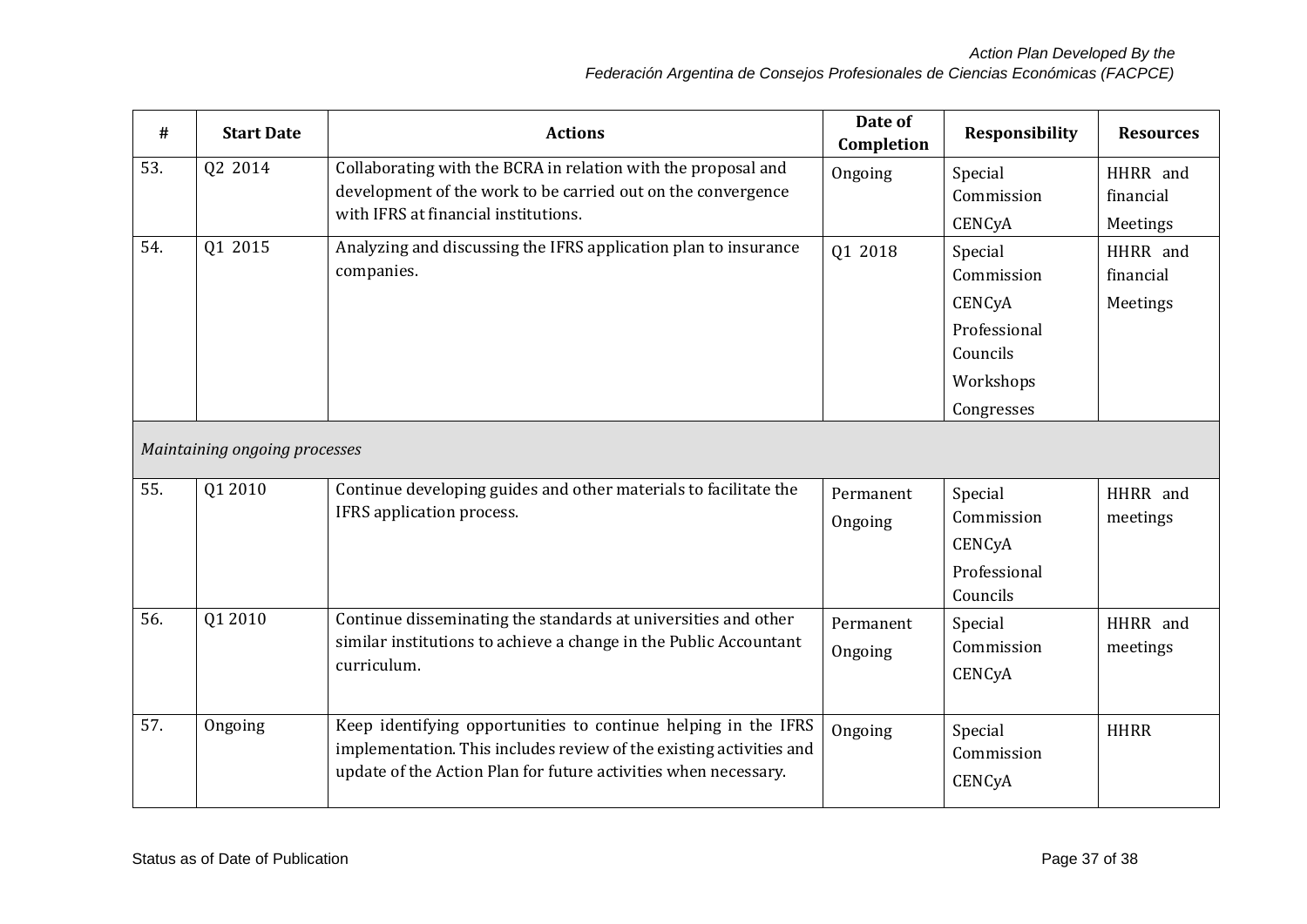| #   | <b>Start Date</b>             | <b>Actions</b>                                                                                                                                                                                           | Date of<br>Completion | <b>Responsibility</b>                                                                  | <b>Resources</b>                  |
|-----|-------------------------------|----------------------------------------------------------------------------------------------------------------------------------------------------------------------------------------------------------|-----------------------|----------------------------------------------------------------------------------------|-----------------------------------|
| 53. | Q2 2014                       | Collaborating with the BCRA in relation with the proposal and<br>development of the work to be carried out on the convergence<br>with IFRS at financial institutions.                                    | Ongoing               | Special<br>Commission<br>CENCyA                                                        | HHRR and<br>financial<br>Meetings |
| 54. | Q1 2015                       | Analyzing and discussing the IFRS application plan to insurance<br>companies.                                                                                                                            | Q1 2018               | Special<br>Commission<br>CENCyA<br>Professional<br>Councils<br>Workshops<br>Congresses | HHRR and<br>financial<br>Meetings |
|     | Maintaining ongoing processes |                                                                                                                                                                                                          |                       |                                                                                        |                                   |
| 55. | Q1 2010                       | Continue developing guides and other materials to facilitate the<br>IFRS application process.                                                                                                            | Permanent<br>Ongoing  | Special<br>Commission<br>CENCyA<br>Professional<br>Councils                            | HHRR and<br>meetings              |
| 56. | Q1 2010                       | Continue disseminating the standards at universities and other<br>similar institutions to achieve a change in the Public Accountant<br>curriculum.                                                       | Permanent<br>Ongoing  | Special<br>Commission<br>CENCyA                                                        | HHRR and<br>meetings              |
| 57. | Ongoing                       | Keep identifying opportunities to continue helping in the IFRS<br>implementation. This includes review of the existing activities and<br>update of the Action Plan for future activities when necessary. | Ongoing               | Special<br>Commission<br>CENCyA                                                        | <b>HHRR</b>                       |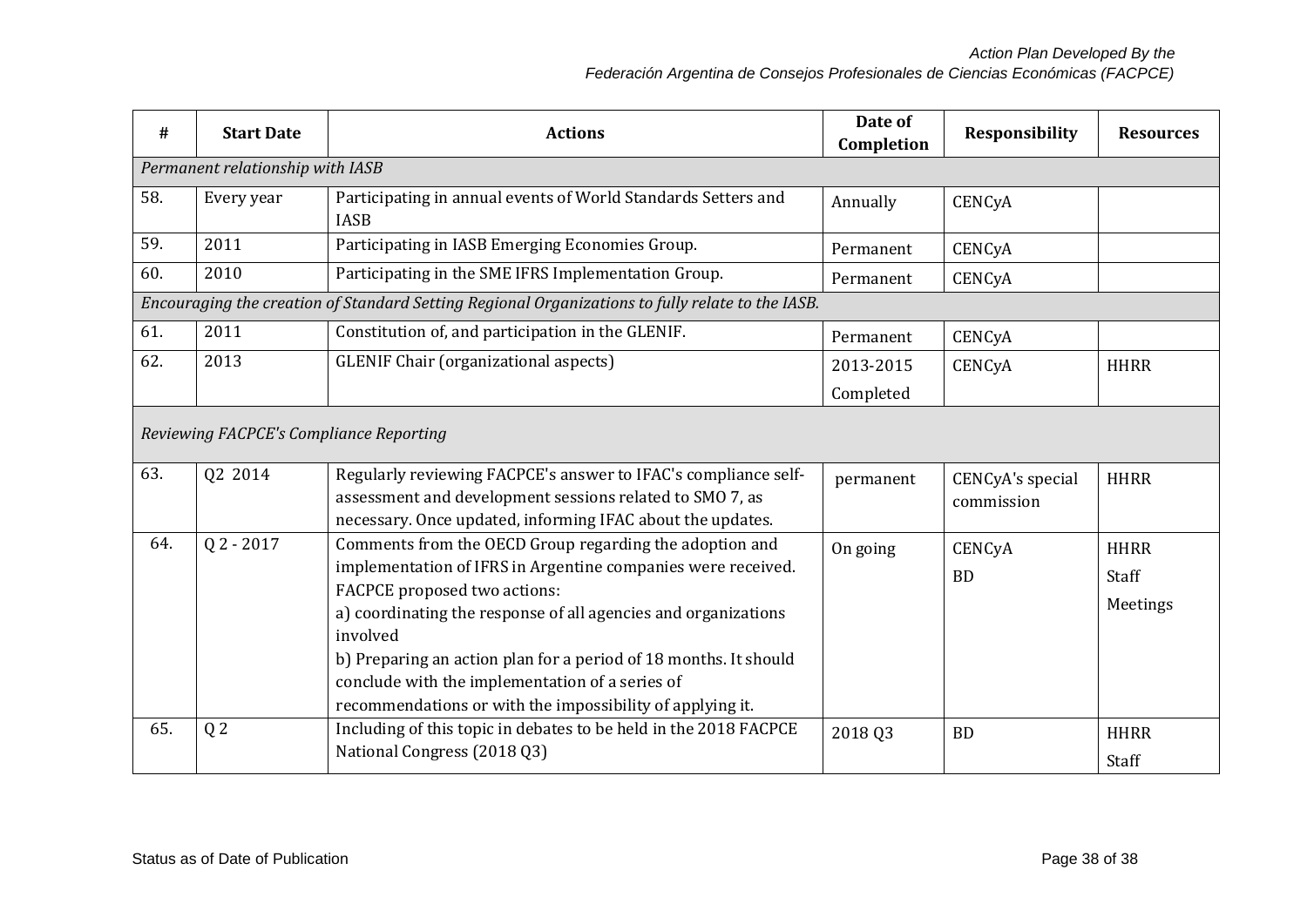| #                                                                                                | <b>Start Date</b> | <b>Actions</b>                                                                                                                                                                                                                                                                                                                                                                                                            | Date of<br>Completion | Responsibility                 | <b>Resources</b>                 |
|--------------------------------------------------------------------------------------------------|-------------------|---------------------------------------------------------------------------------------------------------------------------------------------------------------------------------------------------------------------------------------------------------------------------------------------------------------------------------------------------------------------------------------------------------------------------|-----------------------|--------------------------------|----------------------------------|
| Permanent relationship with IASB                                                                 |                   |                                                                                                                                                                                                                                                                                                                                                                                                                           |                       |                                |                                  |
| 58.                                                                                              | Every year        | Participating in annual events of World Standards Setters and<br><b>IASB</b>                                                                                                                                                                                                                                                                                                                                              | Annually              | CENCyA                         |                                  |
| 59.                                                                                              | 2011              | Participating in IASB Emerging Economies Group.                                                                                                                                                                                                                                                                                                                                                                           | Permanent             | CENCyA                         |                                  |
| 60.                                                                                              | 2010              | Participating in the SME IFRS Implementation Group.                                                                                                                                                                                                                                                                                                                                                                       | Permanent             | CENCyA                         |                                  |
| Encouraging the creation of Standard Setting Regional Organizations to fully relate to the IASB. |                   |                                                                                                                                                                                                                                                                                                                                                                                                                           |                       |                                |                                  |
| 61.                                                                                              | 2011              | Constitution of, and participation in the GLENIF.                                                                                                                                                                                                                                                                                                                                                                         | Permanent             | CENCyA                         |                                  |
| 62.                                                                                              | 2013              | <b>GLENIF Chair (organizational aspects)</b>                                                                                                                                                                                                                                                                                                                                                                              | 2013-2015             | CENCyA                         | <b>HHRR</b>                      |
|                                                                                                  |                   |                                                                                                                                                                                                                                                                                                                                                                                                                           | Completed             |                                |                                  |
| Reviewing FACPCE's Compliance Reporting                                                          |                   |                                                                                                                                                                                                                                                                                                                                                                                                                           |                       |                                |                                  |
| 63.                                                                                              | Q2 2014           | Regularly reviewing FACPCE's answer to IFAC's compliance self-<br>assessment and development sessions related to SMO 7, as<br>necessary. Once updated, informing IFAC about the updates.                                                                                                                                                                                                                                  | permanent             | CENCyA's special<br>commission | <b>HHRR</b>                      |
| 64.                                                                                              | $Q$ 2 - 2017      | Comments from the OECD Group regarding the adoption and<br>implementation of IFRS in Argentine companies were received.<br>FACPCE proposed two actions:<br>a) coordinating the response of all agencies and organizations<br>involved<br>b) Preparing an action plan for a period of 18 months. It should<br>conclude with the implementation of a series of<br>recommendations or with the impossibility of applying it. | On going              | CENCyA<br><b>BD</b>            | <b>HHRR</b><br>Staff<br>Meetings |
| 65.                                                                                              | Q <sub>2</sub>    | Including of this topic in debates to be held in the 2018 FACPCE<br>National Congress (2018 Q3)                                                                                                                                                                                                                                                                                                                           | 2018 Q3               | <b>BD</b>                      | <b>HHRR</b><br>Staff             |